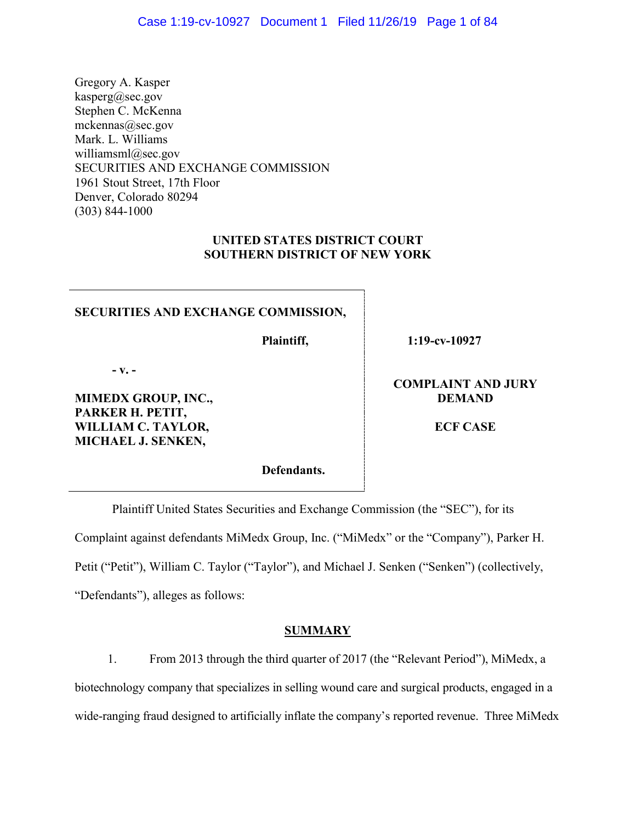Gregory A. Kasper kasperg@sec.gov Stephen C. McKenna mckennas@sec.gov Mark. L. Williams williamsml@sec.gov SECURITIES AND EXCHANGE COMMISSION 1961 Stout Street, 17th Floor Denver, Colorado 80294 (303) 844-1000

# **UNITED STATES DISTRICT COURT SOUTHERN DISTRICT OF NEW YORK**

## **SECURITIES AND EXCHANGE COMMISSION,**

**Plaintiff,**

**1:19-cv-10927** 

**- v. -**

**MIMEDX GROUP, INC., PARKER H. PETIT, WILLIAM C. TAYLOR, MICHAEL J. SENKEN,**

**Defendants.**

**COMPLAINT AND JURY DEMAND**

**ECF CASE**

Plaintiff United States Securities and Exchange Commission (the "SEC"), for its Complaint against defendants MiMedx Group, Inc. ("MiMedx" or the "Company"), Parker H. Petit ("Petit"), William C. Taylor ("Taylor"), and Michael J. Senken ("Senken") (collectively, "Defendants"), alleges as follows:

# **SUMMARY**

1. From 2013 through the third quarter of 2017 (the "Relevant Period"), MiMedx, a biotechnology company that specializes in selling wound care and surgical products, engaged in a wide-ranging fraud designed to artificially inflate the company's reported revenue. Three MiMedx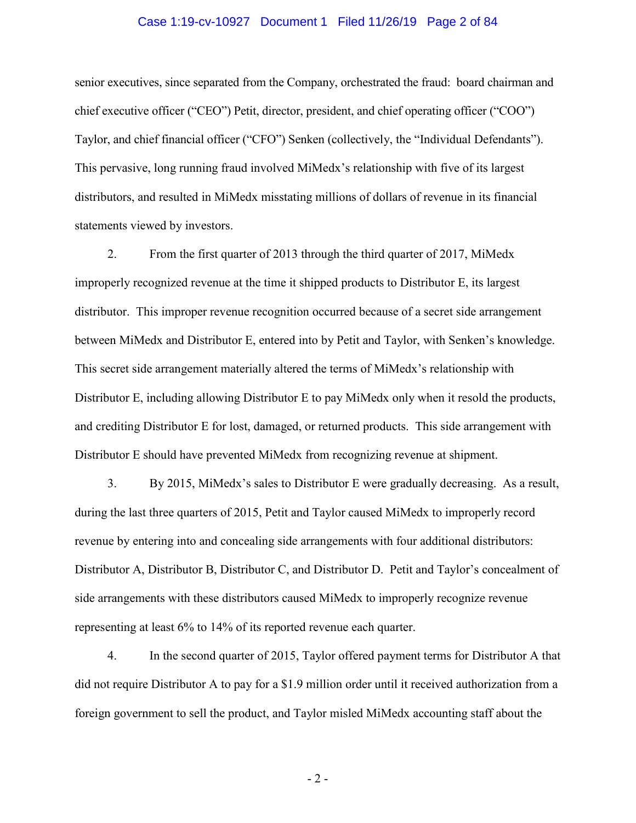#### Case 1:19-cv-10927 Document 1 Filed 11/26/19 Page 2 of 84

senior executives, since separated from the Company, orchestrated the fraud: board chairman and chief executive officer ("CEO") Petit, director, president, and chief operating officer ("COO") Taylor, and chief financial officer ("CFO") Senken (collectively, the "Individual Defendants"). This pervasive, long running fraud involved MiMedx's relationship with five of its largest distributors, and resulted in MiMedx misstating millions of dollars of revenue in its financial statements viewed by investors.

2. From the first quarter of 2013 through the third quarter of 2017, MiMedx improperly recognized revenue at the time it shipped products to Distributor E, its largest distributor. This improper revenue recognition occurred because of a secret side arrangement between MiMedx and Distributor E, entered into by Petit and Taylor, with Senken's knowledge. This secret side arrangement materially altered the terms of MiMedx's relationship with Distributor E, including allowing Distributor E to pay MiMedx only when it resold the products, and crediting Distributor E for lost, damaged, or returned products. This side arrangement with Distributor E should have prevented MiMedx from recognizing revenue at shipment.

3. By 2015, MiMedx's sales to Distributor E were gradually decreasing. As a result, during the last three quarters of 2015, Petit and Taylor caused MiMedx to improperly record revenue by entering into and concealing side arrangements with four additional distributors: Distributor A, Distributor B, Distributor C, and Distributor D. Petit and Taylor's concealment of side arrangements with these distributors caused MiMedx to improperly recognize revenue representing at least 6% to 14% of its reported revenue each quarter.

4. In the second quarter of 2015, Taylor offered payment terms for Distributor A that did not require Distributor A to pay for a \$1.9 million order until it received authorization from a foreign government to sell the product, and Taylor misled MiMedx accounting staff about the

- 2 -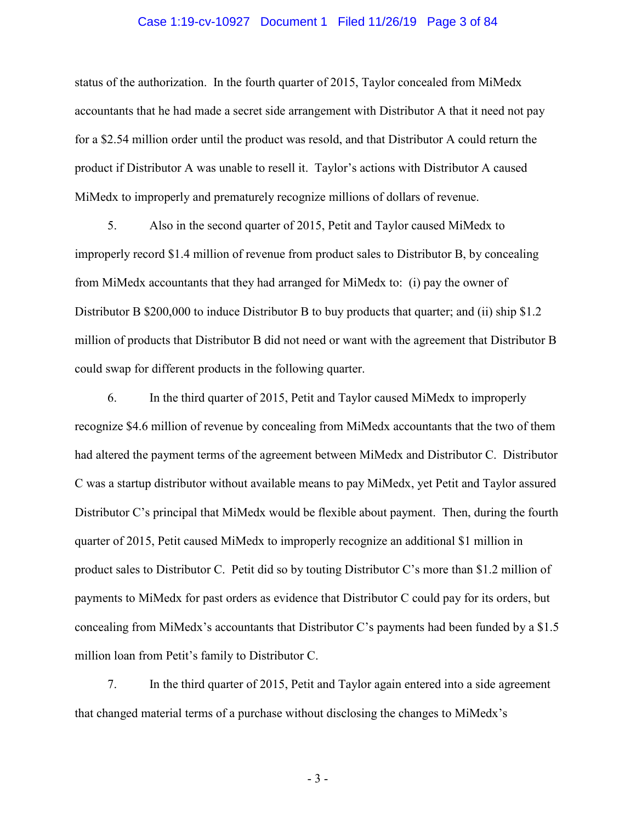#### Case 1:19-cv-10927 Document 1 Filed 11/26/19 Page 3 of 84

status of the authorization. In the fourth quarter of 2015, Taylor concealed from MiMedx accountants that he had made a secret side arrangement with Distributor A that it need not pay for a \$2.54 million order until the product was resold, and that Distributor A could return the product if Distributor A was unable to resell it. Taylor's actions with Distributor A caused MiMedx to improperly and prematurely recognize millions of dollars of revenue.

5. Also in the second quarter of 2015, Petit and Taylor caused MiMedx to improperly record \$1.4 million of revenue from product sales to Distributor B, by concealing from MiMedx accountants that they had arranged for MiMedx to: (i) pay the owner of Distributor B \$200,000 to induce Distributor B to buy products that quarter; and (ii) ship \$1.2 million of products that Distributor B did not need or want with the agreement that Distributor B could swap for different products in the following quarter.

6. In the third quarter of 2015, Petit and Taylor caused MiMedx to improperly recognize \$4.6 million of revenue by concealing from MiMedx accountants that the two of them had altered the payment terms of the agreement between MiMedx and Distributor C. Distributor C was a startup distributor without available means to pay MiMedx, yet Petit and Taylor assured Distributor C's principal that MiMedx would be flexible about payment. Then, during the fourth quarter of 2015, Petit caused MiMedx to improperly recognize an additional \$1 million in product sales to Distributor C. Petit did so by touting Distributor C's more than \$1.2 million of payments to MiMedx for past orders as evidence that Distributor C could pay for its orders, but concealing from MiMedx's accountants that Distributor C's payments had been funded by a \$1.5 million loan from Petit's family to Distributor C.

7. In the third quarter of 2015, Petit and Taylor again entered into a side agreement that changed material terms of a purchase without disclosing the changes to MiMedx's

- 3 -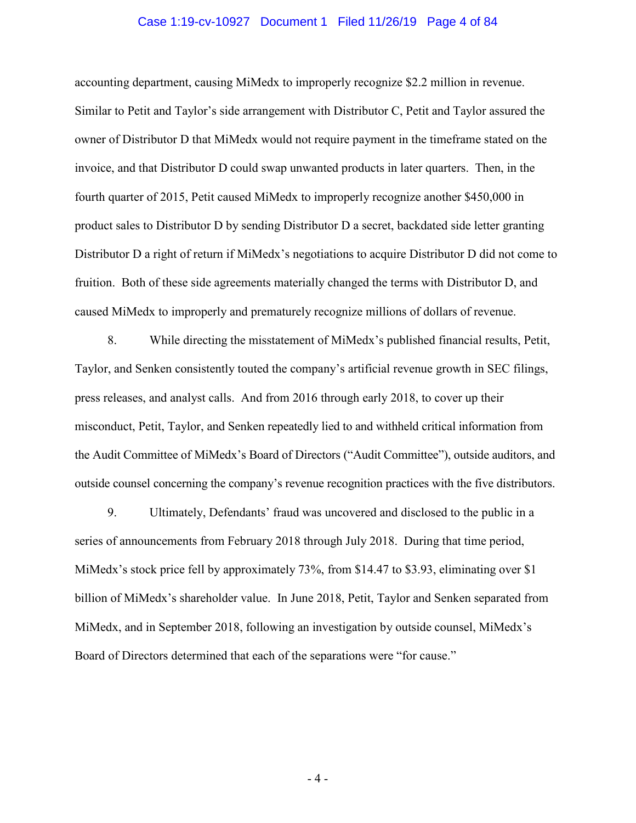#### Case 1:19-cv-10927 Document 1 Filed 11/26/19 Page 4 of 84

accounting department, causing MiMedx to improperly recognize \$2.2 million in revenue. Similar to Petit and Taylor's side arrangement with Distributor C, Petit and Taylor assured the owner of Distributor D that MiMedx would not require payment in the timeframe stated on the invoice, and that Distributor D could swap unwanted products in later quarters. Then, in the fourth quarter of 2015, Petit caused MiMedx to improperly recognize another \$450,000 in product sales to Distributor D by sending Distributor D a secret, backdated side letter granting Distributor D a right of return if MiMedx's negotiations to acquire Distributor D did not come to fruition. Both of these side agreements materially changed the terms with Distributor D, and caused MiMedx to improperly and prematurely recognize millions of dollars of revenue.

8. While directing the misstatement of MiMedx's published financial results, Petit, Taylor, and Senken consistently touted the company's artificial revenue growth in SEC filings, press releases, and analyst calls. And from 2016 through early 2018, to cover up their misconduct, Petit, Taylor, and Senken repeatedly lied to and withheld critical information from the Audit Committee of MiMedx's Board of Directors ("Audit Committee"), outside auditors, and outside counsel concerning the company's revenue recognition practices with the five distributors.

9. Ultimately, Defendants' fraud was uncovered and disclosed to the public in a series of announcements from February 2018 through July 2018. During that time period, MiMedx's stock price fell by approximately 73%, from \$14.47 to \$3.93, eliminating over \$1 billion of MiMedx's shareholder value. In June 2018, Petit, Taylor and Senken separated from MiMedx, and in September 2018, following an investigation by outside counsel, MiMedx's Board of Directors determined that each of the separations were "for cause."

- 4 -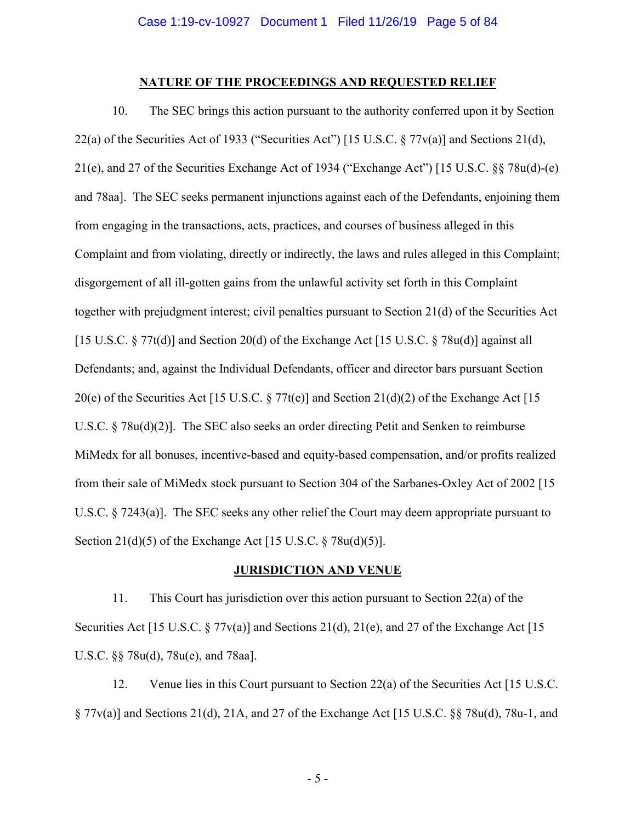### **NATURE OF THE PROCEEDINGS AND REQUESTED RELIEF**

10. The SEC brings this action pursuant to the authority conferred upon it by Section 22(a) of the Securities Act of 1933 ("Securities Act") [15 U.S.C. § 77v(a)] and Sections 21(d), 21(e), and 27 of the Securities Exchange Act of 1934 ("Exchange Act") [15 U.S.C. §§ 78u(d)-(e) and 78aa]. The SEC seeks permanent injunctions against each of the Defendants, enjoining them from engaging in the transactions, acts, practices, and courses of business alleged in this Complaint and from violating, directly or indirectly, the laws and rules alleged in this Complaint; disgorgement of all ill-gotten gains from the unlawful activity set forth in this Complaint together with prejudgment interest; civil penalties pursuant to Section 21(d) of the Securities Act [15 U.S.C. § 77t(d)] and Section 20(d) of the Exchange Act [15 U.S.C. § 78u(d)] against all Defendants; and, against the Individual Defendants, officer and director bars pursuant Section 20(e) of the Securities Act [15 U.S.C.  $\S 77t(e)$ ] and Section 21(d)(2) of the Exchange Act [15 U.S.C. § 78u(d)(2)]. The SEC also seeks an order directing Petit and Senken to reimburse MiMedx for all bonuses, incentive-based and equity-based compensation, and/or profits realized from their sale of MiMedx stock pursuant to Section 304 of the Sarbanes-Oxley Act of 2002 [15 U.S.C. § 7243(a)]. The SEC seeks any other relief the Court may deem appropriate pursuant to Section 21(d)(5) of the Exchange Act [15 U.S.C. § 78u(d)(5)].

### **JURISDICTION AND VENUE**

11. This Court has jurisdiction over this action pursuant to Section 22(a) of the Securities Act [15 U.S.C. § 77 $v(a)$ ] and Sections 21(d), 21(e), and 27 of the Exchange Act [15] U.S.C. §§ 78u(d), 78u(e), and 78aa].

12. Venue lies in this Court pursuant to Section 22(a) of the Securities Act [15 U.S.C. § 77v(a)] and Sections 21(d), 21A, and 27 of the Exchange Act [15 U.S.C. §§ 78u(d), 78u-1, and

- 5 -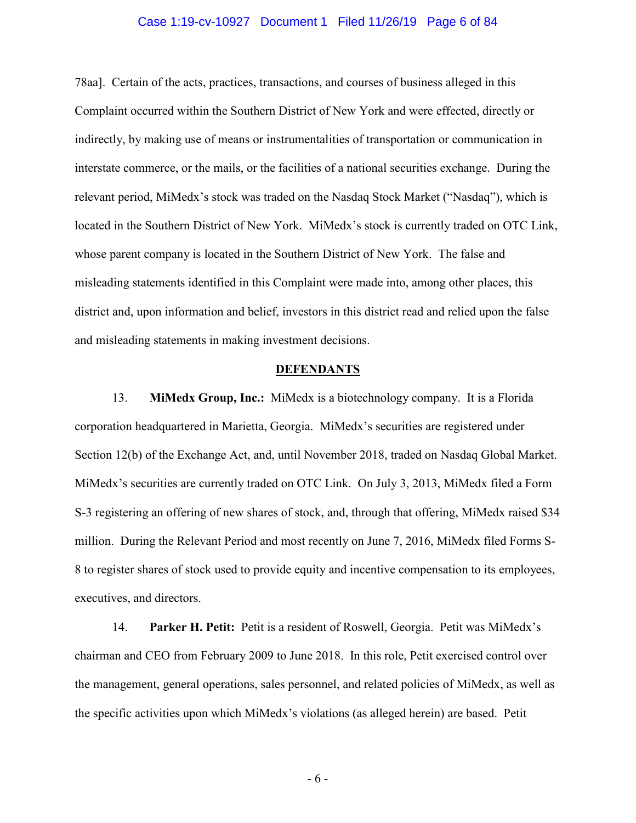#### Case 1:19-cv-10927 Document 1 Filed 11/26/19 Page 6 of 84

78aa]. Certain of the acts, practices, transactions, and courses of business alleged in this Complaint occurred within the Southern District of New York and were effected, directly or indirectly, by making use of means or instrumentalities of transportation or communication in interstate commerce, or the mails, or the facilities of a national securities exchange. During the relevant period, MiMedx's stock was traded on the Nasdaq Stock Market ("Nasdaq"), which is located in the Southern District of New York. MiMedx's stock is currently traded on OTC Link, whose parent company is located in the Southern District of New York. The false and misleading statements identified in this Complaint were made into, among other places, this district and, upon information and belief, investors in this district read and relied upon the false and misleading statements in making investment decisions.

### **DEFENDANTS**

13. **MiMedx Group, Inc.:** MiMedx is a biotechnology company. It is a Florida corporation headquartered in Marietta, Georgia. MiMedx's securities are registered under Section 12(b) of the Exchange Act, and, until November 2018, traded on Nasdaq Global Market. MiMedx's securities are currently traded on OTC Link. On July 3, 2013, MiMedx filed a Form S-3 registering an offering of new shares of stock, and, through that offering, MiMedx raised \$34 million. During the Relevant Period and most recently on June 7, 2016, MiMedx filed Forms S-8 to register shares of stock used to provide equity and incentive compensation to its employees, executives, and directors.

14. **Parker H. Petit:** Petit is a resident of Roswell, Georgia. Petit was MiMedx's chairman and CEO from February 2009 to June 2018. In this role, Petit exercised control over the management, general operations, sales personnel, and related policies of MiMedx, as well as the specific activities upon which MiMedx's violations (as alleged herein) are based. Petit

- 6 -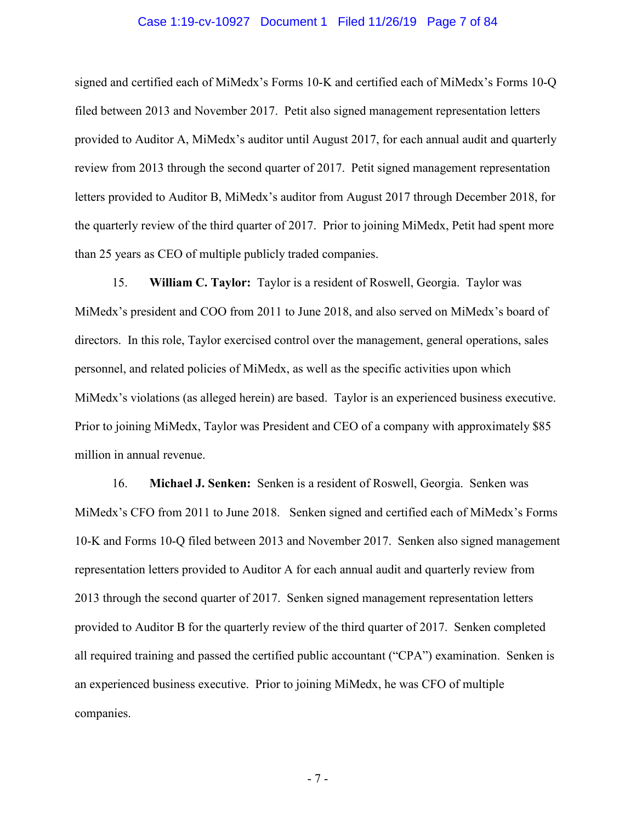#### Case 1:19-cv-10927 Document 1 Filed 11/26/19 Page 7 of 84

signed and certified each of MiMedx's Forms 10-K and certified each of MiMedx's Forms 10-Q filed between 2013 and November 2017. Petit also signed management representation letters provided to Auditor A, MiMedx's auditor until August 2017, for each annual audit and quarterly review from 2013 through the second quarter of 2017. Petit signed management representation letters provided to Auditor B, MiMedx's auditor from August 2017 through December 2018, for the quarterly review of the third quarter of 2017. Prior to joining MiMedx, Petit had spent more than 25 years as CEO of multiple publicly traded companies.

15. **William C. Taylor:** Taylor is a resident of Roswell, Georgia. Taylor was MiMedx's president and COO from 2011 to June 2018, and also served on MiMedx's board of directors. In this role, Taylor exercised control over the management, general operations, sales personnel, and related policies of MiMedx, as well as the specific activities upon which MiMedx's violations (as alleged herein) are based. Taylor is an experienced business executive. Prior to joining MiMedx, Taylor was President and CEO of a company with approximately \$85 million in annual revenue.

16. **Michael J. Senken:** Senken is a resident of Roswell, Georgia. Senken was MiMedx's CFO from 2011 to June 2018. Senken signed and certified each of MiMedx's Forms 10-K and Forms 10-Q filed between 2013 and November 2017. Senken also signed management representation letters provided to Auditor A for each annual audit and quarterly review from 2013 through the second quarter of 2017. Senken signed management representation letters provided to Auditor B for the quarterly review of the third quarter of 2017. Senken completed all required training and passed the certified public accountant ("CPA") examination. Senken is an experienced business executive. Prior to joining MiMedx, he was CFO of multiple companies.

- 7 -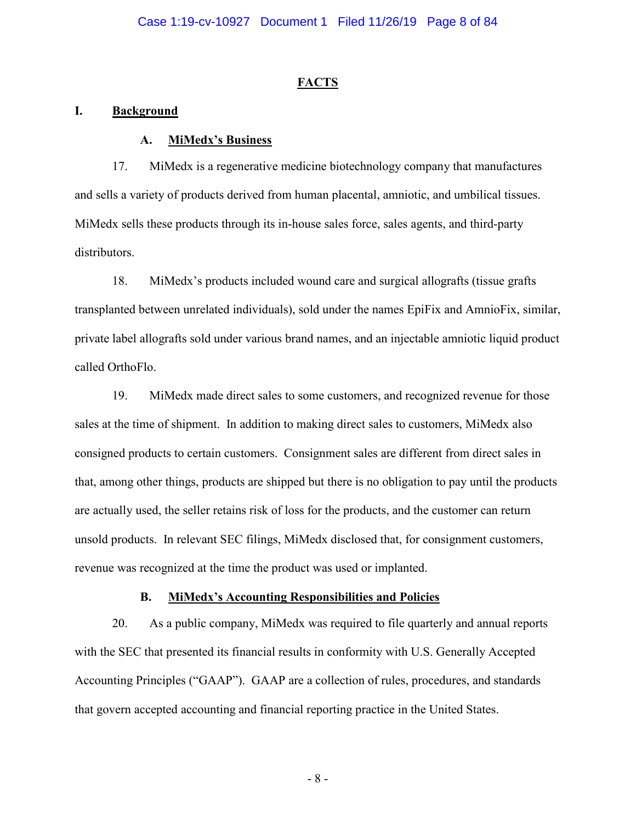## **FACTS**

## **I. Background**

### **A. MiMedx's Business**

17. MiMedx is a regenerative medicine biotechnology company that manufactures and sells a variety of products derived from human placental, amniotic, and umbilical tissues. MiMedx sells these products through its in-house sales force, sales agents, and third-party distributors.

18. MiMedx's products included wound care and surgical allografts (tissue grafts transplanted between unrelated individuals), sold under the names EpiFix and AmnioFix, similar, private label allografts sold under various brand names, and an injectable amniotic liquid product called OrthoFlo.

19. MiMedx made direct sales to some customers, and recognized revenue for those sales at the time of shipment. In addition to making direct sales to customers, MiMedx also consigned products to certain customers. Consignment sales are different from direct sales in that, among other things, products are shipped but there is no obligation to pay until the products are actually used, the seller retains risk of loss for the products, and the customer can return unsold products. In relevant SEC filings, MiMedx disclosed that, for consignment customers, revenue was recognized at the time the product was used or implanted.

# **B. MiMedx's Accounting Responsibilities and Policies**

20. As a public company, MiMedx was required to file quarterly and annual reports with the SEC that presented its financial results in conformity with U.S. Generally Accepted Accounting Principles ("GAAP"). GAAP are a collection of rules, procedures, and standards that govern accepted accounting and financial reporting practice in the United States.

- 8 -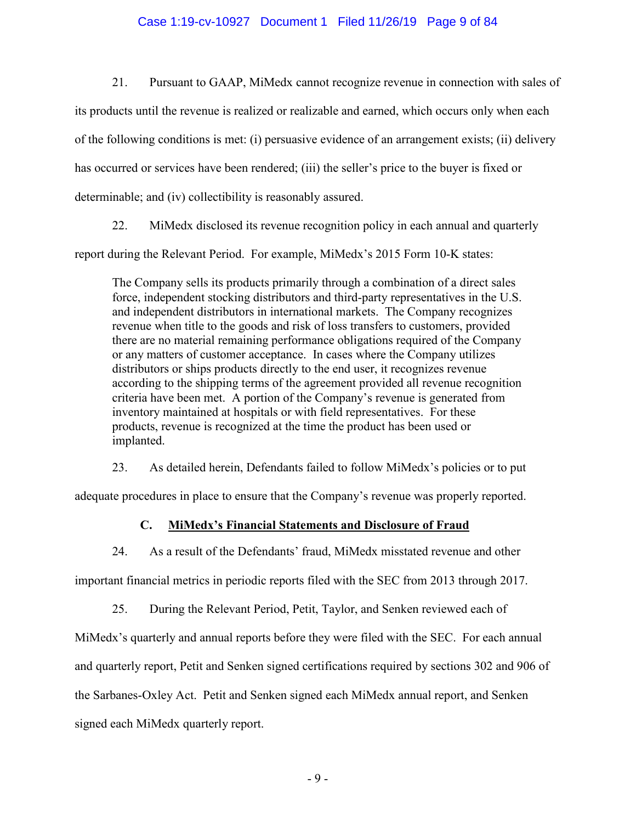## Case 1:19-cv-10927 Document 1 Filed 11/26/19 Page 9 of 84

21. Pursuant to GAAP, MiMedx cannot recognize revenue in connection with sales of its products until the revenue is realized or realizable and earned, which occurs only when each of the following conditions is met: (i) persuasive evidence of an arrangement exists; (ii) delivery has occurred or services have been rendered; (iii) the seller's price to the buyer is fixed or determinable; and (iv) collectibility is reasonably assured.

22. MiMedx disclosed its revenue recognition policy in each annual and quarterly

report during the Relevant Period. For example, MiMedx's 2015 Form 10-K states:

The Company sells its products primarily through a combination of a direct sales force, independent stocking distributors and third-party representatives in the U.S. and independent distributors in international markets. The Company recognizes revenue when title to the goods and risk of loss transfers to customers, provided there are no material remaining performance obligations required of the Company or any matters of customer acceptance. In cases where the Company utilizes distributors or ships products directly to the end user, it recognizes revenue according to the shipping terms of the agreement provided all revenue recognition criteria have been met. A portion of the Company's revenue is generated from inventory maintained at hospitals or with field representatives. For these products, revenue is recognized at the time the product has been used or implanted.

23. As detailed herein, Defendants failed to follow MiMedx's policies or to put

adequate procedures in place to ensure that the Company's revenue was properly reported.

# **C. MiMedx's Financial Statements and Disclosure of Fraud**

24. As a result of the Defendants' fraud, MiMedx misstated revenue and other important financial metrics in periodic reports filed with the SEC from 2013 through 2017.

25. During the Relevant Period, Petit, Taylor, and Senken reviewed each of MiMedx's quarterly and annual reports before they were filed with the SEC. For each annual and quarterly report, Petit and Senken signed certifications required by sections 302 and 906 of the Sarbanes-Oxley Act. Petit and Senken signed each MiMedx annual report, and Senken signed each MiMedx quarterly report.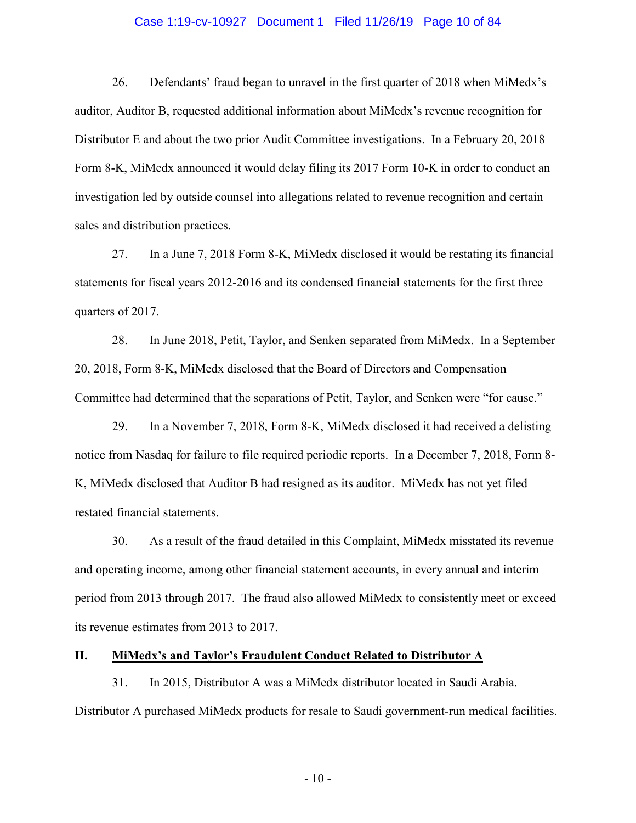#### Case 1:19-cv-10927 Document 1 Filed 11/26/19 Page 10 of 84

26. Defendants' fraud began to unravel in the first quarter of 2018 when MiMedx's auditor, Auditor B, requested additional information about MiMedx's revenue recognition for Distributor E and about the two prior Audit Committee investigations. In a February 20, 2018 Form 8-K, MiMedx announced it would delay filing its 2017 Form 10-K in order to conduct an investigation led by outside counsel into allegations related to revenue recognition and certain sales and distribution practices.

27. In a June 7, 2018 Form 8-K, MiMedx disclosed it would be restating its financial statements for fiscal years 2012-2016 and its condensed financial statements for the first three quarters of 2017.

28. In June 2018, Petit, Taylor, and Senken separated from MiMedx. In a September 20, 2018, Form 8-K, MiMedx disclosed that the Board of Directors and Compensation Committee had determined that the separations of Petit, Taylor, and Senken were "for cause."

29. In a November 7, 2018, Form 8-K, MiMedx disclosed it had received a delisting notice from Nasdaq for failure to file required periodic reports. In a December 7, 2018, Form 8- K, MiMedx disclosed that Auditor B had resigned as its auditor. MiMedx has not yet filed restated financial statements.

30. As a result of the fraud detailed in this Complaint, MiMedx misstated its revenue and operating income, among other financial statement accounts, in every annual and interim period from 2013 through 2017. The fraud also allowed MiMedx to consistently meet or exceed its revenue estimates from 2013 to 2017.

### **II. MiMedx's and Taylor's Fraudulent Conduct Related to Distributor A**

31. In 2015, Distributor A was a MiMedx distributor located in Saudi Arabia. Distributor A purchased MiMedx products for resale to Saudi government-run medical facilities.

 $-10-$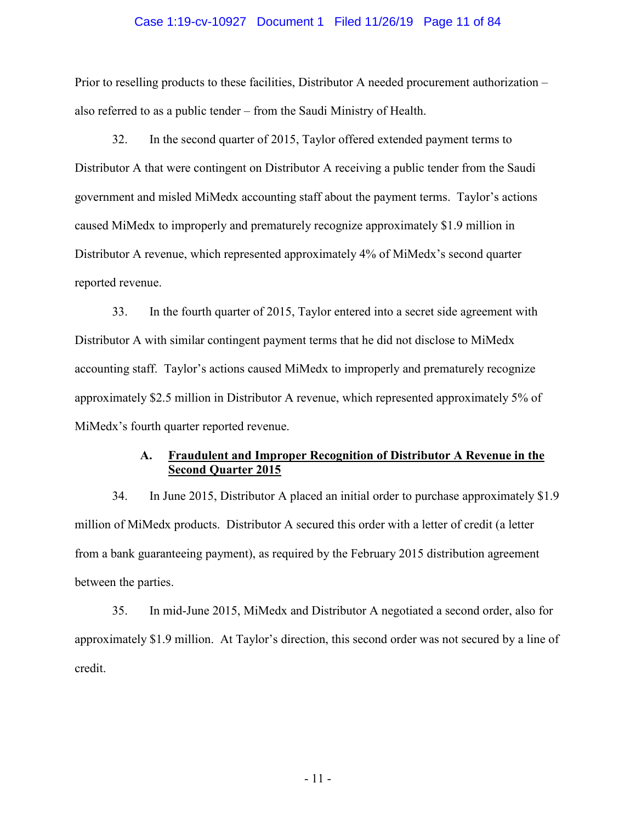#### Case 1:19-cv-10927 Document 1 Filed 11/26/19 Page 11 of 84

Prior to reselling products to these facilities, Distributor A needed procurement authorization – also referred to as a public tender – from the Saudi Ministry of Health.

32. In the second quarter of 2015, Taylor offered extended payment terms to Distributor A that were contingent on Distributor A receiving a public tender from the Saudi government and misled MiMedx accounting staff about the payment terms. Taylor's actions caused MiMedx to improperly and prematurely recognize approximately \$1.9 million in Distributor A revenue, which represented approximately 4% of MiMedx's second quarter reported revenue.

33. In the fourth quarter of 2015, Taylor entered into a secret side agreement with Distributor A with similar contingent payment terms that he did not disclose to MiMedx accounting staff. Taylor's actions caused MiMedx to improperly and prematurely recognize approximately \$2.5 million in Distributor A revenue, which represented approximately 5% of MiMedx's fourth quarter reported revenue.

# **A. Fraudulent and Improper Recognition of Distributor A Revenue in the Second Quarter 2015**

34. In June 2015, Distributor A placed an initial order to purchase approximately \$1.9 million of MiMedx products. Distributor A secured this order with a letter of credit (a letter from a bank guaranteeing payment), as required by the February 2015 distribution agreement between the parties.

35. In mid-June 2015, MiMedx and Distributor A negotiated a second order, also for approximately \$1.9 million. At Taylor's direction, this second order was not secured by a line of credit.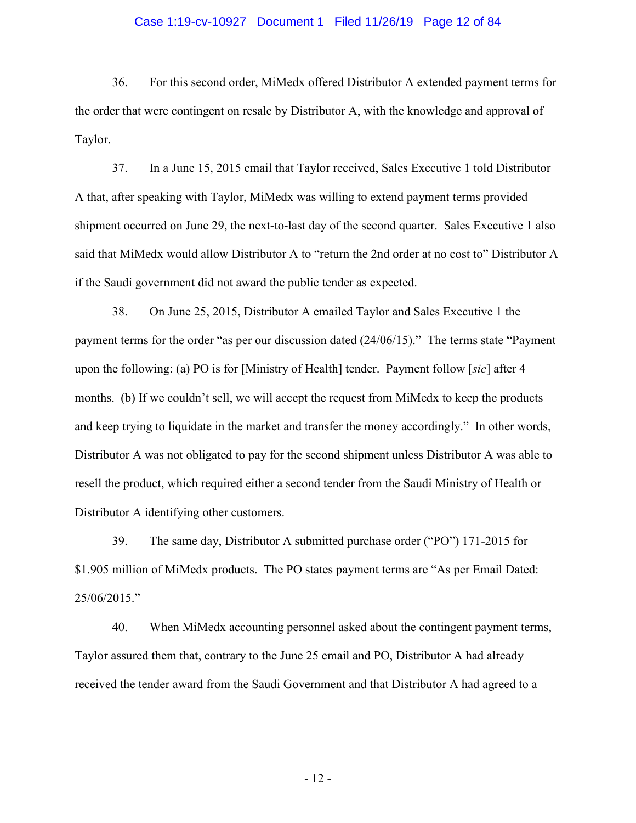#### Case 1:19-cv-10927 Document 1 Filed 11/26/19 Page 12 of 84

36. For this second order, MiMedx offered Distributor A extended payment terms for the order that were contingent on resale by Distributor A, with the knowledge and approval of Taylor.

37. In a June 15, 2015 email that Taylor received, Sales Executive 1 told Distributor A that, after speaking with Taylor, MiMedx was willing to extend payment terms provided shipment occurred on June 29, the next-to-last day of the second quarter. Sales Executive 1 also said that MiMedx would allow Distributor A to "return the 2nd order at no cost to" Distributor A if the Saudi government did not award the public tender as expected.

38. On June 25, 2015, Distributor A emailed Taylor and Sales Executive 1 the payment terms for the order "as per our discussion dated (24/06/15)." The terms state "Payment upon the following: (a) PO is for [Ministry of Health] tender. Payment follow [*sic*] after 4 months. (b) If we couldn't sell, we will accept the request from MiMedx to keep the products and keep trying to liquidate in the market and transfer the money accordingly." In other words, Distributor A was not obligated to pay for the second shipment unless Distributor A was able to resell the product, which required either a second tender from the Saudi Ministry of Health or Distributor A identifying other customers.

39. The same day, Distributor A submitted purchase order ("PO") 171-2015 for \$1.905 million of MiMedx products. The PO states payment terms are "As per Email Dated: 25/06/2015."

40. When MiMedx accounting personnel asked about the contingent payment terms, Taylor assured them that, contrary to the June 25 email and PO, Distributor A had already received the tender award from the Saudi Government and that Distributor A had agreed to a

- 12 -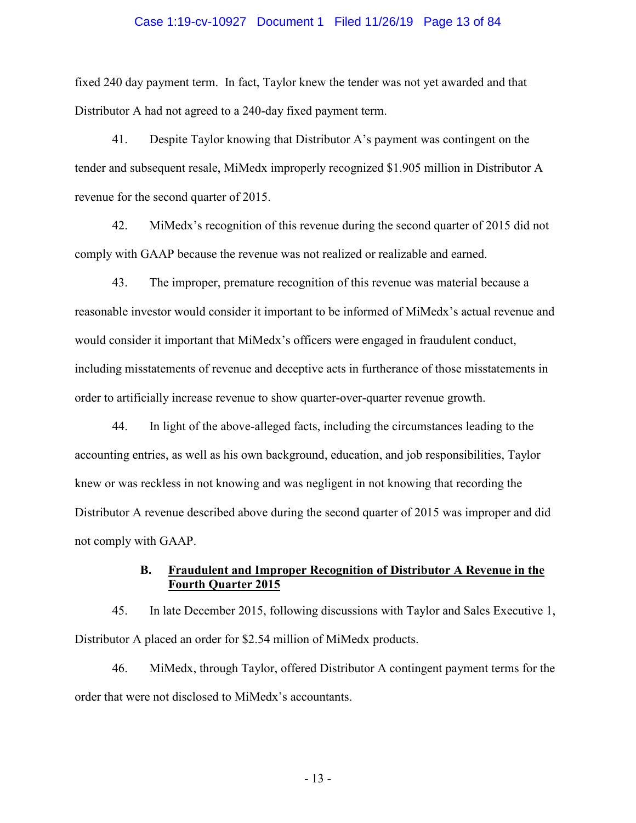#### Case 1:19-cv-10927 Document 1 Filed 11/26/19 Page 13 of 84

fixed 240 day payment term. In fact, Taylor knew the tender was not yet awarded and that Distributor A had not agreed to a 240-day fixed payment term.

41. Despite Taylor knowing that Distributor A's payment was contingent on the tender and subsequent resale, MiMedx improperly recognized \$1.905 million in Distributor A revenue for the second quarter of 2015.

42. MiMedx's recognition of this revenue during the second quarter of 2015 did not comply with GAAP because the revenue was not realized or realizable and earned.

43. The improper, premature recognition of this revenue was material because a reasonable investor would consider it important to be informed of MiMedx's actual revenue and would consider it important that MiMedx's officers were engaged in fraudulent conduct, including misstatements of revenue and deceptive acts in furtherance of those misstatements in order to artificially increase revenue to show quarter-over-quarter revenue growth.

44. In light of the above-alleged facts, including the circumstances leading to the accounting entries, as well as his own background, education, and job responsibilities, Taylor knew or was reckless in not knowing and was negligent in not knowing that recording the Distributor A revenue described above during the second quarter of 2015 was improper and did not comply with GAAP.

## **B. Fraudulent and Improper Recognition of Distributor A Revenue in the Fourth Quarter 2015**

45. In late December 2015, following discussions with Taylor and Sales Executive 1, Distributor A placed an order for \$2.54 million of MiMedx products.

46. MiMedx, through Taylor, offered Distributor A contingent payment terms for the order that were not disclosed to MiMedx's accountants.

- 13 -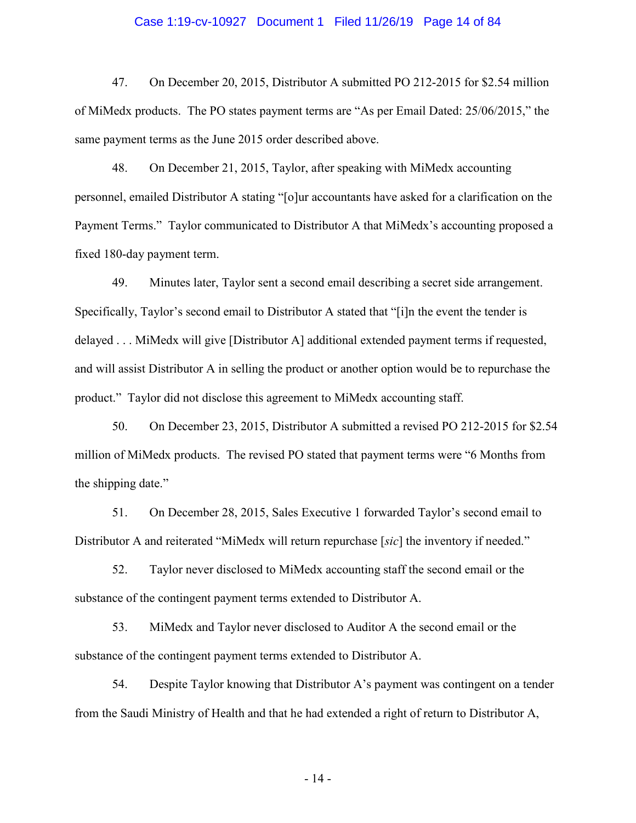#### Case 1:19-cv-10927 Document 1 Filed 11/26/19 Page 14 of 84

47. On December 20, 2015, Distributor A submitted PO 212-2015 for \$2.54 million of MiMedx products. The PO states payment terms are "As per Email Dated: 25/06/2015," the same payment terms as the June 2015 order described above.

48. On December 21, 2015, Taylor, after speaking with MiMedx accounting personnel, emailed Distributor A stating "[o]ur accountants have asked for a clarification on the Payment Terms." Taylor communicated to Distributor A that MiMedx's accounting proposed a fixed 180-day payment term.

49. Minutes later, Taylor sent a second email describing a secret side arrangement. Specifically, Taylor's second email to Distributor A stated that "[i]n the event the tender is delayed . . . MiMedx will give [Distributor A] additional extended payment terms if requested, and will assist Distributor A in selling the product or another option would be to repurchase the product." Taylor did not disclose this agreement to MiMedx accounting staff.

50. On December 23, 2015, Distributor A submitted a revised PO 212-2015 for \$2.54 million of MiMedx products. The revised PO stated that payment terms were "6 Months from the shipping date."

51. On December 28, 2015, Sales Executive 1 forwarded Taylor's second email to Distributor A and reiterated "MiMedx will return repurchase [*sic*] the inventory if needed."

52. Taylor never disclosed to MiMedx accounting staff the second email or the substance of the contingent payment terms extended to Distributor A.

53. MiMedx and Taylor never disclosed to Auditor A the second email or the substance of the contingent payment terms extended to Distributor A.

54. Despite Taylor knowing that Distributor A's payment was contingent on a tender from the Saudi Ministry of Health and that he had extended a right of return to Distributor A,

- 14 -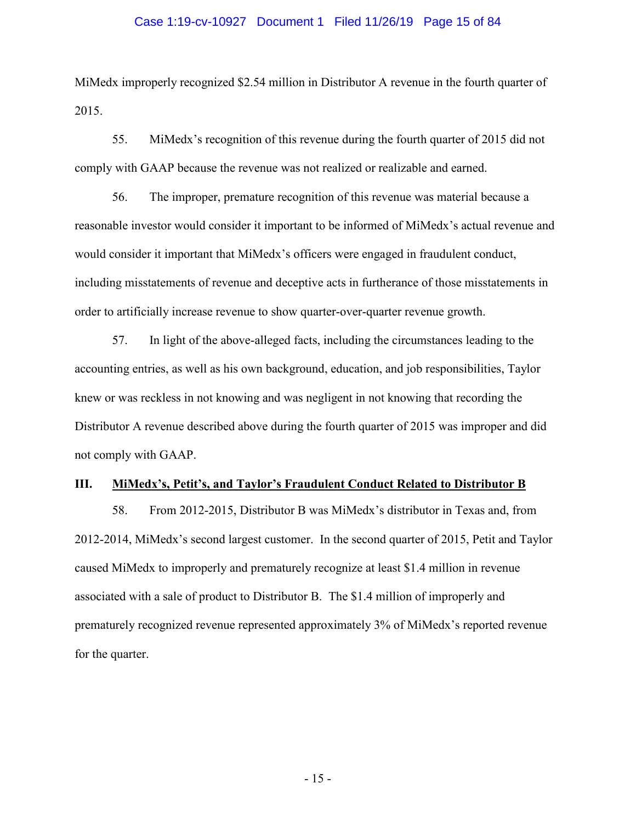#### Case 1:19-cv-10927 Document 1 Filed 11/26/19 Page 15 of 84

MiMedx improperly recognized \$2.54 million in Distributor A revenue in the fourth quarter of 2015.

55. MiMedx's recognition of this revenue during the fourth quarter of 2015 did not comply with GAAP because the revenue was not realized or realizable and earned.

56. The improper, premature recognition of this revenue was material because a reasonable investor would consider it important to be informed of MiMedx's actual revenue and would consider it important that MiMedx's officers were engaged in fraudulent conduct, including misstatements of revenue and deceptive acts in furtherance of those misstatements in order to artificially increase revenue to show quarter-over-quarter revenue growth.

57. In light of the above-alleged facts, including the circumstances leading to the accounting entries, as well as his own background, education, and job responsibilities, Taylor knew or was reckless in not knowing and was negligent in not knowing that recording the Distributor A revenue described above during the fourth quarter of 2015 was improper and did not comply with GAAP.

#### **III. MiMedx's, Petit's, and Taylor's Fraudulent Conduct Related to Distributor B**

58. From 2012-2015, Distributor B was MiMedx's distributor in Texas and, from 2012-2014, MiMedx's second largest customer. In the second quarter of 2015, Petit and Taylor caused MiMedx to improperly and prematurely recognize at least \$1.4 million in revenue associated with a sale of product to Distributor B. The \$1.4 million of improperly and prematurely recognized revenue represented approximately 3% of MiMedx's reported revenue for the quarter.

- 15 -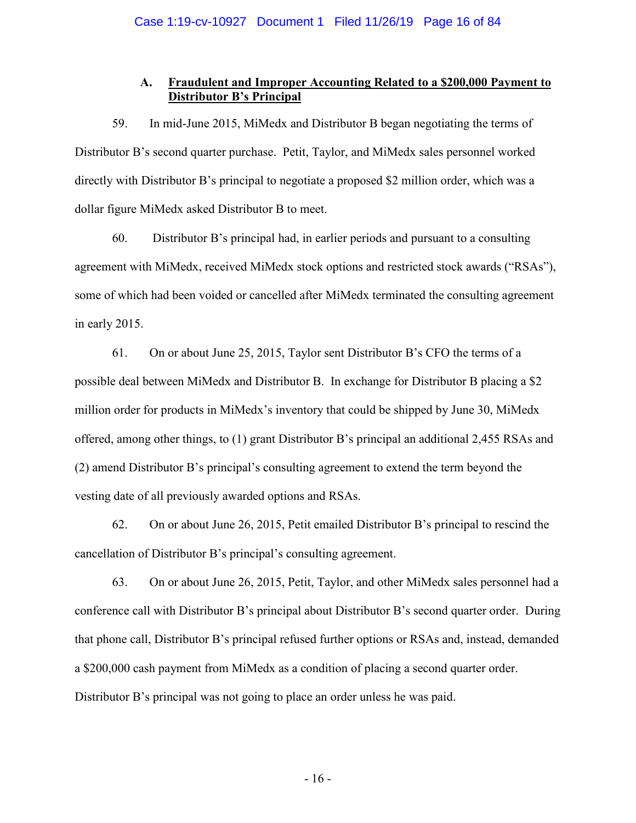# **A. Fraudulent and Improper Accounting Related to a \$200,000 Payment to Distributor B's Principal**

59. In mid-June 2015, MiMedx and Distributor B began negotiating the terms of Distributor B's second quarter purchase. Petit, Taylor, and MiMedx sales personnel worked directly with Distributor B's principal to negotiate a proposed \$2 million order, which was a dollar figure MiMedx asked Distributor B to meet.

60. Distributor B's principal had, in earlier periods and pursuant to a consulting agreement with MiMedx, received MiMedx stock options and restricted stock awards ("RSAs"), some of which had been voided or cancelled after MiMedx terminated the consulting agreement in early 2015.

61. On or about June 25, 2015, Taylor sent Distributor B's CFO the terms of a possible deal between MiMedx and Distributor B. In exchange for Distributor B placing a \$2 million order for products in MiMedx's inventory that could be shipped by June 30, MiMedx offered, among other things, to (1) grant Distributor B's principal an additional 2,455 RSAs and (2) amend Distributor B's principal's consulting agreement to extend the term beyond the vesting date of all previously awarded options and RSAs.

62. On or about June 26, 2015, Petit emailed Distributor B's principal to rescind the cancellation of Distributor B's principal's consulting agreement.

63. On or about June 26, 2015, Petit, Taylor, and other MiMedx sales personnel had a conference call with Distributor B's principal about Distributor B's second quarter order. During that phone call, Distributor B's principal refused further options or RSAs and, instead, demanded a \$200,000 cash payment from MiMedx as a condition of placing a second quarter order. Distributor B's principal was not going to place an order unless he was paid.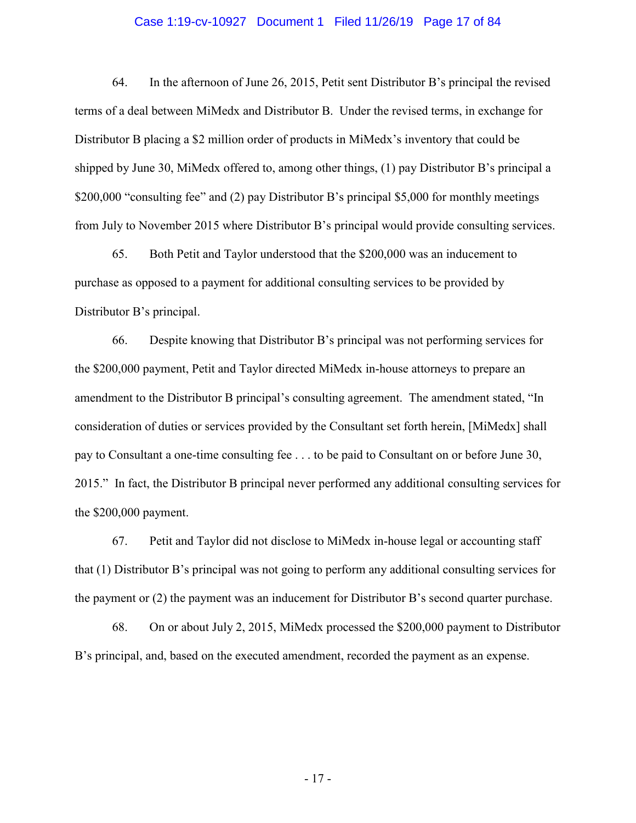#### Case 1:19-cv-10927 Document 1 Filed 11/26/19 Page 17 of 84

64. In the afternoon of June 26, 2015, Petit sent Distributor B's principal the revised terms of a deal between MiMedx and Distributor B. Under the revised terms, in exchange for Distributor B placing a \$2 million order of products in MiMedx's inventory that could be shipped by June 30, MiMedx offered to, among other things, (1) pay Distributor B's principal a \$200,000 "consulting fee" and (2) pay Distributor B's principal \$5,000 for monthly meetings from July to November 2015 where Distributor B's principal would provide consulting services.

65. Both Petit and Taylor understood that the \$200,000 was an inducement to purchase as opposed to a payment for additional consulting services to be provided by Distributor B's principal.

66. Despite knowing that Distributor B's principal was not performing services for the \$200,000 payment, Petit and Taylor directed MiMedx in-house attorneys to prepare an amendment to the Distributor B principal's consulting agreement. The amendment stated, "In consideration of duties or services provided by the Consultant set forth herein, [MiMedx] shall pay to Consultant a one-time consulting fee . . . to be paid to Consultant on or before June 30, 2015." In fact, the Distributor B principal never performed any additional consulting services for the \$200,000 payment.

67. Petit and Taylor did not disclose to MiMedx in-house legal or accounting staff that (1) Distributor B's principal was not going to perform any additional consulting services for the payment or (2) the payment was an inducement for Distributor B's second quarter purchase.

68. On or about July 2, 2015, MiMedx processed the \$200,000 payment to Distributor B's principal, and, based on the executed amendment, recorded the payment as an expense.

- 17 -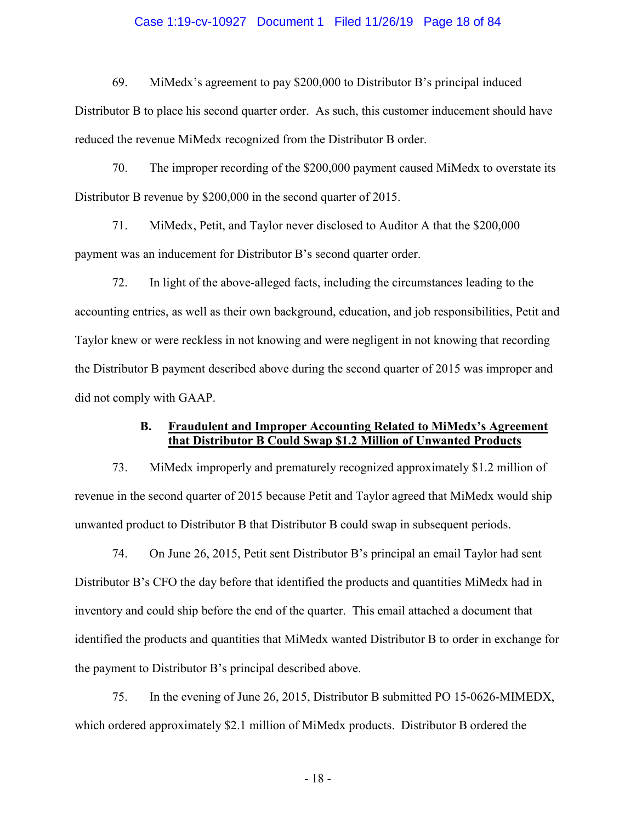#### Case 1:19-cv-10927 Document 1 Filed 11/26/19 Page 18 of 84

69. MiMedx's agreement to pay \$200,000 to Distributor B's principal induced

Distributor B to place his second quarter order. As such, this customer inducement should have reduced the revenue MiMedx recognized from the Distributor B order.

70. The improper recording of the \$200,000 payment caused MiMedx to overstate its Distributor B revenue by \$200,000 in the second quarter of 2015.

71. MiMedx, Petit, and Taylor never disclosed to Auditor A that the \$200,000 payment was an inducement for Distributor B's second quarter order.

72. In light of the above-alleged facts, including the circumstances leading to the accounting entries, as well as their own background, education, and job responsibilities, Petit and Taylor knew or were reckless in not knowing and were negligent in not knowing that recording the Distributor B payment described above during the second quarter of 2015 was improper and did not comply with GAAP.

## **B. Fraudulent and Improper Accounting Related to MiMedx's Agreement that Distributor B Could Swap \$1.2 Million of Unwanted Products**

73. MiMedx improperly and prematurely recognized approximately \$1.2 million of revenue in the second quarter of 2015 because Petit and Taylor agreed that MiMedx would ship unwanted product to Distributor B that Distributor B could swap in subsequent periods.

74. On June 26, 2015, Petit sent Distributor B's principal an email Taylor had sent Distributor B's CFO the day before that identified the products and quantities MiMedx had in inventory and could ship before the end of the quarter. This email attached a document that identified the products and quantities that MiMedx wanted Distributor B to order in exchange for the payment to Distributor B's principal described above.

75. In the evening of June 26, 2015, Distributor B submitted PO 15-0626-MIMEDX, which ordered approximately \$2.1 million of MiMedx products. Distributor B ordered the

- 18 -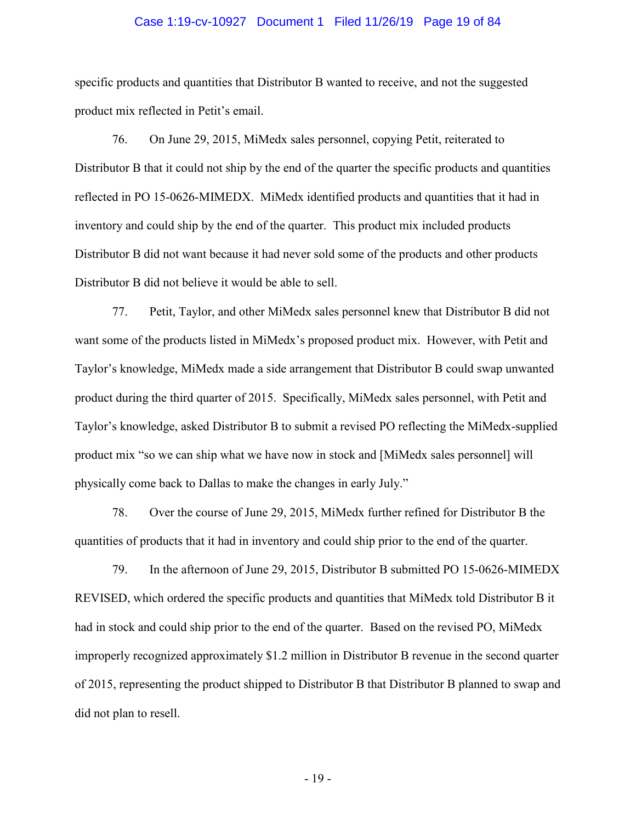#### Case 1:19-cv-10927 Document 1 Filed 11/26/19 Page 19 of 84

specific products and quantities that Distributor B wanted to receive, and not the suggested product mix reflected in Petit's email.

76. On June 29, 2015, MiMedx sales personnel, copying Petit, reiterated to Distributor B that it could not ship by the end of the quarter the specific products and quantities reflected in PO 15-0626-MIMEDX. MiMedx identified products and quantities that it had in inventory and could ship by the end of the quarter. This product mix included products Distributor B did not want because it had never sold some of the products and other products Distributor B did not believe it would be able to sell.

77. Petit, Taylor, and other MiMedx sales personnel knew that Distributor B did not want some of the products listed in MiMedx's proposed product mix. However, with Petit and Taylor's knowledge, MiMedx made a side arrangement that Distributor B could swap unwanted product during the third quarter of 2015. Specifically, MiMedx sales personnel, with Petit and Taylor's knowledge, asked Distributor B to submit a revised PO reflecting the MiMedx-supplied product mix "so we can ship what we have now in stock and [MiMedx sales personnel] will physically come back to Dallas to make the changes in early July."

78. Over the course of June 29, 2015, MiMedx further refined for Distributor B the quantities of products that it had in inventory and could ship prior to the end of the quarter.

79. In the afternoon of June 29, 2015, Distributor B submitted PO 15-0626-MIMEDX REVISED, which ordered the specific products and quantities that MiMedx told Distributor B it had in stock and could ship prior to the end of the quarter. Based on the revised PO, MiMedx improperly recognized approximately \$1.2 million in Distributor B revenue in the second quarter of 2015, representing the product shipped to Distributor B that Distributor B planned to swap and did not plan to resell.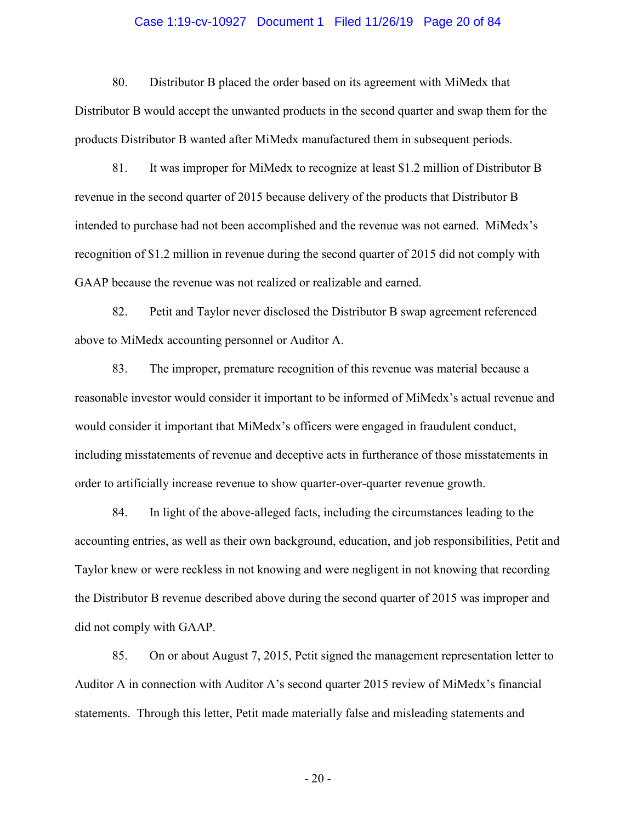#### Case 1:19-cv-10927 Document 1 Filed 11/26/19 Page 20 of 84

80. Distributor B placed the order based on its agreement with MiMedx that Distributor B would accept the unwanted products in the second quarter and swap them for the products Distributor B wanted after MiMedx manufactured them in subsequent periods.

81. It was improper for MiMedx to recognize at least \$1.2 million of Distributor B revenue in the second quarter of 2015 because delivery of the products that Distributor B intended to purchase had not been accomplished and the revenue was not earned. MiMedx's recognition of \$1.2 million in revenue during the second quarter of 2015 did not comply with GAAP because the revenue was not realized or realizable and earned.

82. Petit and Taylor never disclosed the Distributor B swap agreement referenced above to MiMedx accounting personnel or Auditor A.

83. The improper, premature recognition of this revenue was material because a reasonable investor would consider it important to be informed of MiMedx's actual revenue and would consider it important that MiMedx's officers were engaged in fraudulent conduct, including misstatements of revenue and deceptive acts in furtherance of those misstatements in order to artificially increase revenue to show quarter-over-quarter revenue growth.

84. In light of the above-alleged facts, including the circumstances leading to the accounting entries, as well as their own background, education, and job responsibilities, Petit and Taylor knew or were reckless in not knowing and were negligent in not knowing that recording the Distributor B revenue described above during the second quarter of 2015 was improper and did not comply with GAAP.

85. On or about August 7, 2015, Petit signed the management representation letter to Auditor A in connection with Auditor A's second quarter 2015 review of MiMedx's financial statements. Through this letter, Petit made materially false and misleading statements and

- 20 -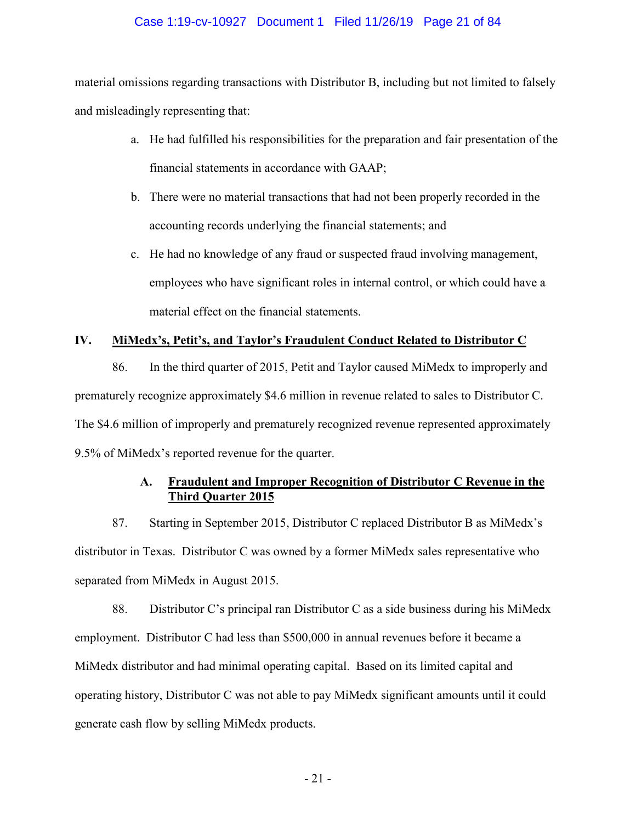## Case 1:19-cv-10927 Document 1 Filed 11/26/19 Page 21 of 84

material omissions regarding transactions with Distributor B, including but not limited to falsely and misleadingly representing that:

- a. He had fulfilled his responsibilities for the preparation and fair presentation of the financial statements in accordance with GAAP;
- b. There were no material transactions that had not been properly recorded in the accounting records underlying the financial statements; and
- c. He had no knowledge of any fraud or suspected fraud involving management, employees who have significant roles in internal control, or which could have a material effect on the financial statements.

# **IV. MiMedx's, Petit's, and Taylor's Fraudulent Conduct Related to Distributor C**

86. In the third quarter of 2015, Petit and Taylor caused MiMedx to improperly and prematurely recognize approximately \$4.6 million in revenue related to sales to Distributor C. The \$4.6 million of improperly and prematurely recognized revenue represented approximately 9.5% of MiMedx's reported revenue for the quarter.

# **A. Fraudulent and Improper Recognition of Distributor C Revenue in the Third Quarter 2015**

87. Starting in September 2015, Distributor C replaced Distributor B as MiMedx's distributor in Texas. Distributor C was owned by a former MiMedx sales representative who separated from MiMedx in August 2015.

88. Distributor C's principal ran Distributor C as a side business during his MiMedx employment. Distributor C had less than \$500,000 in annual revenues before it became a MiMedx distributor and had minimal operating capital. Based on its limited capital and operating history, Distributor C was not able to pay MiMedx significant amounts until it could generate cash flow by selling MiMedx products.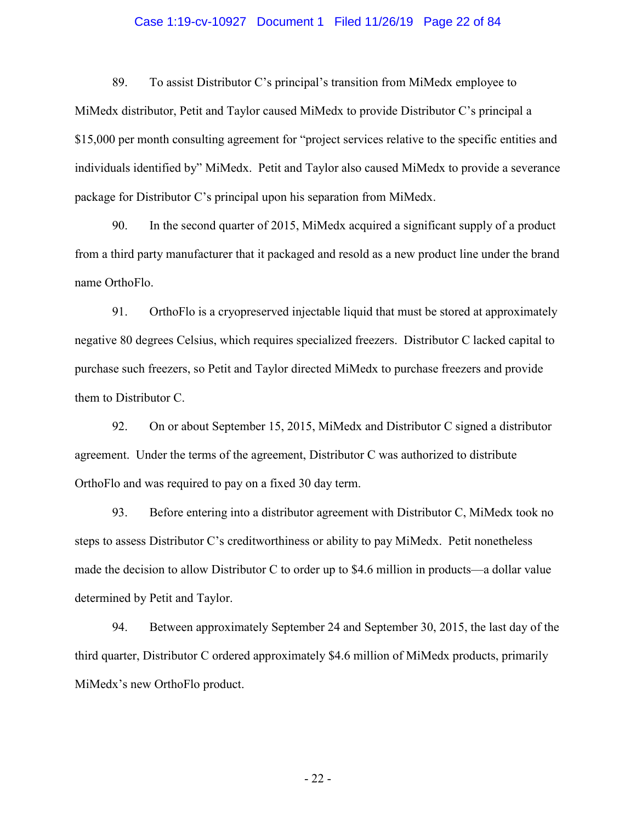#### Case 1:19-cv-10927 Document 1 Filed 11/26/19 Page 22 of 84

89. To assist Distributor C's principal's transition from MiMedx employee to MiMedx distributor, Petit and Taylor caused MiMedx to provide Distributor C's principal a \$15,000 per month consulting agreement for "project services relative to the specific entities and individuals identified by" MiMedx. Petit and Taylor also caused MiMedx to provide a severance package for Distributor C's principal upon his separation from MiMedx.

90. In the second quarter of 2015, MiMedx acquired a significant supply of a product from a third party manufacturer that it packaged and resold as a new product line under the brand name OrthoFlo.

91. OrthoFlo is a cryopreserved injectable liquid that must be stored at approximately negative 80 degrees Celsius, which requires specialized freezers. Distributor C lacked capital to purchase such freezers, so Petit and Taylor directed MiMedx to purchase freezers and provide them to Distributor C.

92. On or about September 15, 2015, MiMedx and Distributor C signed a distributor agreement. Under the terms of the agreement, Distributor C was authorized to distribute OrthoFlo and was required to pay on a fixed 30 day term.

93. Before entering into a distributor agreement with Distributor C, MiMedx took no steps to assess Distributor C's creditworthiness or ability to pay MiMedx. Petit nonetheless made the decision to allow Distributor C to order up to \$4.6 million in products—a dollar value determined by Petit and Taylor.

94. Between approximately September 24 and September 30, 2015, the last day of the third quarter, Distributor C ordered approximately \$4.6 million of MiMedx products, primarily MiMedx's new OrthoFlo product.

- 22 -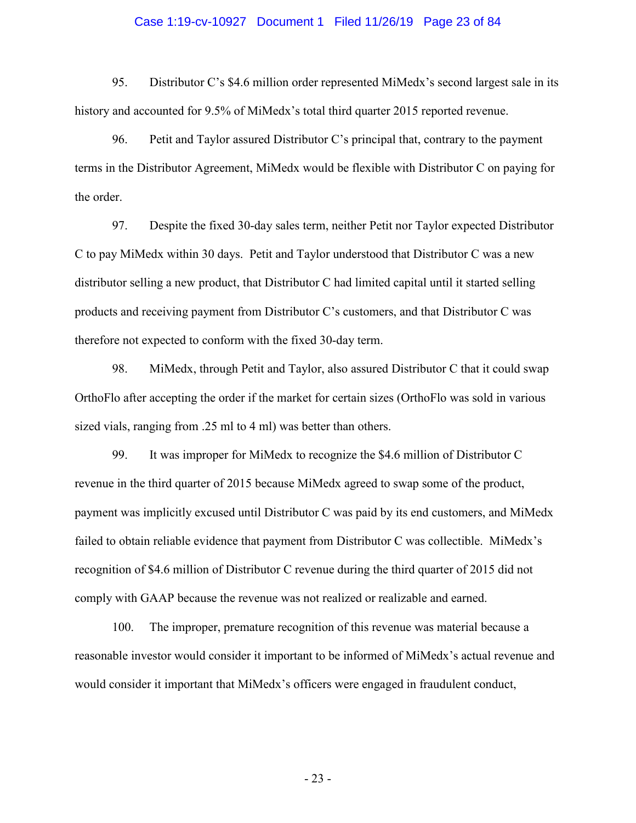#### Case 1:19-cv-10927 Document 1 Filed 11/26/19 Page 23 of 84

95. Distributor C's \$4.6 million order represented MiMedx's second largest sale in its history and accounted for 9.5% of MiMedx's total third quarter 2015 reported revenue.

96. Petit and Taylor assured Distributor C's principal that, contrary to the payment terms in the Distributor Agreement, MiMedx would be flexible with Distributor C on paying for the order.

97. Despite the fixed 30-day sales term, neither Petit nor Taylor expected Distributor C to pay MiMedx within 30 days. Petit and Taylor understood that Distributor C was a new distributor selling a new product, that Distributor C had limited capital until it started selling products and receiving payment from Distributor C's customers, and that Distributor C was therefore not expected to conform with the fixed 30-day term.

98. MiMedx, through Petit and Taylor, also assured Distributor C that it could swap OrthoFlo after accepting the order if the market for certain sizes (OrthoFlo was sold in various sized vials, ranging from .25 ml to 4 ml) was better than others.

99. It was improper for MiMedx to recognize the \$4.6 million of Distributor C revenue in the third quarter of 2015 because MiMedx agreed to swap some of the product, payment was implicitly excused until Distributor C was paid by its end customers, and MiMedx failed to obtain reliable evidence that payment from Distributor C was collectible. MiMedx's recognition of \$4.6 million of Distributor C revenue during the third quarter of 2015 did not comply with GAAP because the revenue was not realized or realizable and earned.

100. The improper, premature recognition of this revenue was material because a reasonable investor would consider it important to be informed of MiMedx's actual revenue and would consider it important that MiMedx's officers were engaged in fraudulent conduct,

- 23 -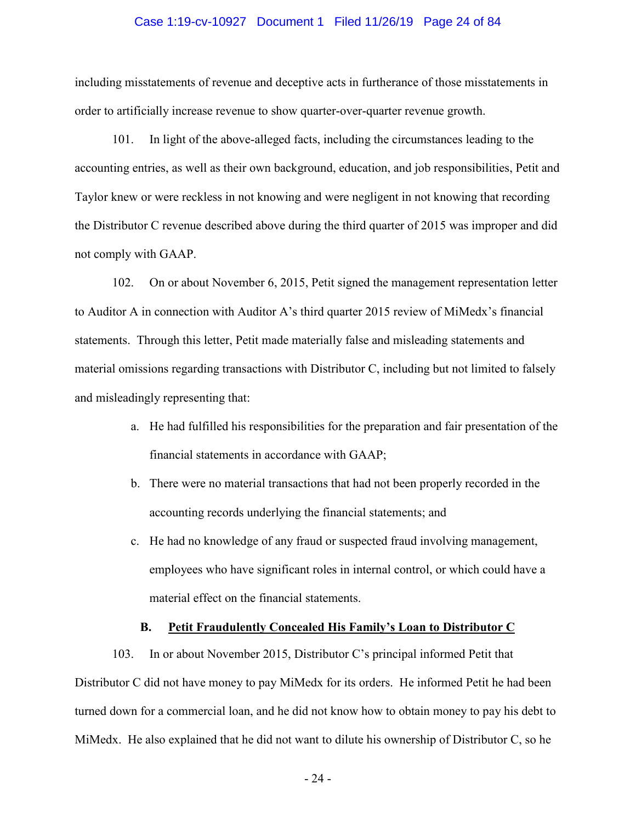#### Case 1:19-cv-10927 Document 1 Filed 11/26/19 Page 24 of 84

including misstatements of revenue and deceptive acts in furtherance of those misstatements in order to artificially increase revenue to show quarter-over-quarter revenue growth.

101. In light of the above-alleged facts, including the circumstances leading to the accounting entries, as well as their own background, education, and job responsibilities, Petit and Taylor knew or were reckless in not knowing and were negligent in not knowing that recording the Distributor C revenue described above during the third quarter of 2015 was improper and did not comply with GAAP.

102. On or about November 6, 2015, Petit signed the management representation letter to Auditor A in connection with Auditor A's third quarter 2015 review of MiMedx's financial statements. Through this letter, Petit made materially false and misleading statements and material omissions regarding transactions with Distributor C, including but not limited to falsely and misleadingly representing that:

- a. He had fulfilled his responsibilities for the preparation and fair presentation of the financial statements in accordance with GAAP;
- b. There were no material transactions that had not been properly recorded in the accounting records underlying the financial statements; and
- c. He had no knowledge of any fraud or suspected fraud involving management, employees who have significant roles in internal control, or which could have a material effect on the financial statements.

### **B. Petit Fraudulently Concealed His Family's Loan to Distributor C**

103. In or about November 2015, Distributor C's principal informed Petit that Distributor C did not have money to pay MiMedx for its orders. He informed Petit he had been turned down for a commercial loan, and he did not know how to obtain money to pay his debt to MiMedx. He also explained that he did not want to dilute his ownership of Distributor C, so he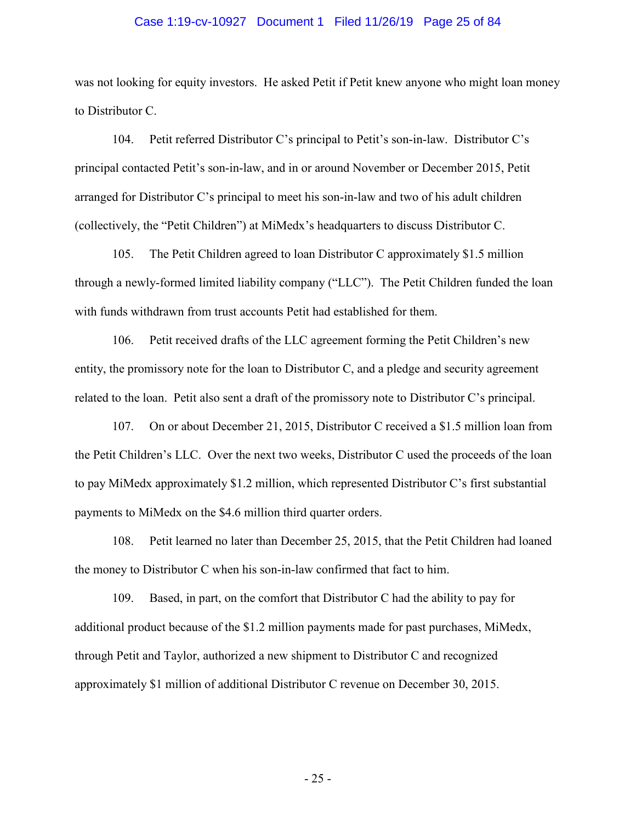#### Case 1:19-cv-10927 Document 1 Filed 11/26/19 Page 25 of 84

was not looking for equity investors. He asked Petit if Petit knew anyone who might loan money to Distributor C.

104. Petit referred Distributor C's principal to Petit's son-in-law. Distributor C's principal contacted Petit's son-in-law, and in or around November or December 2015, Petit arranged for Distributor C's principal to meet his son-in-law and two of his adult children (collectively, the "Petit Children") at MiMedx's headquarters to discuss Distributor C.

105. The Petit Children agreed to loan Distributor C approximately \$1.5 million through a newly-formed limited liability company ("LLC"). The Petit Children funded the loan with funds withdrawn from trust accounts Petit had established for them.

106. Petit received drafts of the LLC agreement forming the Petit Children's new entity, the promissory note for the loan to Distributor C, and a pledge and security agreement related to the loan. Petit also sent a draft of the promissory note to Distributor C's principal.

107. On or about December 21, 2015, Distributor C received a \$1.5 million loan from the Petit Children's LLC. Over the next two weeks, Distributor C used the proceeds of the loan to pay MiMedx approximately \$1.2 million, which represented Distributor C's first substantial payments to MiMedx on the \$4.6 million third quarter orders.

108. Petit learned no later than December 25, 2015, that the Petit Children had loaned the money to Distributor C when his son-in-law confirmed that fact to him.

109. Based, in part, on the comfort that Distributor C had the ability to pay for additional product because of the \$1.2 million payments made for past purchases, MiMedx, through Petit and Taylor, authorized a new shipment to Distributor C and recognized approximately \$1 million of additional Distributor C revenue on December 30, 2015.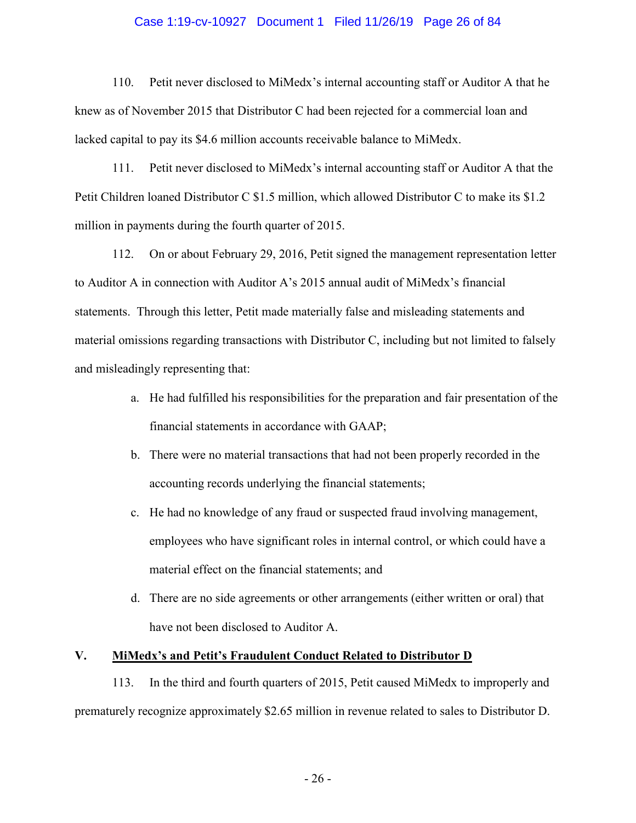#### Case 1:19-cv-10927 Document 1 Filed 11/26/19 Page 26 of 84

110. Petit never disclosed to MiMedx's internal accounting staff or Auditor A that he knew as of November 2015 that Distributor C had been rejected for a commercial loan and lacked capital to pay its \$4.6 million accounts receivable balance to MiMedx.

111. Petit never disclosed to MiMedx's internal accounting staff or Auditor A that the Petit Children loaned Distributor C \$1.5 million, which allowed Distributor C to make its \$1.2 million in payments during the fourth quarter of 2015.

112. On or about February 29, 2016, Petit signed the management representation letter to Auditor A in connection with Auditor A's 2015 annual audit of MiMedx's financial statements. Through this letter, Petit made materially false and misleading statements and material omissions regarding transactions with Distributor C, including but not limited to falsely and misleadingly representing that:

- a. He had fulfilled his responsibilities for the preparation and fair presentation of the financial statements in accordance with GAAP;
- b. There were no material transactions that had not been properly recorded in the accounting records underlying the financial statements;
- c. He had no knowledge of any fraud or suspected fraud involving management, employees who have significant roles in internal control, or which could have a material effect on the financial statements; and
- d. There are no side agreements or other arrangements (either written or oral) that have not been disclosed to Auditor A.

## **V. MiMedx's and Petit's Fraudulent Conduct Related to Distributor D**

113. In the third and fourth quarters of 2015, Petit caused MiMedx to improperly and prematurely recognize approximately \$2.65 million in revenue related to sales to Distributor D.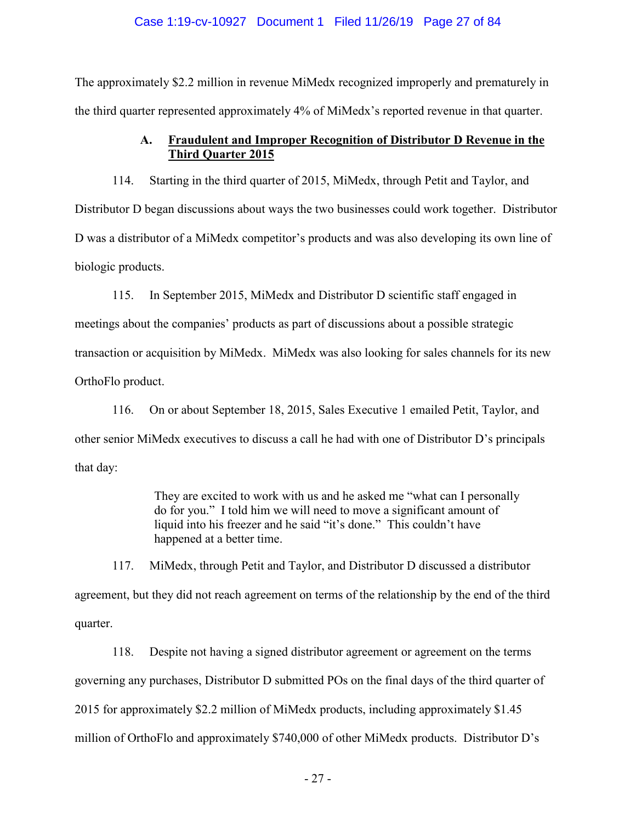### Case 1:19-cv-10927 Document 1 Filed 11/26/19 Page 27 of 84

The approximately \$2.2 million in revenue MiMedx recognized improperly and prematurely in the third quarter represented approximately 4% of MiMedx's reported revenue in that quarter.

# **A. Fraudulent and Improper Recognition of Distributor D Revenue in the Third Quarter 2015**

114. Starting in the third quarter of 2015, MiMedx, through Petit and Taylor, and Distributor D began discussions about ways the two businesses could work together. Distributor D was a distributor of a MiMedx competitor's products and was also developing its own line of biologic products.

115. In September 2015, MiMedx and Distributor D scientific staff engaged in meetings about the companies' products as part of discussions about a possible strategic transaction or acquisition by MiMedx. MiMedx was also looking for sales channels for its new OrthoFlo product.

116. On or about September 18, 2015, Sales Executive 1 emailed Petit, Taylor, and other senior MiMedx executives to discuss a call he had with one of Distributor D's principals that day:

> They are excited to work with us and he asked me "what can I personally do for you." I told him we will need to move a significant amount of liquid into his freezer and he said "it's done." This couldn't have happened at a better time.

117. MiMedx, through Petit and Taylor, and Distributor D discussed a distributor agreement, but they did not reach agreement on terms of the relationship by the end of the third quarter.

118. Despite not having a signed distributor agreement or agreement on the terms governing any purchases, Distributor D submitted POs on the final days of the third quarter of 2015 for approximately \$2.2 million of MiMedx products, including approximately \$1.45 million of OrthoFlo and approximately \$740,000 of other MiMedx products. Distributor D's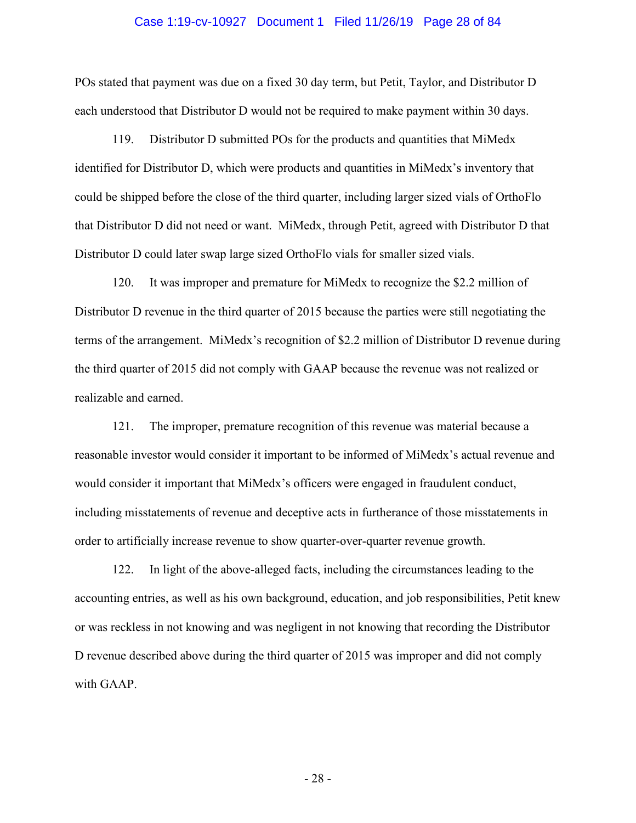#### Case 1:19-cv-10927 Document 1 Filed 11/26/19 Page 28 of 84

POs stated that payment was due on a fixed 30 day term, but Petit, Taylor, and Distributor D each understood that Distributor D would not be required to make payment within 30 days.

119. Distributor D submitted POs for the products and quantities that MiMedx identified for Distributor D, which were products and quantities in MiMedx's inventory that could be shipped before the close of the third quarter, including larger sized vials of OrthoFlo that Distributor D did not need or want. MiMedx, through Petit, agreed with Distributor D that Distributor D could later swap large sized OrthoFlo vials for smaller sized vials.

120. It was improper and premature for MiMedx to recognize the \$2.2 million of Distributor D revenue in the third quarter of 2015 because the parties were still negotiating the terms of the arrangement. MiMedx's recognition of \$2.2 million of Distributor D revenue during the third quarter of 2015 did not comply with GAAP because the revenue was not realized or realizable and earned.

121. The improper, premature recognition of this revenue was material because a reasonable investor would consider it important to be informed of MiMedx's actual revenue and would consider it important that MiMedx's officers were engaged in fraudulent conduct, including misstatements of revenue and deceptive acts in furtherance of those misstatements in order to artificially increase revenue to show quarter-over-quarter revenue growth.

122. In light of the above-alleged facts, including the circumstances leading to the accounting entries, as well as his own background, education, and job responsibilities, Petit knew or was reckless in not knowing and was negligent in not knowing that recording the Distributor D revenue described above during the third quarter of 2015 was improper and did not comply with GAAP.

- 28 -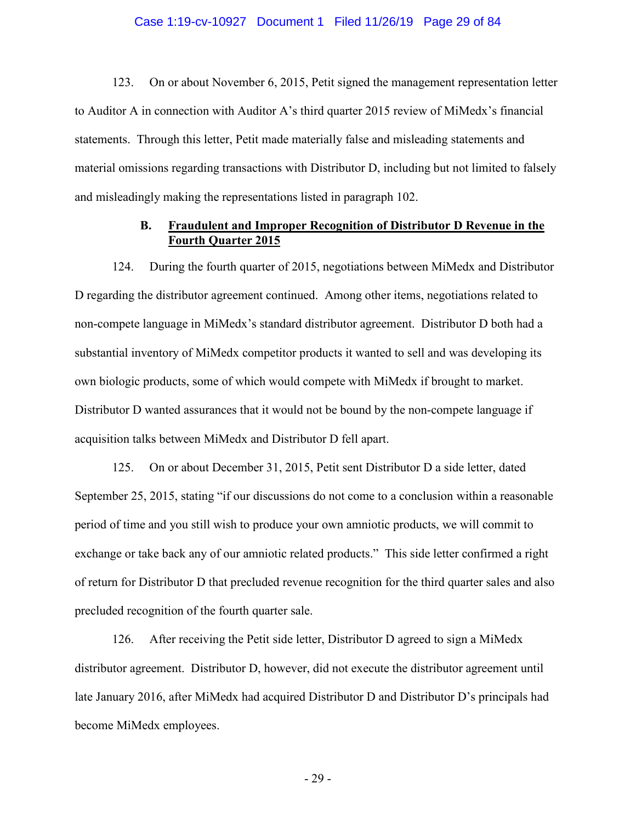#### Case 1:19-cv-10927 Document 1 Filed 11/26/19 Page 29 of 84

123. On or about November 6, 2015, Petit signed the management representation letter to Auditor A in connection with Auditor A's third quarter 2015 review of MiMedx's financial statements. Through this letter, Petit made materially false and misleading statements and material omissions regarding transactions with Distributor D, including but not limited to falsely and misleadingly making the representations listed in paragraph 102.

## **B. Fraudulent and Improper Recognition of Distributor D Revenue in the Fourth Quarter 2015**

124. During the fourth quarter of 2015, negotiations between MiMedx and Distributor D regarding the distributor agreement continued. Among other items, negotiations related to non-compete language in MiMedx's standard distributor agreement. Distributor D both had a substantial inventory of MiMedx competitor products it wanted to sell and was developing its own biologic products, some of which would compete with MiMedx if brought to market. Distributor D wanted assurances that it would not be bound by the non-compete language if acquisition talks between MiMedx and Distributor D fell apart.

125. On or about December 31, 2015, Petit sent Distributor D a side letter, dated September 25, 2015, stating "if our discussions do not come to a conclusion within a reasonable period of time and you still wish to produce your own amniotic products, we will commit to exchange or take back any of our amniotic related products." This side letter confirmed a right of return for Distributor D that precluded revenue recognition for the third quarter sales and also precluded recognition of the fourth quarter sale.

126. After receiving the Petit side letter, Distributor D agreed to sign a MiMedx distributor agreement. Distributor D, however, did not execute the distributor agreement until late January 2016, after MiMedx had acquired Distributor D and Distributor D's principals had become MiMedx employees.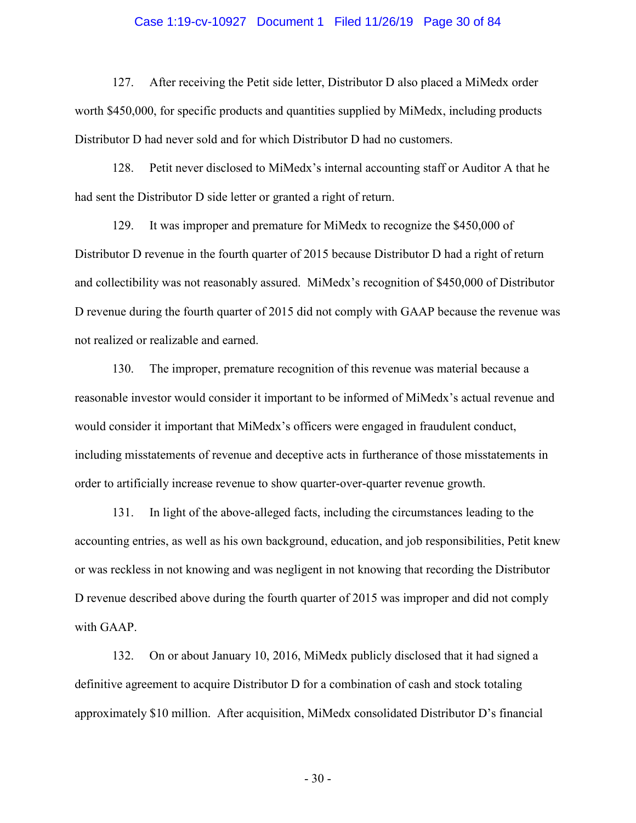#### Case 1:19-cv-10927 Document 1 Filed 11/26/19 Page 30 of 84

127. After receiving the Petit side letter, Distributor D also placed a MiMedx order worth \$450,000, for specific products and quantities supplied by MiMedx, including products Distributor D had never sold and for which Distributor D had no customers.

128. Petit never disclosed to MiMedx's internal accounting staff or Auditor A that he had sent the Distributor D side letter or granted a right of return.

129. It was improper and premature for MiMedx to recognize the \$450,000 of Distributor D revenue in the fourth quarter of 2015 because Distributor D had a right of return and collectibility was not reasonably assured. MiMedx's recognition of \$450,000 of Distributor D revenue during the fourth quarter of 2015 did not comply with GAAP because the revenue was not realized or realizable and earned.

130. The improper, premature recognition of this revenue was material because a reasonable investor would consider it important to be informed of MiMedx's actual revenue and would consider it important that MiMedx's officers were engaged in fraudulent conduct, including misstatements of revenue and deceptive acts in furtherance of those misstatements in order to artificially increase revenue to show quarter-over-quarter revenue growth.

131. In light of the above-alleged facts, including the circumstances leading to the accounting entries, as well as his own background, education, and job responsibilities, Petit knew or was reckless in not knowing and was negligent in not knowing that recording the Distributor D revenue described above during the fourth quarter of 2015 was improper and did not comply with GAAP.

132. On or about January 10, 2016, MiMedx publicly disclosed that it had signed a definitive agreement to acquire Distributor D for a combination of cash and stock totaling approximately \$10 million. After acquisition, MiMedx consolidated Distributor D's financial

- 30 -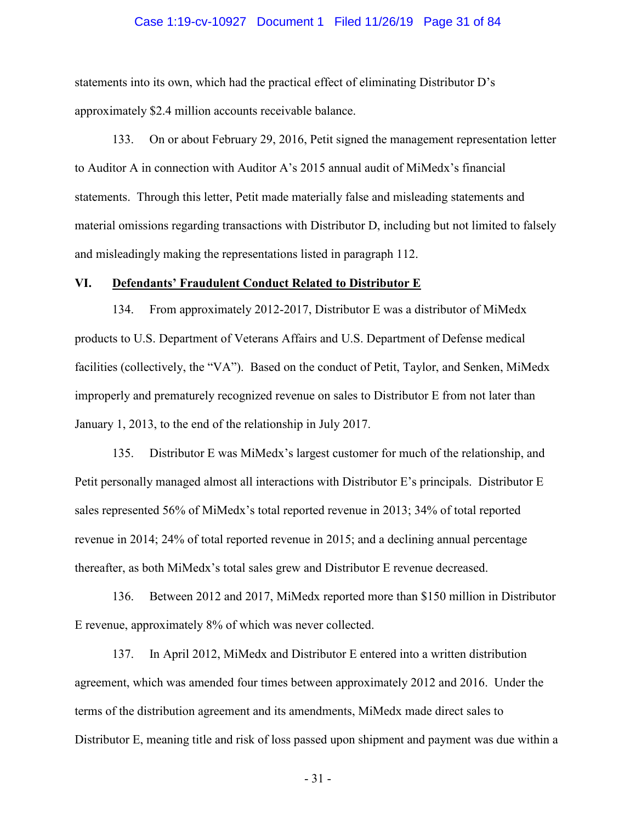#### Case 1:19-cv-10927 Document 1 Filed 11/26/19 Page 31 of 84

statements into its own, which had the practical effect of eliminating Distributor D's approximately \$2.4 million accounts receivable balance.

133. On or about February 29, 2016, Petit signed the management representation letter to Auditor A in connection with Auditor A's 2015 annual audit of MiMedx's financial statements. Through this letter, Petit made materially false and misleading statements and material omissions regarding transactions with Distributor D, including but not limited to falsely and misleadingly making the representations listed in paragraph 112.

#### **VI. Defendants' Fraudulent Conduct Related to Distributor E**

134. From approximately 2012-2017, Distributor E was a distributor of MiMedx products to U.S. Department of Veterans Affairs and U.S. Department of Defense medical facilities (collectively, the "VA"). Based on the conduct of Petit, Taylor, and Senken, MiMedx improperly and prematurely recognized revenue on sales to Distributor E from not later than January 1, 2013, to the end of the relationship in July 2017.

135. Distributor E was MiMedx's largest customer for much of the relationship, and Petit personally managed almost all interactions with Distributor E's principals. Distributor E sales represented 56% of MiMedx's total reported revenue in 2013; 34% of total reported revenue in 2014; 24% of total reported revenue in 2015; and a declining annual percentage thereafter, as both MiMedx's total sales grew and Distributor E revenue decreased.

136. Between 2012 and 2017, MiMedx reported more than \$150 million in Distributor E revenue, approximately 8% of which was never collected.

137. In April 2012, MiMedx and Distributor E entered into a written distribution agreement, which was amended four times between approximately 2012 and 2016. Under the terms of the distribution agreement and its amendments, MiMedx made direct sales to Distributor E, meaning title and risk of loss passed upon shipment and payment was due within a

- 31 -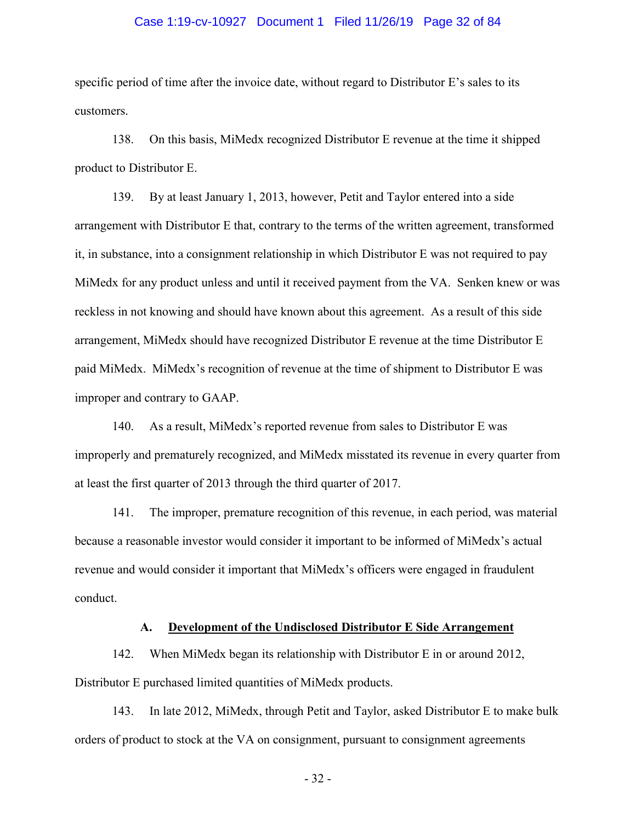#### Case 1:19-cv-10927 Document 1 Filed 11/26/19 Page 32 of 84

specific period of time after the invoice date, without regard to Distributor E's sales to its customers.

138. On this basis, MiMedx recognized Distributor E revenue at the time it shipped product to Distributor E.

139. By at least January 1, 2013, however, Petit and Taylor entered into a side arrangement with Distributor E that, contrary to the terms of the written agreement, transformed it, in substance, into a consignment relationship in which Distributor E was not required to pay MiMedx for any product unless and until it received payment from the VA. Senken knew or was reckless in not knowing and should have known about this agreement. As a result of this side arrangement, MiMedx should have recognized Distributor E revenue at the time Distributor E paid MiMedx. MiMedx's recognition of revenue at the time of shipment to Distributor E was improper and contrary to GAAP.

140. As a result, MiMedx's reported revenue from sales to Distributor E was improperly and prematurely recognized, and MiMedx misstated its revenue in every quarter from at least the first quarter of 2013 through the third quarter of 2017.

141. The improper, premature recognition of this revenue, in each period, was material because a reasonable investor would consider it important to be informed of MiMedx's actual revenue and would consider it important that MiMedx's officers were engaged in fraudulent conduct.

### **A. Development of the Undisclosed Distributor E Side Arrangement**

142. When MiMedx began its relationship with Distributor E in or around 2012, Distributor E purchased limited quantities of MiMedx products.

143. In late 2012, MiMedx, through Petit and Taylor, asked Distributor E to make bulk orders of product to stock at the VA on consignment, pursuant to consignment agreements

- 32 -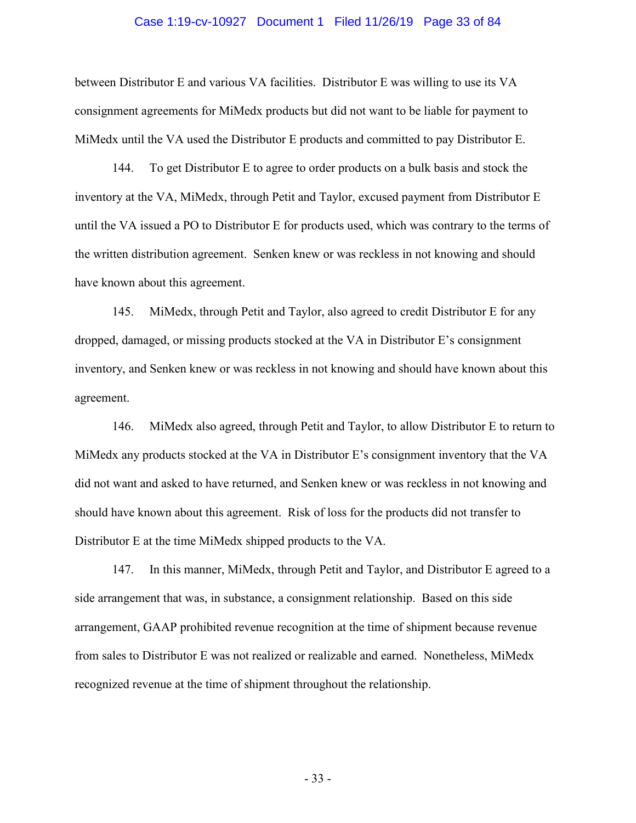#### Case 1:19-cv-10927 Document 1 Filed 11/26/19 Page 33 of 84

between Distributor E and various VA facilities. Distributor E was willing to use its VA consignment agreements for MiMedx products but did not want to be liable for payment to MiMedx until the VA used the Distributor E products and committed to pay Distributor E.

144. To get Distributor E to agree to order products on a bulk basis and stock the inventory at the VA, MiMedx, through Petit and Taylor, excused payment from Distributor E until the VA issued a PO to Distributor E for products used, which was contrary to the terms of the written distribution agreement. Senken knew or was reckless in not knowing and should have known about this agreement.

145. MiMedx, through Petit and Taylor, also agreed to credit Distributor E for any dropped, damaged, or missing products stocked at the VA in Distributor E's consignment inventory, and Senken knew or was reckless in not knowing and should have known about this agreement.

146. MiMedx also agreed, through Petit and Taylor, to allow Distributor E to return to MiMedx any products stocked at the VA in Distributor E's consignment inventory that the VA did not want and asked to have returned, and Senken knew or was reckless in not knowing and should have known about this agreement. Risk of loss for the products did not transfer to Distributor E at the time MiMedx shipped products to the VA.

147. In this manner, MiMedx, through Petit and Taylor, and Distributor E agreed to a side arrangement that was, in substance, a consignment relationship. Based on this side arrangement, GAAP prohibited revenue recognition at the time of shipment because revenue from sales to Distributor E was not realized or realizable and earned. Nonetheless, MiMedx recognized revenue at the time of shipment throughout the relationship.

- 33 -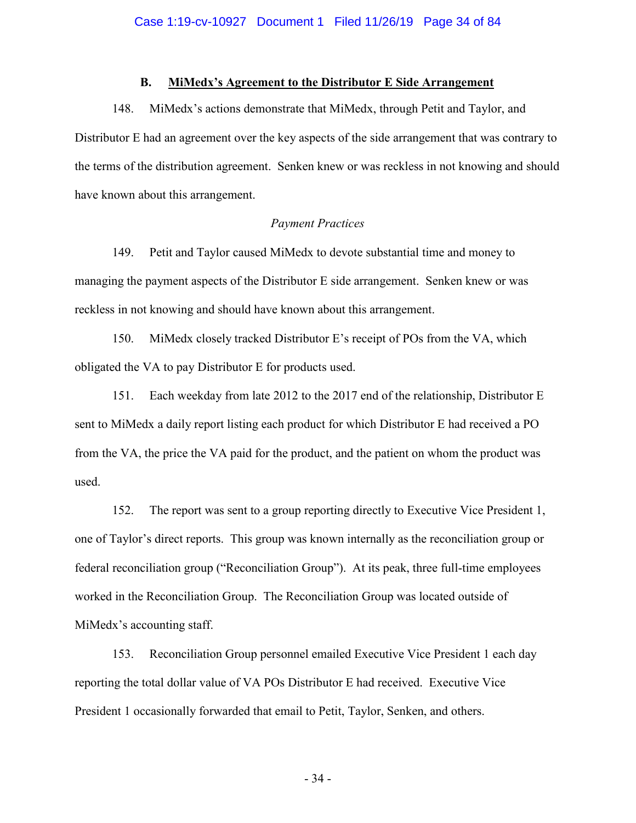### **B. MiMedx's Agreement to the Distributor E Side Arrangement**

148. MiMedx's actions demonstrate that MiMedx, through Petit and Taylor, and Distributor E had an agreement over the key aspects of the side arrangement that was contrary to the terms of the distribution agreement. Senken knew or was reckless in not knowing and should have known about this arrangement.

## *Payment Practices*

149. Petit and Taylor caused MiMedx to devote substantial time and money to managing the payment aspects of the Distributor E side arrangement. Senken knew or was reckless in not knowing and should have known about this arrangement.

150. MiMedx closely tracked Distributor E's receipt of POs from the VA, which obligated the VA to pay Distributor E for products used.

151. Each weekday from late 2012 to the 2017 end of the relationship, Distributor E sent to MiMedx a daily report listing each product for which Distributor E had received a PO from the VA, the price the VA paid for the product, and the patient on whom the product was used.

152. The report was sent to a group reporting directly to Executive Vice President 1, one of Taylor's direct reports. This group was known internally as the reconciliation group or federal reconciliation group ("Reconciliation Group"). At its peak, three full-time employees worked in the Reconciliation Group. The Reconciliation Group was located outside of MiMedx's accounting staff.

153. Reconciliation Group personnel emailed Executive Vice President 1 each day reporting the total dollar value of VA POs Distributor E had received. Executive Vice President 1 occasionally forwarded that email to Petit, Taylor, Senken, and others.

- 34 -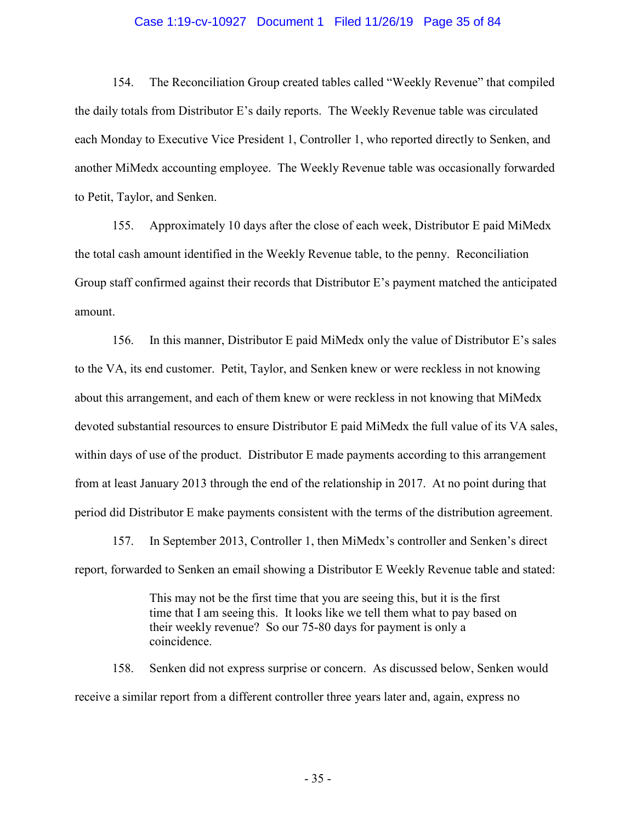#### Case 1:19-cv-10927 Document 1 Filed 11/26/19 Page 35 of 84

154. The Reconciliation Group created tables called "Weekly Revenue" that compiled the daily totals from Distributor E's daily reports. The Weekly Revenue table was circulated each Monday to Executive Vice President 1, Controller 1, who reported directly to Senken, and another MiMedx accounting employee. The Weekly Revenue table was occasionally forwarded to Petit, Taylor, and Senken.

155. Approximately 10 days after the close of each week, Distributor E paid MiMedx the total cash amount identified in the Weekly Revenue table, to the penny. Reconciliation Group staff confirmed against their records that Distributor E's payment matched the anticipated amount.

156. In this manner, Distributor E paid MiMedx only the value of Distributor E's sales to the VA, its end customer. Petit, Taylor, and Senken knew or were reckless in not knowing about this arrangement, and each of them knew or were reckless in not knowing that MiMedx devoted substantial resources to ensure Distributor E paid MiMedx the full value of its VA sales, within days of use of the product. Distributor E made payments according to this arrangement from at least January 2013 through the end of the relationship in 2017. At no point during that period did Distributor E make payments consistent with the terms of the distribution agreement.

157. In September 2013, Controller 1, then MiMedx's controller and Senken's direct report, forwarded to Senken an email showing a Distributor E Weekly Revenue table and stated:

> This may not be the first time that you are seeing this, but it is the first time that I am seeing this. It looks like we tell them what to pay based on their weekly revenue? So our 75-80 days for payment is only a coincidence.

158. Senken did not express surprise or concern. As discussed below, Senken would receive a similar report from a different controller three years later and, again, express no

- 35 -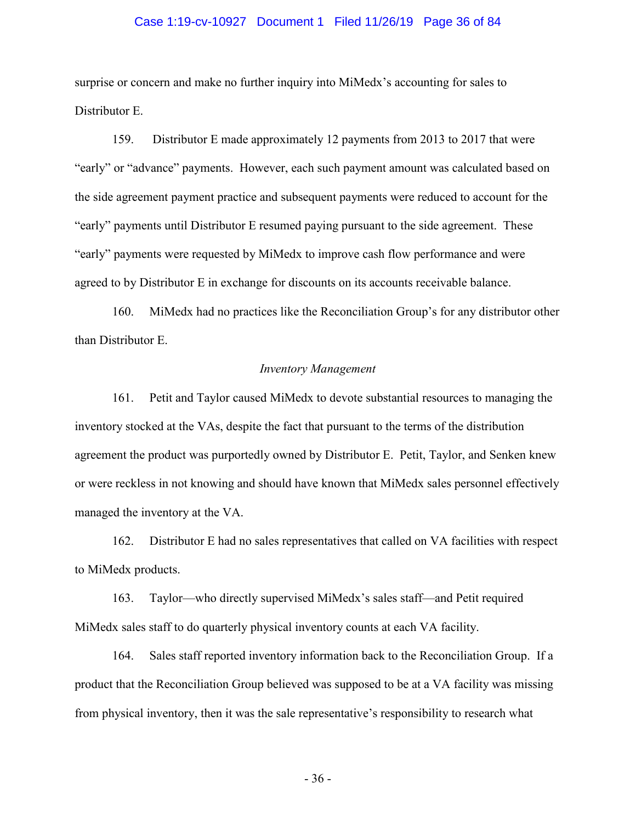#### Case 1:19-cv-10927 Document 1 Filed 11/26/19 Page 36 of 84

surprise or concern and make no further inquiry into MiMedx's accounting for sales to Distributor E.

159. Distributor E made approximately 12 payments from 2013 to 2017 that were "early" or "advance" payments. However, each such payment amount was calculated based on the side agreement payment practice and subsequent payments were reduced to account for the "early" payments until Distributor E resumed paying pursuant to the side agreement. These "early" payments were requested by MiMedx to improve cash flow performance and were agreed to by Distributor E in exchange for discounts on its accounts receivable balance.

160. MiMedx had no practices like the Reconciliation Group's for any distributor other than Distributor E.

## *Inventory Management*

161. Petit and Taylor caused MiMedx to devote substantial resources to managing the inventory stocked at the VAs, despite the fact that pursuant to the terms of the distribution agreement the product was purportedly owned by Distributor E. Petit, Taylor, and Senken knew or were reckless in not knowing and should have known that MiMedx sales personnel effectively managed the inventory at the VA.

162. Distributor E had no sales representatives that called on VA facilities with respect to MiMedx products.

163. Taylor—who directly supervised MiMedx's sales staff—and Petit required MiMedx sales staff to do quarterly physical inventory counts at each VA facility.

164. Sales staff reported inventory information back to the Reconciliation Group. If a product that the Reconciliation Group believed was supposed to be at a VA facility was missing from physical inventory, then it was the sale representative's responsibility to research what

- 36 -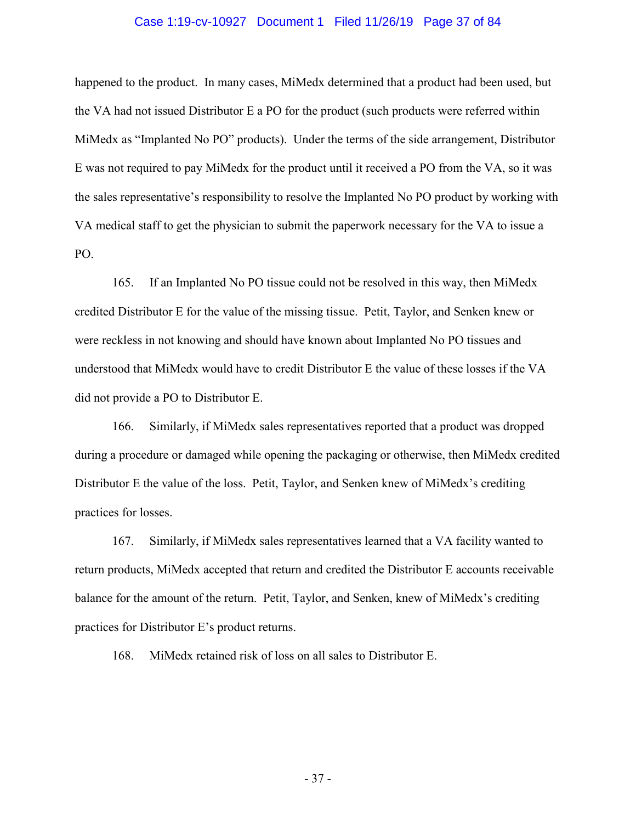## Case 1:19-cv-10927 Document 1 Filed 11/26/19 Page 37 of 84

happened to the product. In many cases, MiMedx determined that a product had been used, but the VA had not issued Distributor E a PO for the product (such products were referred within MiMedx as "Implanted No PO" products). Under the terms of the side arrangement, Distributor E was not required to pay MiMedx for the product until it received a PO from the VA, so it was the sales representative's responsibility to resolve the Implanted No PO product by working with VA medical staff to get the physician to submit the paperwork necessary for the VA to issue a PO.

165. If an Implanted No PO tissue could not be resolved in this way, then MiMedx credited Distributor E for the value of the missing tissue. Petit, Taylor, and Senken knew or were reckless in not knowing and should have known about Implanted No PO tissues and understood that MiMedx would have to credit Distributor E the value of these losses if the VA did not provide a PO to Distributor E.

166. Similarly, if MiMedx sales representatives reported that a product was dropped during a procedure or damaged while opening the packaging or otherwise, then MiMedx credited Distributor E the value of the loss. Petit, Taylor, and Senken knew of MiMedx's crediting practices for losses.

167. Similarly, if MiMedx sales representatives learned that a VA facility wanted to return products, MiMedx accepted that return and credited the Distributor E accounts receivable balance for the amount of the return. Petit, Taylor, and Senken, knew of MiMedx's crediting practices for Distributor E's product returns.

168. MiMedx retained risk of loss on all sales to Distributor E.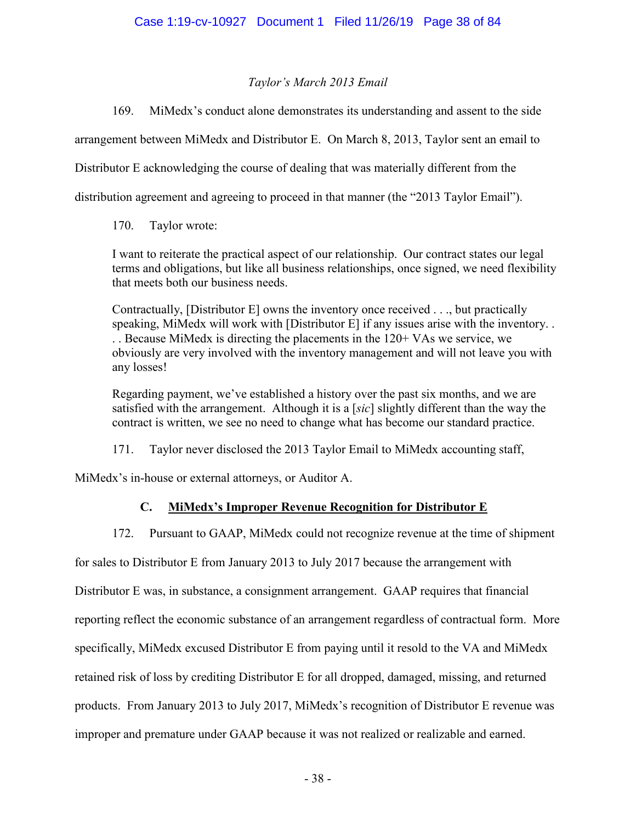# *Taylor's March 2013 Email*

169. MiMedx's conduct alone demonstrates its understanding and assent to the side

arrangement between MiMedx and Distributor E. On March 8, 2013, Taylor sent an email to

Distributor E acknowledging the course of dealing that was materially different from the

distribution agreement and agreeing to proceed in that manner (the "2013 Taylor Email").

170. Taylor wrote:

I want to reiterate the practical aspect of our relationship. Our contract states our legal terms and obligations, but like all business relationships, once signed, we need flexibility that meets both our business needs.

Contractually, [Distributor E] owns the inventory once received . . ., but practically speaking, MiMedx will work with [Distributor E] if any issues arise with the inventory. . . . Because MiMedx is directing the placements in the 120+ VAs we service, we obviously are very involved with the inventory management and will not leave you with any losses!

Regarding payment, we've established a history over the past six months, and we are satisfied with the arrangement. Although it is a [*sic*] slightly different than the way the contract is written, we see no need to change what has become our standard practice.

171. Taylor never disclosed the 2013 Taylor Email to MiMedx accounting staff,

MiMedx's in-house or external attorneys, or Auditor A.

# **C. MiMedx's Improper Revenue Recognition for Distributor E**

172. Pursuant to GAAP, MiMedx could not recognize revenue at the time of shipment

for sales to Distributor E from January 2013 to July 2017 because the arrangement with

Distributor E was, in substance, a consignment arrangement. GAAP requires that financial

reporting reflect the economic substance of an arrangement regardless of contractual form. More

specifically, MiMedx excused Distributor E from paying until it resold to the VA and MiMedx

retained risk of loss by crediting Distributor E for all dropped, damaged, missing, and returned

products. From January 2013 to July 2017, MiMedx's recognition of Distributor E revenue was

improper and premature under GAAP because it was not realized or realizable and earned.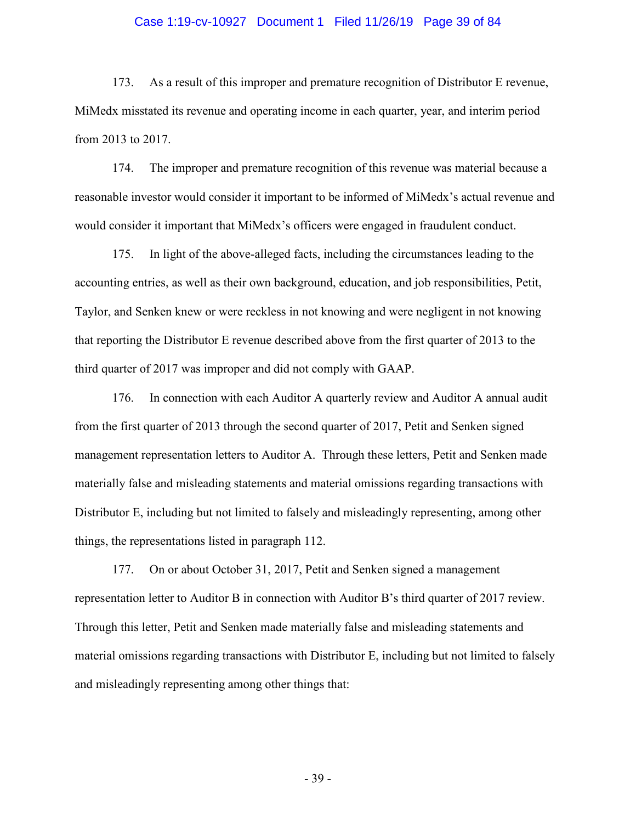## Case 1:19-cv-10927 Document 1 Filed 11/26/19 Page 39 of 84

173. As a result of this improper and premature recognition of Distributor E revenue, MiMedx misstated its revenue and operating income in each quarter, year, and interim period from 2013 to 2017.

174. The improper and premature recognition of this revenue was material because a reasonable investor would consider it important to be informed of MiMedx's actual revenue and would consider it important that MiMedx's officers were engaged in fraudulent conduct.

175. In light of the above-alleged facts, including the circumstances leading to the accounting entries, as well as their own background, education, and job responsibilities, Petit, Taylor, and Senken knew or were reckless in not knowing and were negligent in not knowing that reporting the Distributor E revenue described above from the first quarter of 2013 to the third quarter of 2017 was improper and did not comply with GAAP.

176. In connection with each Auditor A quarterly review and Auditor A annual audit from the first quarter of 2013 through the second quarter of 2017, Petit and Senken signed management representation letters to Auditor A. Through these letters, Petit and Senken made materially false and misleading statements and material omissions regarding transactions with Distributor E, including but not limited to falsely and misleadingly representing, among other things, the representations listed in paragraph 112.

177. On or about October 31, 2017, Petit and Senken signed a management representation letter to Auditor B in connection with Auditor B's third quarter of 2017 review. Through this letter, Petit and Senken made materially false and misleading statements and material omissions regarding transactions with Distributor E, including but not limited to falsely and misleadingly representing among other things that: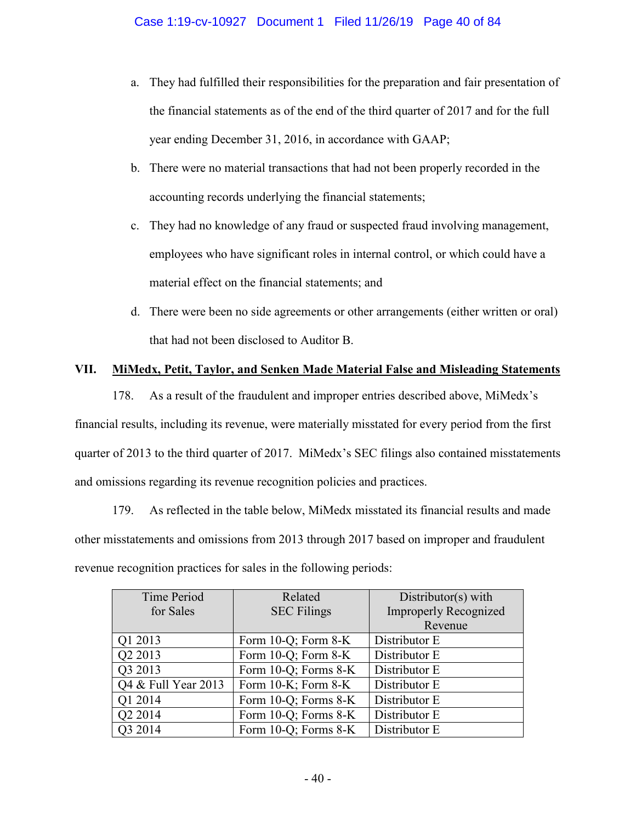- a. They had fulfilled their responsibilities for the preparation and fair presentation of the financial statements as of the end of the third quarter of 2017 and for the full year ending December 31, 2016, in accordance with GAAP;
- b. There were no material transactions that had not been properly recorded in the accounting records underlying the financial statements;
- c. They had no knowledge of any fraud or suspected fraud involving management, employees who have significant roles in internal control, or which could have a material effect on the financial statements; and
- d. There were been no side agreements or other arrangements (either written or oral) that had not been disclosed to Auditor B.

# **VII. MiMedx, Petit, Taylor, and Senken Made Material False and Misleading Statements**

178. As a result of the fraudulent and improper entries described above, MiMedx's financial results, including its revenue, were materially misstated for every period from the first quarter of 2013 to the third quarter of 2017. MiMedx's SEC filings also contained misstatements and omissions regarding its revenue recognition policies and practices.

179. As reflected in the table below, MiMedx misstated its financial results and made other misstatements and omissions from 2013 through 2017 based on improper and fraudulent revenue recognition practices for sales in the following periods:

| <b>Time Period</b>  | Related              | Distributor(s) with          |
|---------------------|----------------------|------------------------------|
| for Sales           | <b>SEC Filings</b>   | <b>Improperly Recognized</b> |
|                     |                      | Revenue                      |
| Q1 2013             | Form 10-Q; Form 8-K  | Distributor E                |
| Q2 2013             | Form 10-Q; Form 8-K  | Distributor E                |
| Q3 2013             | Form 10-Q; Forms 8-K | Distributor E                |
| Q4 & Full Year 2013 | Form 10-K; Form 8-K  | Distributor E                |
| Q1 2014             | Form 10-Q; Forms 8-K | Distributor E                |
| Q2 2014             | Form 10-Q; Forms 8-K | Distributor E                |
| Q3 2014             | Form 10-Q; Forms 8-K | Distributor E                |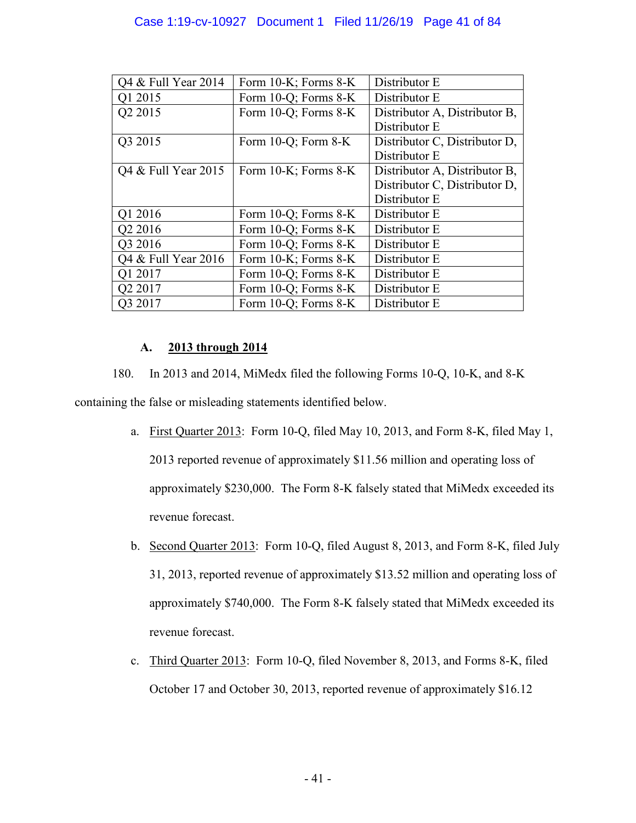# Case 1:19-cv-10927 Document 1 Filed 11/26/19 Page 41 of 84

| Q4 & Full Year 2014 | Form 10-K; Forms 8-K     | Distributor E                 |
|---------------------|--------------------------|-------------------------------|
| Q1 2015             | Form 10-Q; Forms 8-K     | Distributor E                 |
| Q2 2015             | Form 10-Q; Forms 8-K     | Distributor A, Distributor B, |
|                     |                          | Distributor E                 |
| Q3 2015             | Form $10-Q$ ; Form $8-K$ | Distributor C, Distributor D, |
|                     |                          | Distributor E                 |
| Q4 & Full Year 2015 | Form 10-K; Forms 8-K     | Distributor A, Distributor B, |
|                     |                          | Distributor C, Distributor D, |
|                     |                          | Distributor E                 |
| Q1 2016             | Form 10-Q; Forms 8-K     | Distributor E                 |
| Q2 2016             | Form 10-Q; Forms 8-K     | Distributor E                 |
| Q3 2016             | Form 10-Q; Forms 8-K     | Distributor E                 |
| Q4 & Full Year 2016 | Form 10-K; Forms 8-K     | Distributor E                 |
| Q1 2017             | Form 10-Q; Forms 8-K     | Distributor E                 |
| Q2 2017             | Form 10-Q; Forms 8-K     | Distributor E                 |
| O3 2017             | Form 10-Q; Forms 8-K     | Distributor E                 |

# **A. 2013 through 2014**

180. In 2013 and 2014, MiMedx filed the following Forms 10-Q, 10-K, and 8-K containing the false or misleading statements identified below.

- a. First Quarter 2013: Form 10-Q, filed May 10, 2013, and Form 8-K, filed May 1, 2013 reported revenue of approximately \$11.56 million and operating loss of approximately \$230,000. The Form 8-K falsely stated that MiMedx exceeded its revenue forecast.
- b. Second Quarter 2013: Form 10-Q, filed August 8, 2013, and Form 8-K, filed July 31, 2013, reported revenue of approximately \$13.52 million and operating loss of approximately \$740,000. The Form 8-K falsely stated that MiMedx exceeded its revenue forecast.
- c. Third Quarter 2013: Form 10-Q, filed November 8, 2013, and Forms 8-K, filed October 17 and October 30, 2013, reported revenue of approximately \$16.12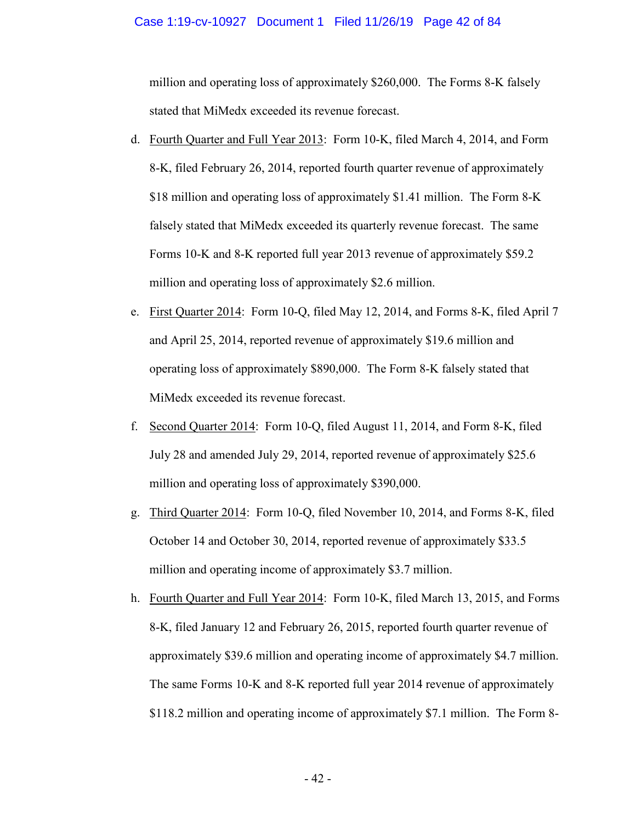#### Case 1:19-cv-10927 Document 1 Filed 11/26/19 Page 42 of 84

million and operating loss of approximately \$260,000. The Forms 8-K falsely stated that MiMedx exceeded its revenue forecast.

- d. Fourth Quarter and Full Year 2013: Form 10-K, filed March 4, 2014, and Form 8-K, filed February 26, 2014, reported fourth quarter revenue of approximately \$18 million and operating loss of approximately \$1.41 million. The Form 8-K falsely stated that MiMedx exceeded its quarterly revenue forecast. The same Forms 10-K and 8-K reported full year 2013 revenue of approximately \$59.2 million and operating loss of approximately \$2.6 million.
- e. First Quarter 2014: Form 10-Q, filed May 12, 2014, and Forms 8-K, filed April 7 and April 25, 2014, reported revenue of approximately \$19.6 million and operating loss of approximately \$890,000. The Form 8-K falsely stated that MiMedx exceeded its revenue forecast.
- f. Second Quarter 2014: Form 10-Q, filed August 11, 2014, and Form 8-K, filed July 28 and amended July 29, 2014, reported revenue of approximately \$25.6 million and operating loss of approximately \$390,000.
- g. Third Quarter 2014: Form 10-Q, filed November 10, 2014, and Forms 8-K, filed October 14 and October 30, 2014, reported revenue of approximately \$33.5 million and operating income of approximately \$3.7 million.
- h. Fourth Quarter and Full Year 2014: Form 10-K, filed March 13, 2015, and Forms 8-K, filed January 12 and February 26, 2015, reported fourth quarter revenue of approximately \$39.6 million and operating income of approximately \$4.7 million. The same Forms 10-K and 8-K reported full year 2014 revenue of approximately \$118.2 million and operating income of approximately \$7.1 million. The Form 8-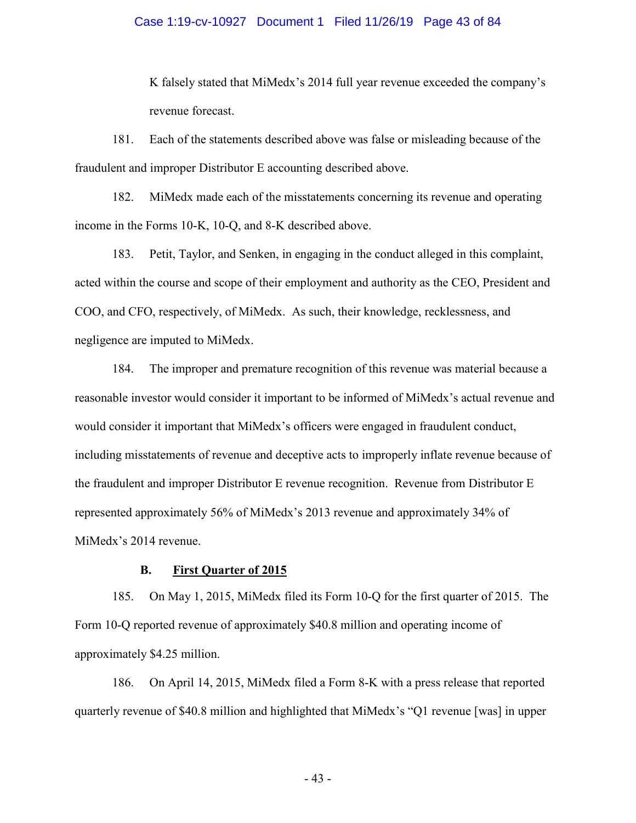## Case 1:19-cv-10927 Document 1 Filed 11/26/19 Page 43 of 84

K falsely stated that MiMedx's 2014 full year revenue exceeded the company's revenue forecast.

181. Each of the statements described above was false or misleading because of the fraudulent and improper Distributor E accounting described above.

182. MiMedx made each of the misstatements concerning its revenue and operating income in the Forms 10-K, 10-Q, and 8-K described above.

183. Petit, Taylor, and Senken, in engaging in the conduct alleged in this complaint, acted within the course and scope of their employment and authority as the CEO, President and COO, and CFO, respectively, of MiMedx. As such, their knowledge, recklessness, and negligence are imputed to MiMedx.

184. The improper and premature recognition of this revenue was material because a reasonable investor would consider it important to be informed of MiMedx's actual revenue and would consider it important that MiMedx's officers were engaged in fraudulent conduct, including misstatements of revenue and deceptive acts to improperly inflate revenue because of the fraudulent and improper Distributor E revenue recognition. Revenue from Distributor E represented approximately 56% of MiMedx's 2013 revenue and approximately 34% of MiMedx's 2014 revenue.

## **B. First Quarter of 2015**

185. On May 1, 2015, MiMedx filed its Form 10-Q for the first quarter of 2015. The Form 10-Q reported revenue of approximately \$40.8 million and operating income of approximately \$4.25 million.

186. On April 14, 2015, MiMedx filed a Form 8-K with a press release that reported quarterly revenue of \$40.8 million and highlighted that MiMedx's "Q1 revenue [was] in upper

- 43 -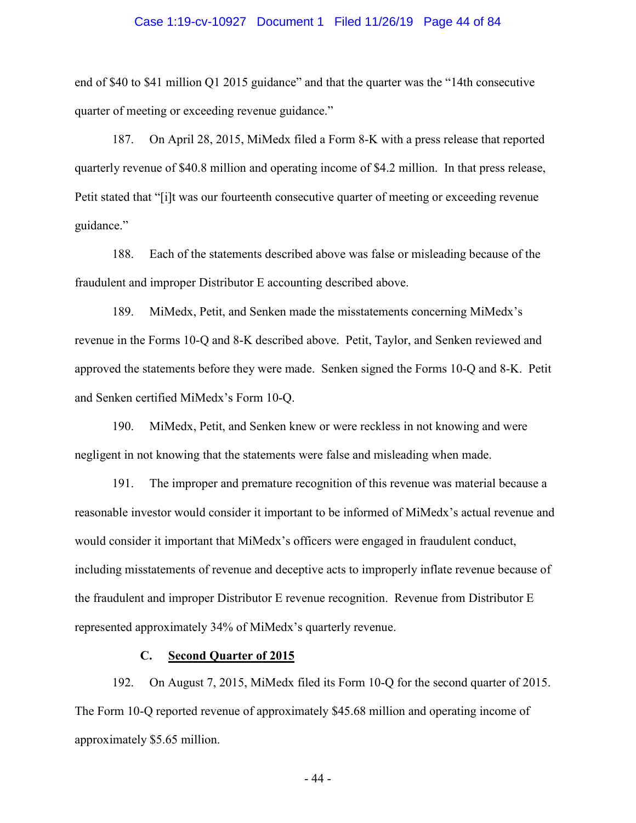## Case 1:19-cv-10927 Document 1 Filed 11/26/19 Page 44 of 84

end of \$40 to \$41 million Q1 2015 guidance" and that the quarter was the "14th consecutive quarter of meeting or exceeding revenue guidance."

187. On April 28, 2015, MiMedx filed a Form 8-K with a press release that reported quarterly revenue of \$40.8 million and operating income of \$4.2 million. In that press release, Petit stated that "[i]t was our fourteenth consecutive quarter of meeting or exceeding revenue guidance."

188. Each of the statements described above was false or misleading because of the fraudulent and improper Distributor E accounting described above.

189. MiMedx, Petit, and Senken made the misstatements concerning MiMedx's revenue in the Forms 10-Q and 8-K described above. Petit, Taylor, and Senken reviewed and approved the statements before they were made. Senken signed the Forms 10-Q and 8-K. Petit and Senken certified MiMedx's Form 10-Q.

190. MiMedx, Petit, and Senken knew or were reckless in not knowing and were negligent in not knowing that the statements were false and misleading when made.

191. The improper and premature recognition of this revenue was material because a reasonable investor would consider it important to be informed of MiMedx's actual revenue and would consider it important that MiMedx's officers were engaged in fraudulent conduct, including misstatements of revenue and deceptive acts to improperly inflate revenue because of the fraudulent and improper Distributor E revenue recognition. Revenue from Distributor E represented approximately 34% of MiMedx's quarterly revenue.

## **C. Second Quarter of 2015**

192. On August 7, 2015, MiMedx filed its Form 10-Q for the second quarter of 2015. The Form 10-Q reported revenue of approximately \$45.68 million and operating income of approximately \$5.65 million.

- 44 -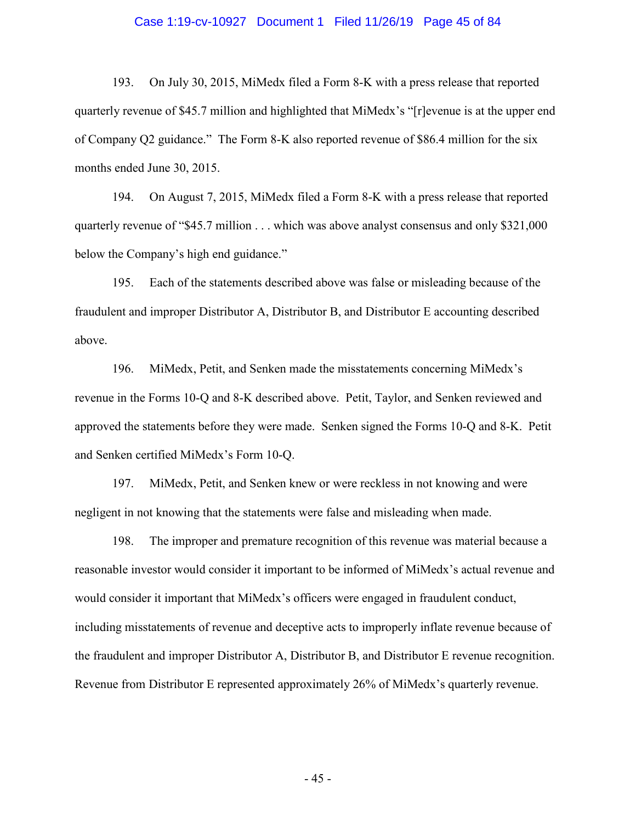## Case 1:19-cv-10927 Document 1 Filed 11/26/19 Page 45 of 84

193. On July 30, 2015, MiMedx filed a Form 8-K with a press release that reported quarterly revenue of \$45.7 million and highlighted that MiMedx's "[r]evenue is at the upper end of Company Q2 guidance." The Form 8-K also reported revenue of \$86.4 million for the six months ended June 30, 2015.

194. On August 7, 2015, MiMedx filed a Form 8-K with a press release that reported quarterly revenue of "\$45.7 million . . . which was above analyst consensus and only \$321,000 below the Company's high end guidance."

195. Each of the statements described above was false or misleading because of the fraudulent and improper Distributor A, Distributor B, and Distributor E accounting described above.

196. MiMedx, Petit, and Senken made the misstatements concerning MiMedx's revenue in the Forms 10-Q and 8-K described above. Petit, Taylor, and Senken reviewed and approved the statements before they were made. Senken signed the Forms 10-Q and 8-K. Petit and Senken certified MiMedx's Form 10-Q.

197. MiMedx, Petit, and Senken knew or were reckless in not knowing and were negligent in not knowing that the statements were false and misleading when made.

198. The improper and premature recognition of this revenue was material because a reasonable investor would consider it important to be informed of MiMedx's actual revenue and would consider it important that MiMedx's officers were engaged in fraudulent conduct, including misstatements of revenue and deceptive acts to improperly inflate revenue because of the fraudulent and improper Distributor A, Distributor B, and Distributor E revenue recognition. Revenue from Distributor E represented approximately 26% of MiMedx's quarterly revenue.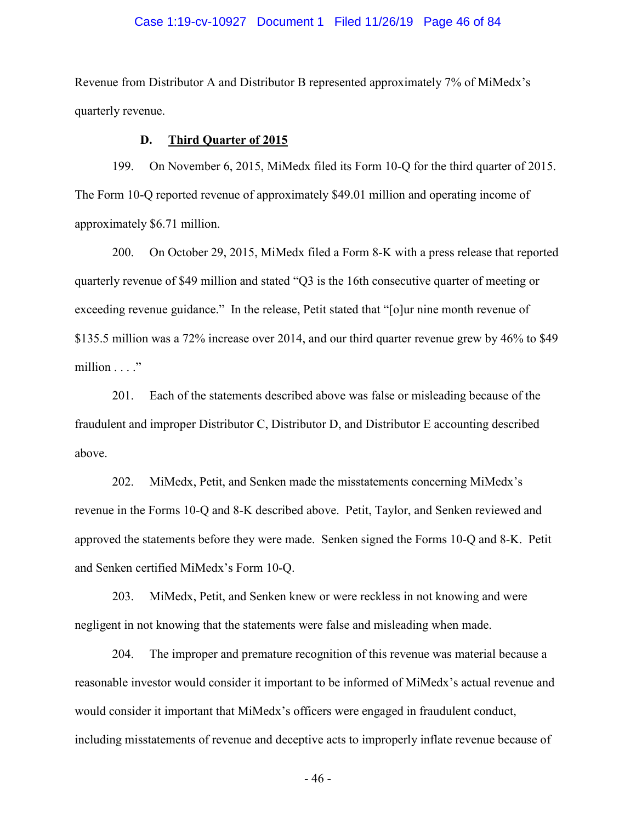## Case 1:19-cv-10927 Document 1 Filed 11/26/19 Page 46 of 84

Revenue from Distributor A and Distributor B represented approximately 7% of MiMedx's quarterly revenue.

## **D. Third Quarter of 2015**

199. On November 6, 2015, MiMedx filed its Form 10-Q for the third quarter of 2015. The Form 10-Q reported revenue of approximately \$49.01 million and operating income of approximately \$6.71 million.

200. On October 29, 2015, MiMedx filed a Form 8-K with a press release that reported quarterly revenue of \$49 million and stated "Q3 is the 16th consecutive quarter of meeting or exceeding revenue guidance." In the release, Petit stated that "[o]ur nine month revenue of \$135.5 million was a 72% increase over 2014, and our third quarter revenue grew by 46% to \$49 million . . . ."

201. Each of the statements described above was false or misleading because of the fraudulent and improper Distributor C, Distributor D, and Distributor E accounting described above.

202. MiMedx, Petit, and Senken made the misstatements concerning MiMedx's revenue in the Forms 10-Q and 8-K described above. Petit, Taylor, and Senken reviewed and approved the statements before they were made. Senken signed the Forms 10-Q and 8-K. Petit and Senken certified MiMedx's Form 10-Q.

203. MiMedx, Petit, and Senken knew or were reckless in not knowing and were negligent in not knowing that the statements were false and misleading when made.

204. The improper and premature recognition of this revenue was material because a reasonable investor would consider it important to be informed of MiMedx's actual revenue and would consider it important that MiMedx's officers were engaged in fraudulent conduct, including misstatements of revenue and deceptive acts to improperly inflate revenue because of

- 46 -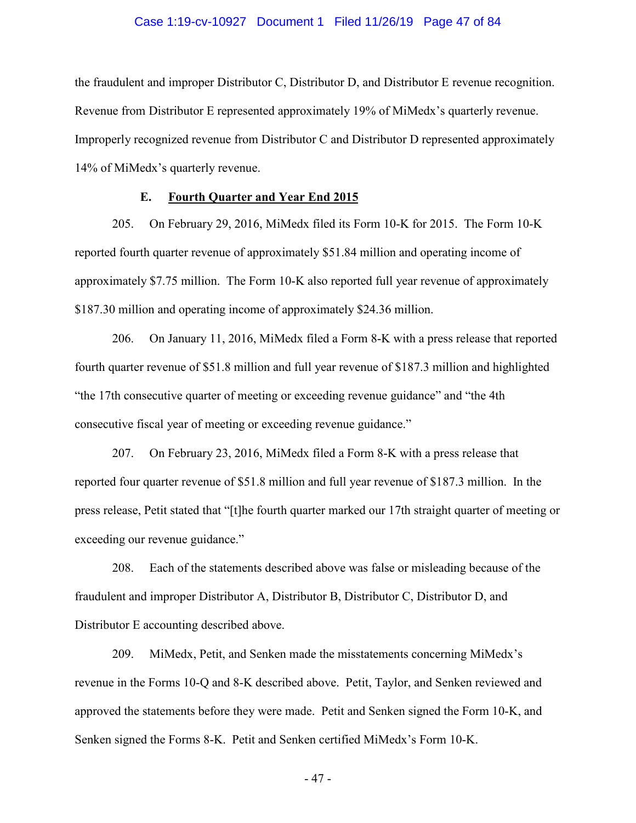## Case 1:19-cv-10927 Document 1 Filed 11/26/19 Page 47 of 84

the fraudulent and improper Distributor C, Distributor D, and Distributor E revenue recognition. Revenue from Distributor E represented approximately 19% of MiMedx's quarterly revenue. Improperly recognized revenue from Distributor C and Distributor D represented approximately 14% of MiMedx's quarterly revenue.

## **E. Fourth Quarter and Year End 2015**

205. On February 29, 2016, MiMedx filed its Form 10-K for 2015. The Form 10-K reported fourth quarter revenue of approximately \$51.84 million and operating income of approximately \$7.75 million. The Form 10-K also reported full year revenue of approximately \$187.30 million and operating income of approximately \$24.36 million.

206. On January 11, 2016, MiMedx filed a Form 8-K with a press release that reported fourth quarter revenue of \$51.8 million and full year revenue of \$187.3 million and highlighted "the 17th consecutive quarter of meeting or exceeding revenue guidance" and "the 4th consecutive fiscal year of meeting or exceeding revenue guidance."

207. On February 23, 2016, MiMedx filed a Form 8-K with a press release that reported four quarter revenue of \$51.8 million and full year revenue of \$187.3 million. In the press release, Petit stated that "[t]he fourth quarter marked our 17th straight quarter of meeting or exceeding our revenue guidance."

208. Each of the statements described above was false or misleading because of the fraudulent and improper Distributor A, Distributor B, Distributor C, Distributor D, and Distributor E accounting described above.

209. MiMedx, Petit, and Senken made the misstatements concerning MiMedx's revenue in the Forms 10-Q and 8-K described above. Petit, Taylor, and Senken reviewed and approved the statements before they were made. Petit and Senken signed the Form 10-K, and Senken signed the Forms 8-K. Petit and Senken certified MiMedx's Form 10-K.

- 47 -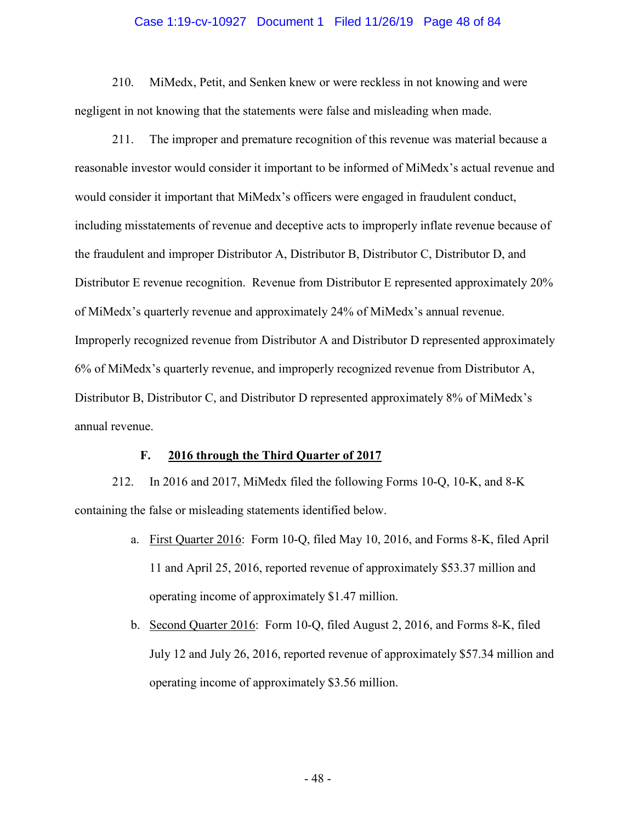#### Case 1:19-cv-10927 Document 1 Filed 11/26/19 Page 48 of 84

210. MiMedx, Petit, and Senken knew or were reckless in not knowing and were negligent in not knowing that the statements were false and misleading when made.

211. The improper and premature recognition of this revenue was material because a reasonable investor would consider it important to be informed of MiMedx's actual revenue and would consider it important that MiMedx's officers were engaged in fraudulent conduct, including misstatements of revenue and deceptive acts to improperly inflate revenue because of the fraudulent and improper Distributor A, Distributor B, Distributor C, Distributor D, and Distributor E revenue recognition. Revenue from Distributor E represented approximately 20% of MiMedx's quarterly revenue and approximately 24% of MiMedx's annual revenue. Improperly recognized revenue from Distributor A and Distributor D represented approximately 6% of MiMedx's quarterly revenue, and improperly recognized revenue from Distributor A, Distributor B, Distributor C, and Distributor D represented approximately 8% of MiMedx's annual revenue.

## **F. 2016 through the Third Quarter of 2017**

212. In 2016 and 2017, MiMedx filed the following Forms 10-Q, 10-K, and 8-K containing the false or misleading statements identified below.

- a. First Quarter 2016: Form 10-Q, filed May 10, 2016, and Forms 8-K, filed April 11 and April 25, 2016, reported revenue of approximately \$53.37 million and operating income of approximately \$1.47 million.
- b. Second Quarter 2016: Form 10-Q, filed August 2, 2016, and Forms 8-K, filed July 12 and July 26, 2016, reported revenue of approximately \$57.34 million and operating income of approximately \$3.56 million.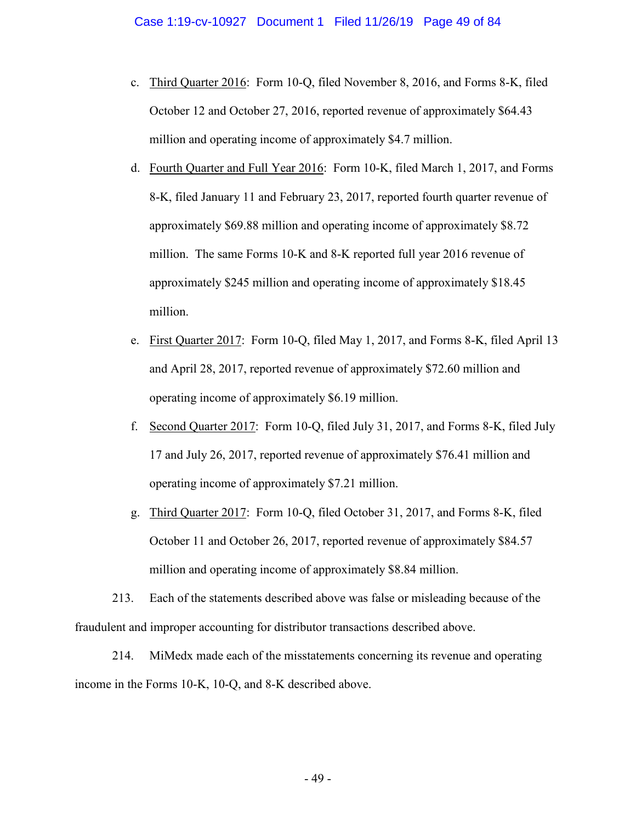- c. Third Quarter 2016: Form 10-Q, filed November 8, 2016, and Forms 8-K, filed October 12 and October 27, 2016, reported revenue of approximately \$64.43 million and operating income of approximately \$4.7 million.
- d. Fourth Quarter and Full Year 2016: Form 10-K, filed March 1, 2017, and Forms 8-K, filed January 11 and February 23, 2017, reported fourth quarter revenue of approximately \$69.88 million and operating income of approximately \$8.72 million. The same Forms 10-K and 8-K reported full year 2016 revenue of approximately \$245 million and operating income of approximately \$18.45 million.
- e. First Quarter 2017: Form 10-Q, filed May 1, 2017, and Forms 8-K, filed April 13 and April 28, 2017, reported revenue of approximately \$72.60 million and operating income of approximately \$6.19 million.
- f. Second Quarter 2017: Form 10-Q, filed July 31, 2017, and Forms 8-K, filed July 17 and July 26, 2017, reported revenue of approximately \$76.41 million and operating income of approximately \$7.21 million.
- g. Third Quarter 2017: Form 10-Q, filed October 31, 2017, and Forms 8-K, filed October 11 and October 26, 2017, reported revenue of approximately \$84.57 million and operating income of approximately \$8.84 million.

213. Each of the statements described above was false or misleading because of the fraudulent and improper accounting for distributor transactions described above.

214. MiMedx made each of the misstatements concerning its revenue and operating income in the Forms 10-K, 10-Q, and 8-K described above.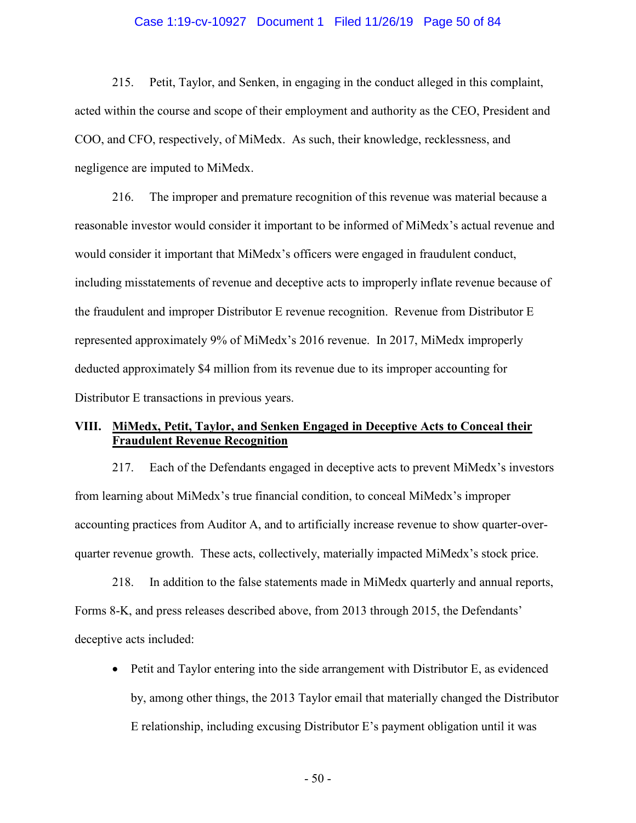## Case 1:19-cv-10927 Document 1 Filed 11/26/19 Page 50 of 84

215. Petit, Taylor, and Senken, in engaging in the conduct alleged in this complaint, acted within the course and scope of their employment and authority as the CEO, President and COO, and CFO, respectively, of MiMedx. As such, their knowledge, recklessness, and negligence are imputed to MiMedx.

216. The improper and premature recognition of this revenue was material because a reasonable investor would consider it important to be informed of MiMedx's actual revenue and would consider it important that MiMedx's officers were engaged in fraudulent conduct, including misstatements of revenue and deceptive acts to improperly inflate revenue because of the fraudulent and improper Distributor E revenue recognition. Revenue from Distributor E represented approximately 9% of MiMedx's 2016 revenue. In 2017, MiMedx improperly deducted approximately \$4 million from its revenue due to its improper accounting for Distributor E transactions in previous years.

## **VIII. MiMedx, Petit, Taylor, and Senken Engaged in Deceptive Acts to Conceal their Fraudulent Revenue Recognition**

217. Each of the Defendants engaged in deceptive acts to prevent MiMedx's investors from learning about MiMedx's true financial condition, to conceal MiMedx's improper accounting practices from Auditor A, and to artificially increase revenue to show quarter-overquarter revenue growth. These acts, collectively, materially impacted MiMedx's stock price.

218. In addition to the false statements made in MiMedx quarterly and annual reports, Forms 8-K, and press releases described above, from 2013 through 2015, the Defendants' deceptive acts included:

• Petit and Taylor entering into the side arrangement with Distributor E, as evidenced by, among other things, the 2013 Taylor email that materially changed the Distributor E relationship, including excusing Distributor E's payment obligation until it was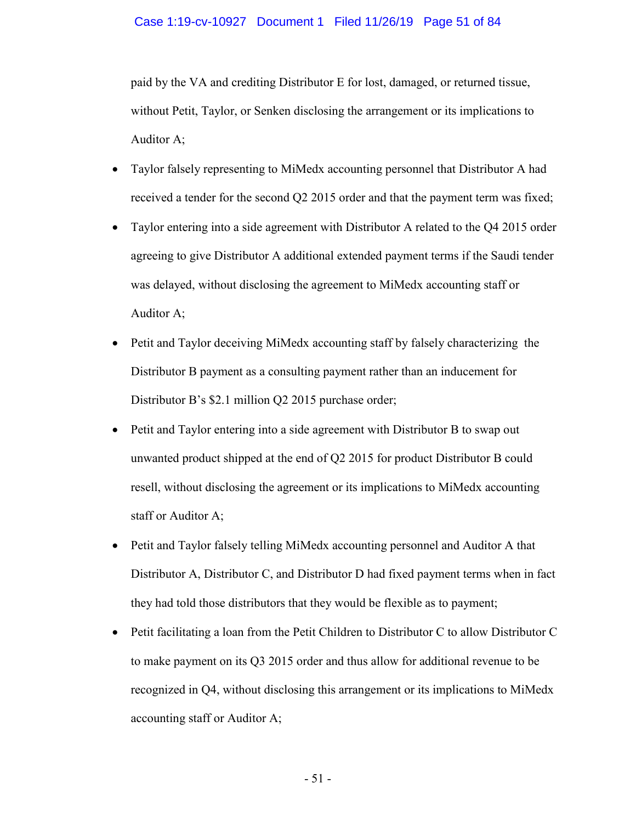## Case 1:19-cv-10927 Document 1 Filed 11/26/19 Page 51 of 84

paid by the VA and crediting Distributor E for lost, damaged, or returned tissue, without Petit, Taylor, or Senken disclosing the arrangement or its implications to Auditor A;

- Taylor falsely representing to MiMedx accounting personnel that Distributor A had received a tender for the second Q2 2015 order and that the payment term was fixed;
- Taylor entering into a side agreement with Distributor A related to the Q4 2015 order agreeing to give Distributor A additional extended payment terms if the Saudi tender was delayed, without disclosing the agreement to MiMedx accounting staff or Auditor A;
- Petit and Taylor deceiving MiMedx accounting staff by falsely characterizing the Distributor B payment as a consulting payment rather than an inducement for Distributor B's \$2.1 million Q2 2015 purchase order;
- Petit and Taylor entering into a side agreement with Distributor B to swap out unwanted product shipped at the end of Q2 2015 for product Distributor B could resell, without disclosing the agreement or its implications to MiMedx accounting staff or Auditor A;
- Petit and Taylor falsely telling MiMedx accounting personnel and Auditor A that Distributor A, Distributor C, and Distributor D had fixed payment terms when in fact they had told those distributors that they would be flexible as to payment;
- Petit facilitating a loan from the Petit Children to Distributor C to allow Distributor C to make payment on its Q3 2015 order and thus allow for additional revenue to be recognized in Q4, without disclosing this arrangement or its implications to MiMedx accounting staff or Auditor A;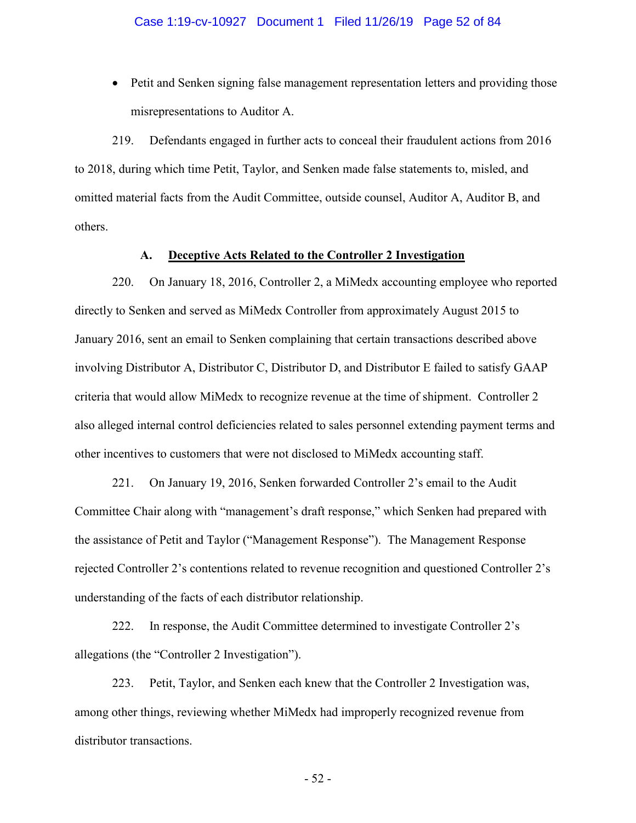• Petit and Senken signing false management representation letters and providing those misrepresentations to Auditor A.

219. Defendants engaged in further acts to conceal their fraudulent actions from 2016 to 2018, during which time Petit, Taylor, and Senken made false statements to, misled, and omitted material facts from the Audit Committee, outside counsel, Auditor A, Auditor B, and others.

## **A. Deceptive Acts Related to the Controller 2 Investigation**

220. On January 18, 2016, Controller 2, a MiMedx accounting employee who reported directly to Senken and served as MiMedx Controller from approximately August 2015 to January 2016, sent an email to Senken complaining that certain transactions described above involving Distributor A, Distributor C, Distributor D, and Distributor E failed to satisfy GAAP criteria that would allow MiMedx to recognize revenue at the time of shipment. Controller 2 also alleged internal control deficiencies related to sales personnel extending payment terms and other incentives to customers that were not disclosed to MiMedx accounting staff.

221. On January 19, 2016, Senken forwarded Controller 2's email to the Audit Committee Chair along with "management's draft response," which Senken had prepared with the assistance of Petit and Taylor ("Management Response"). The Management Response rejected Controller 2's contentions related to revenue recognition and questioned Controller 2's understanding of the facts of each distributor relationship.

222. In response, the Audit Committee determined to investigate Controller 2's allegations (the "Controller 2 Investigation").

223. Petit, Taylor, and Senken each knew that the Controller 2 Investigation was, among other things, reviewing whether MiMedx had improperly recognized revenue from distributor transactions.

- 52 -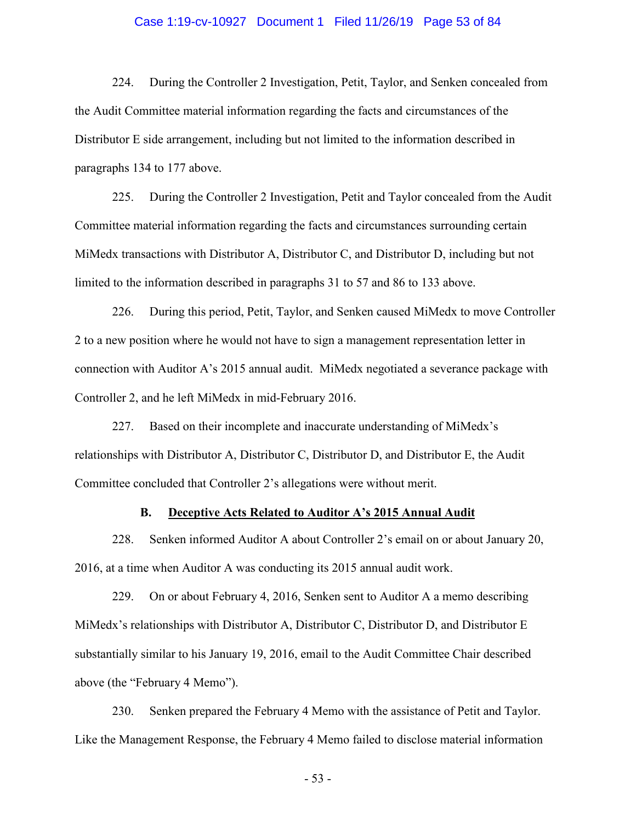## Case 1:19-cv-10927 Document 1 Filed 11/26/19 Page 53 of 84

224. During the Controller 2 Investigation, Petit, Taylor, and Senken concealed from the Audit Committee material information regarding the facts and circumstances of the Distributor E side arrangement, including but not limited to the information described in paragraphs 134 to 177 above.

225. During the Controller 2 Investigation, Petit and Taylor concealed from the Audit Committee material information regarding the facts and circumstances surrounding certain MiMedx transactions with Distributor A, Distributor C, and Distributor D, including but not limited to the information described in paragraphs 31 to 57 and 86 to 133 above.

226. During this period, Petit, Taylor, and Senken caused MiMedx to move Controller 2 to a new position where he would not have to sign a management representation letter in connection with Auditor A's 2015 annual audit. MiMedx negotiated a severance package with Controller 2, and he left MiMedx in mid-February 2016.

227. Based on their incomplete and inaccurate understanding of MiMedx's relationships with Distributor A, Distributor C, Distributor D, and Distributor E, the Audit Committee concluded that Controller 2's allegations were without merit.

## **B. Deceptive Acts Related to Auditor A's 2015 Annual Audit**

228. Senken informed Auditor A about Controller 2's email on or about January 20, 2016, at a time when Auditor A was conducting its 2015 annual audit work.

229. On or about February 4, 2016, Senken sent to Auditor A a memo describing MiMedx's relationships with Distributor A, Distributor C, Distributor D, and Distributor E substantially similar to his January 19, 2016, email to the Audit Committee Chair described above (the "February 4 Memo").

230. Senken prepared the February 4 Memo with the assistance of Petit and Taylor. Like the Management Response, the February 4 Memo failed to disclose material information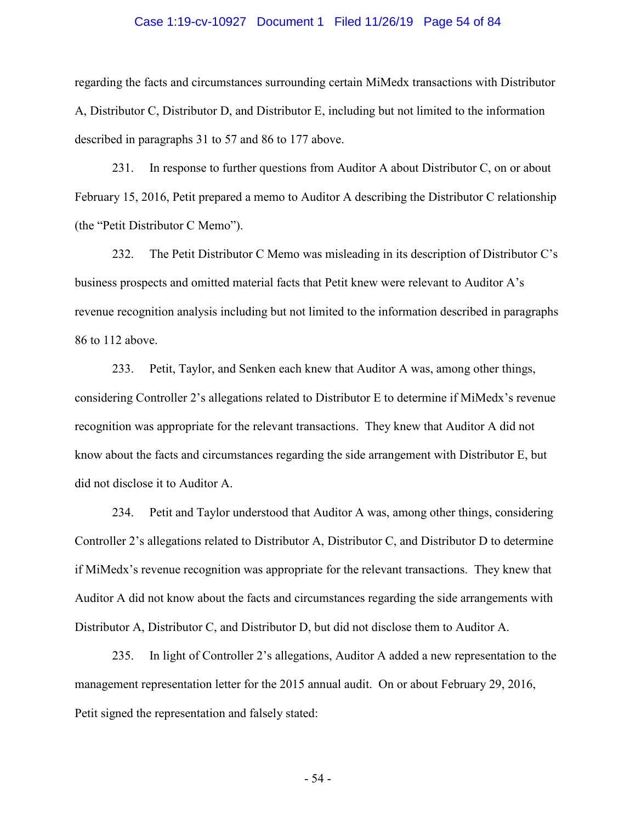## Case 1:19-cv-10927 Document 1 Filed 11/26/19 Page 54 of 84

regarding the facts and circumstances surrounding certain MiMedx transactions with Distributor A, Distributor C, Distributor D, and Distributor E, including but not limited to the information described in paragraphs 31 to 57 and 86 to 177 above.

231. In response to further questions from Auditor A about Distributor C, on or about February 15, 2016, Petit prepared a memo to Auditor A describing the Distributor C relationship (the "Petit Distributor C Memo").

232. The Petit Distributor C Memo was misleading in its description of Distributor C's business prospects and omitted material facts that Petit knew were relevant to Auditor A's revenue recognition analysis including but not limited to the information described in paragraphs 86 to 112 above.

233. Petit, Taylor, and Senken each knew that Auditor A was, among other things, considering Controller 2's allegations related to Distributor E to determine if MiMedx's revenue recognition was appropriate for the relevant transactions. They knew that Auditor A did not know about the facts and circumstances regarding the side arrangement with Distributor E, but did not disclose it to Auditor A.

234. Petit and Taylor understood that Auditor A was, among other things, considering Controller 2's allegations related to Distributor A, Distributor C, and Distributor D to determine if MiMedx's revenue recognition was appropriate for the relevant transactions. They knew that Auditor A did not know about the facts and circumstances regarding the side arrangements with Distributor A, Distributor C, and Distributor D, but did not disclose them to Auditor A.

235. In light of Controller 2's allegations, Auditor A added a new representation to the management representation letter for the 2015 annual audit. On or about February 29, 2016, Petit signed the representation and falsely stated:

- 54 -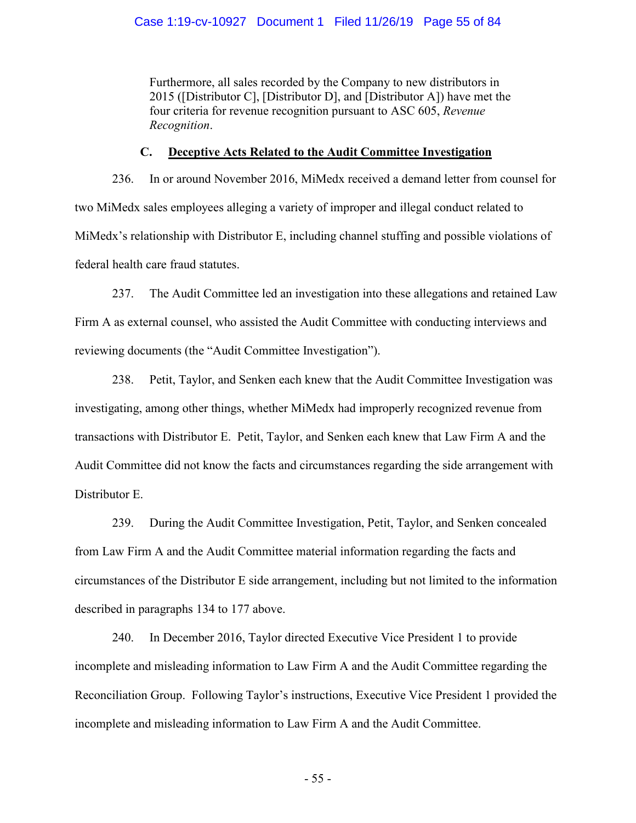Furthermore, all sales recorded by the Company to new distributors in 2015 ([Distributor C], [Distributor D], and [Distributor A]) have met the four criteria for revenue recognition pursuant to ASC 605, *Revenue Recognition*.

## **C. Deceptive Acts Related to the Audit Committee Investigation**

236. In or around November 2016, MiMedx received a demand letter from counsel for two MiMedx sales employees alleging a variety of improper and illegal conduct related to MiMedx's relationship with Distributor E, including channel stuffing and possible violations of federal health care fraud statutes.

237. The Audit Committee led an investigation into these allegations and retained Law Firm A as external counsel, who assisted the Audit Committee with conducting interviews and reviewing documents (the "Audit Committee Investigation").

238. Petit, Taylor, and Senken each knew that the Audit Committee Investigation was investigating, among other things, whether MiMedx had improperly recognized revenue from transactions with Distributor E. Petit, Taylor, and Senken each knew that Law Firm A and the Audit Committee did not know the facts and circumstances regarding the side arrangement with Distributor E.

239. During the Audit Committee Investigation, Petit, Taylor, and Senken concealed from Law Firm A and the Audit Committee material information regarding the facts and circumstances of the Distributor E side arrangement, including but not limited to the information described in paragraphs 134 to 177 above.

240. In December 2016, Taylor directed Executive Vice President 1 to provide incomplete and misleading information to Law Firm A and the Audit Committee regarding the Reconciliation Group. Following Taylor's instructions, Executive Vice President 1 provided the incomplete and misleading information to Law Firm A and the Audit Committee.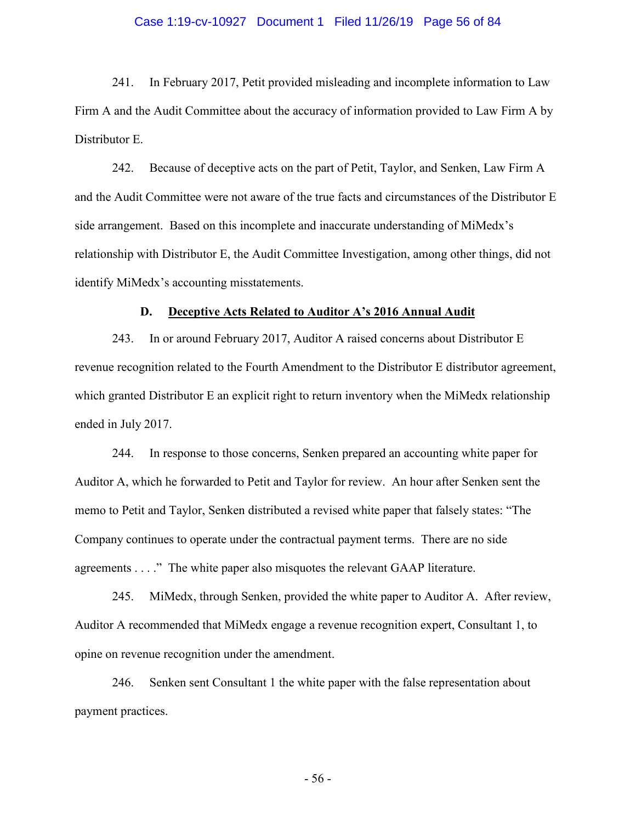## Case 1:19-cv-10927 Document 1 Filed 11/26/19 Page 56 of 84

241. In February 2017, Petit provided misleading and incomplete information to Law Firm A and the Audit Committee about the accuracy of information provided to Law Firm A by Distributor E.

242. Because of deceptive acts on the part of Petit, Taylor, and Senken, Law Firm A and the Audit Committee were not aware of the true facts and circumstances of the Distributor E side arrangement. Based on this incomplete and inaccurate understanding of MiMedx's relationship with Distributor E, the Audit Committee Investigation, among other things, did not identify MiMedx's accounting misstatements.

## **D. Deceptive Acts Related to Auditor A's 2016 Annual Audit**

243. In or around February 2017, Auditor A raised concerns about Distributor E revenue recognition related to the Fourth Amendment to the Distributor E distributor agreement, which granted Distributor E an explicit right to return inventory when the MiMedx relationship ended in July 2017.

244. In response to those concerns, Senken prepared an accounting white paper for Auditor A, which he forwarded to Petit and Taylor for review. An hour after Senken sent the memo to Petit and Taylor, Senken distributed a revised white paper that falsely states: "The Company continues to operate under the contractual payment terms. There are no side agreements . . . ." The white paper also misquotes the relevant GAAP literature.

245. MiMedx, through Senken, provided the white paper to Auditor A. After review, Auditor A recommended that MiMedx engage a revenue recognition expert, Consultant 1, to opine on revenue recognition under the amendment.

246. Senken sent Consultant 1 the white paper with the false representation about payment practices.

- 56 -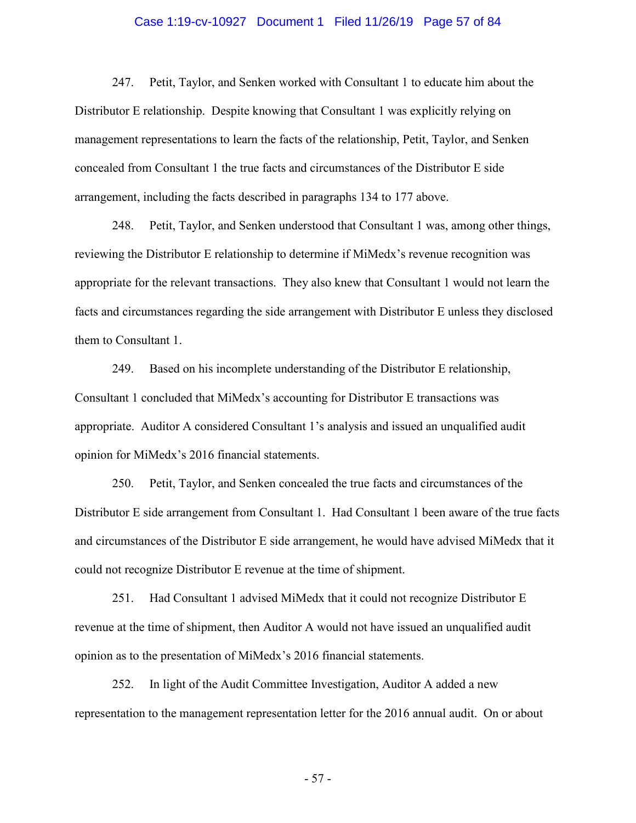## Case 1:19-cv-10927 Document 1 Filed 11/26/19 Page 57 of 84

247. Petit, Taylor, and Senken worked with Consultant 1 to educate him about the Distributor E relationship. Despite knowing that Consultant 1 was explicitly relying on management representations to learn the facts of the relationship, Petit, Taylor, and Senken concealed from Consultant 1 the true facts and circumstances of the Distributor E side arrangement, including the facts described in paragraphs 134 to 177 above.

248. Petit, Taylor, and Senken understood that Consultant 1 was, among other things, reviewing the Distributor E relationship to determine if MiMedx's revenue recognition was appropriate for the relevant transactions. They also knew that Consultant 1 would not learn the facts and circumstances regarding the side arrangement with Distributor E unless they disclosed them to Consultant 1.

249. Based on his incomplete understanding of the Distributor E relationship, Consultant 1 concluded that MiMedx's accounting for Distributor E transactions was appropriate. Auditor A considered Consultant 1's analysis and issued an unqualified audit opinion for MiMedx's 2016 financial statements.

250. Petit, Taylor, and Senken concealed the true facts and circumstances of the Distributor E side arrangement from Consultant 1. Had Consultant 1 been aware of the true facts and circumstances of the Distributor E side arrangement, he would have advised MiMedx that it could not recognize Distributor E revenue at the time of shipment.

251. Had Consultant 1 advised MiMedx that it could not recognize Distributor E revenue at the time of shipment, then Auditor A would not have issued an unqualified audit opinion as to the presentation of MiMedx's 2016 financial statements.

252. In light of the Audit Committee Investigation, Auditor A added a new representation to the management representation letter for the 2016 annual audit. On or about

- 57 -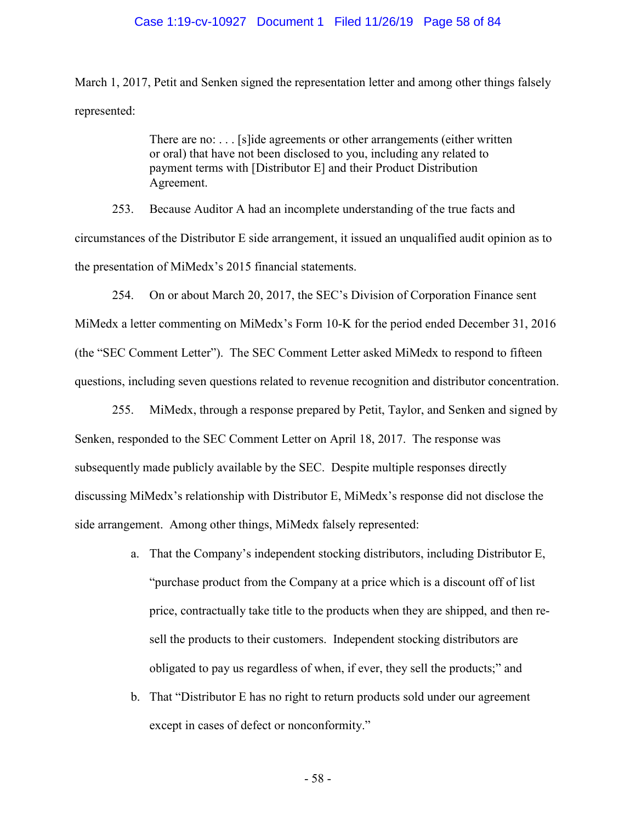#### Case 1:19-cv-10927 Document 1 Filed 11/26/19 Page 58 of 84

March 1, 2017, Petit and Senken signed the representation letter and among other things falsely represented:

> There are no: . . . [s]ide agreements or other arrangements (either written or oral) that have not been disclosed to you, including any related to payment terms with [Distributor E] and their Product Distribution Agreement.

253. Because Auditor A had an incomplete understanding of the true facts and circumstances of the Distributor E side arrangement, it issued an unqualified audit opinion as to the presentation of MiMedx's 2015 financial statements.

254. On or about March 20, 2017, the SEC's Division of Corporation Finance sent MiMedx a letter commenting on MiMedx's Form 10-K for the period ended December 31, 2016 (the "SEC Comment Letter"). The SEC Comment Letter asked MiMedx to respond to fifteen questions, including seven questions related to revenue recognition and distributor concentration.

255. MiMedx, through a response prepared by Petit, Taylor, and Senken and signed by Senken, responded to the SEC Comment Letter on April 18, 2017. The response was subsequently made publicly available by the SEC. Despite multiple responses directly discussing MiMedx's relationship with Distributor E, MiMedx's response did not disclose the side arrangement. Among other things, MiMedx falsely represented:

- a. That the Company's independent stocking distributors, including Distributor E, "purchase product from the Company at a price which is a discount off of list price, contractually take title to the products when they are shipped, and then resell the products to their customers. Independent stocking distributors are obligated to pay us regardless of when, if ever, they sell the products;" and
- b. That "Distributor E has no right to return products sold under our agreement except in cases of defect or nonconformity."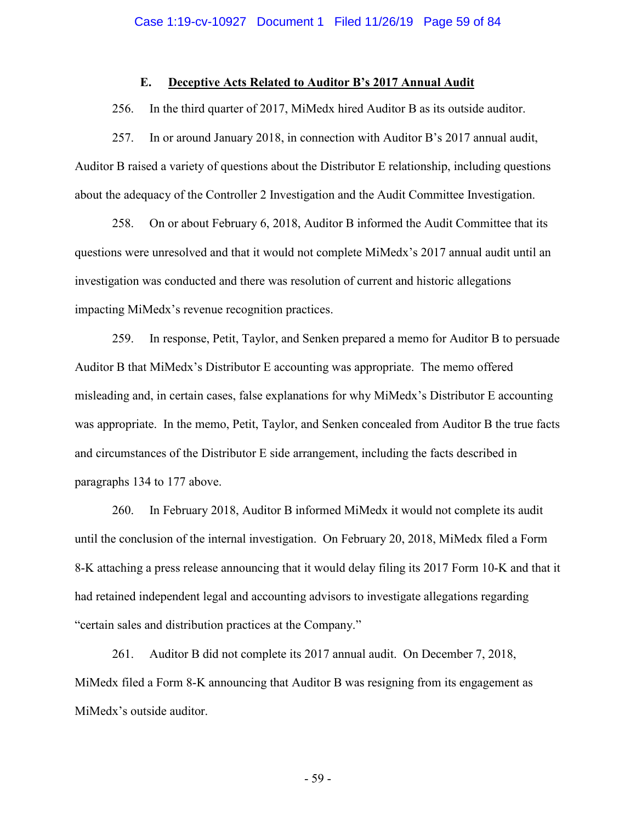## **E. Deceptive Acts Related to Auditor B's 2017 Annual Audit**

256. In the third quarter of 2017, MiMedx hired Auditor B as its outside auditor.

257. In or around January 2018, in connection with Auditor B's 2017 annual audit, Auditor B raised a variety of questions about the Distributor E relationship, including questions about the adequacy of the Controller 2 Investigation and the Audit Committee Investigation.

258. On or about February 6, 2018, Auditor B informed the Audit Committee that its questions were unresolved and that it would not complete MiMedx's 2017 annual audit until an investigation was conducted and there was resolution of current and historic allegations impacting MiMedx's revenue recognition practices.

259. In response, Petit, Taylor, and Senken prepared a memo for Auditor B to persuade Auditor B that MiMedx's Distributor E accounting was appropriate. The memo offered misleading and, in certain cases, false explanations for why MiMedx's Distributor E accounting was appropriate. In the memo, Petit, Taylor, and Senken concealed from Auditor B the true facts and circumstances of the Distributor E side arrangement, including the facts described in paragraphs 134 to 177 above.

260. In February 2018, Auditor B informed MiMedx it would not complete its audit until the conclusion of the internal investigation. On February 20, 2018, MiMedx filed a Form 8-K attaching a press release announcing that it would delay filing its 2017 Form 10-K and that it had retained independent legal and accounting advisors to investigate allegations regarding "certain sales and distribution practices at the Company."

261. Auditor B did not complete its 2017 annual audit. On December 7, 2018, MiMedx filed a Form 8-K announcing that Auditor B was resigning from its engagement as MiMedx's outside auditor.

- 59 -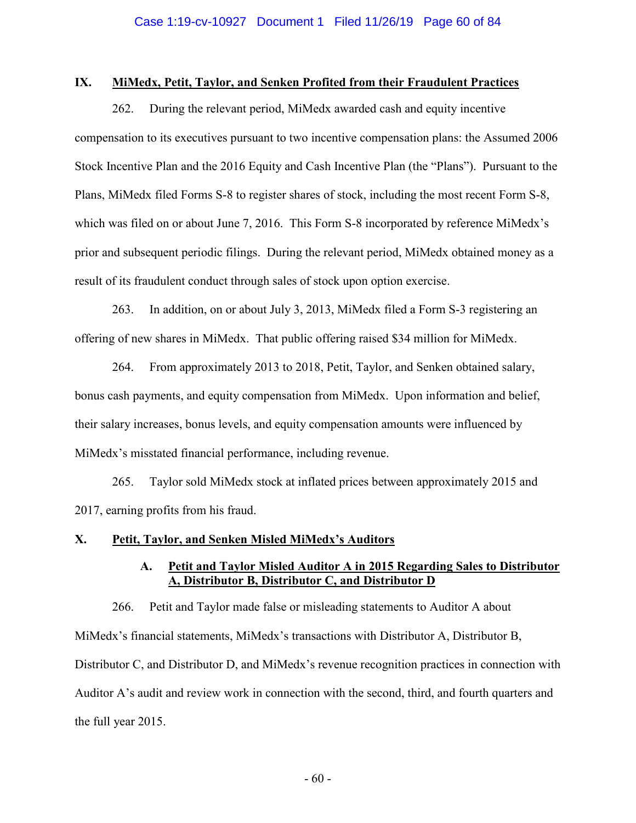## **IX. MiMedx, Petit, Taylor, and Senken Profited from their Fraudulent Practices**

262. During the relevant period, MiMedx awarded cash and equity incentive compensation to its executives pursuant to two incentive compensation plans: the Assumed 2006 Stock Incentive Plan and the 2016 Equity and Cash Incentive Plan (the "Plans"). Pursuant to the Plans, MiMedx filed Forms S-8 to register shares of stock, including the most recent Form S-8, which was filed on or about June 7, 2016. This Form S-8 incorporated by reference MiMedx's prior and subsequent periodic filings. During the relevant period, MiMedx obtained money as a result of its fraudulent conduct through sales of stock upon option exercise.

263. In addition, on or about July 3, 2013, MiMedx filed a Form S-3 registering an offering of new shares in MiMedx. That public offering raised \$34 million for MiMedx.

264. From approximately 2013 to 2018, Petit, Taylor, and Senken obtained salary, bonus cash payments, and equity compensation from MiMedx. Upon information and belief, their salary increases, bonus levels, and equity compensation amounts were influenced by MiMedx's misstated financial performance, including revenue.

265. Taylor sold MiMedx stock at inflated prices between approximately 2015 and 2017, earning profits from his fraud.

## **X. Petit, Taylor, and Senken Misled MiMedx's Auditors**

## **A. Petit and Taylor Misled Auditor A in 2015 Regarding Sales to Distributor A, Distributor B, Distributor C, and Distributor D**

266. Petit and Taylor made false or misleading statements to Auditor A about MiMedx's financial statements, MiMedx's transactions with Distributor A, Distributor B, Distributor C, and Distributor D, and MiMedx's revenue recognition practices in connection with Auditor A's audit and review work in connection with the second, third, and fourth quarters and the full year 2015.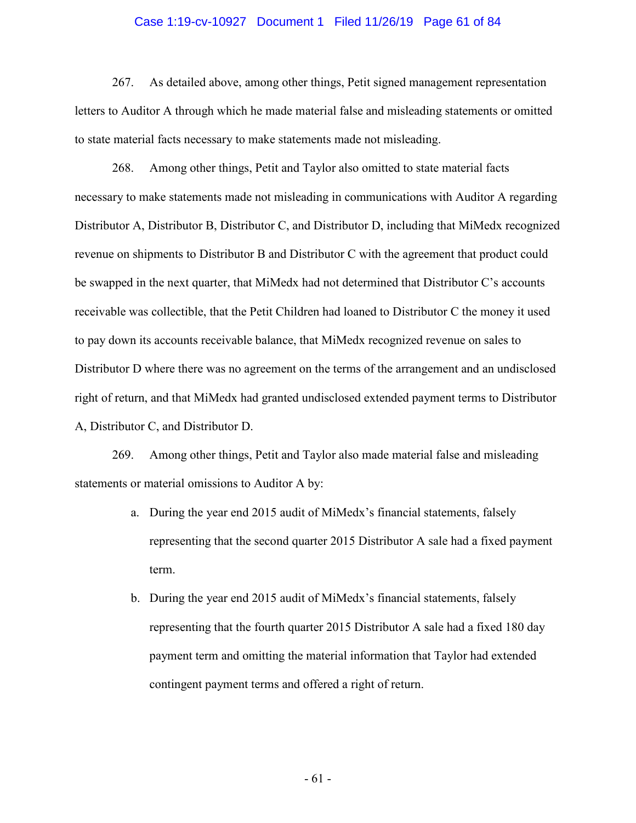## Case 1:19-cv-10927 Document 1 Filed 11/26/19 Page 61 of 84

267. As detailed above, among other things, Petit signed management representation letters to Auditor A through which he made material false and misleading statements or omitted to state material facts necessary to make statements made not misleading.

268. Among other things, Petit and Taylor also omitted to state material facts necessary to make statements made not misleading in communications with Auditor A regarding Distributor A, Distributor B, Distributor C, and Distributor D, including that MiMedx recognized revenue on shipments to Distributor B and Distributor C with the agreement that product could be swapped in the next quarter, that MiMedx had not determined that Distributor C's accounts receivable was collectible, that the Petit Children had loaned to Distributor C the money it used to pay down its accounts receivable balance, that MiMedx recognized revenue on sales to Distributor D where there was no agreement on the terms of the arrangement and an undisclosed right of return, and that MiMedx had granted undisclosed extended payment terms to Distributor A, Distributor C, and Distributor D.

269. Among other things, Petit and Taylor also made material false and misleading statements or material omissions to Auditor A by:

- a. During the year end 2015 audit of MiMedx's financial statements, falsely representing that the second quarter 2015 Distributor A sale had a fixed payment term.
- b. During the year end 2015 audit of MiMedx's financial statements, falsely representing that the fourth quarter 2015 Distributor A sale had a fixed 180 day payment term and omitting the material information that Taylor had extended contingent payment terms and offered a right of return.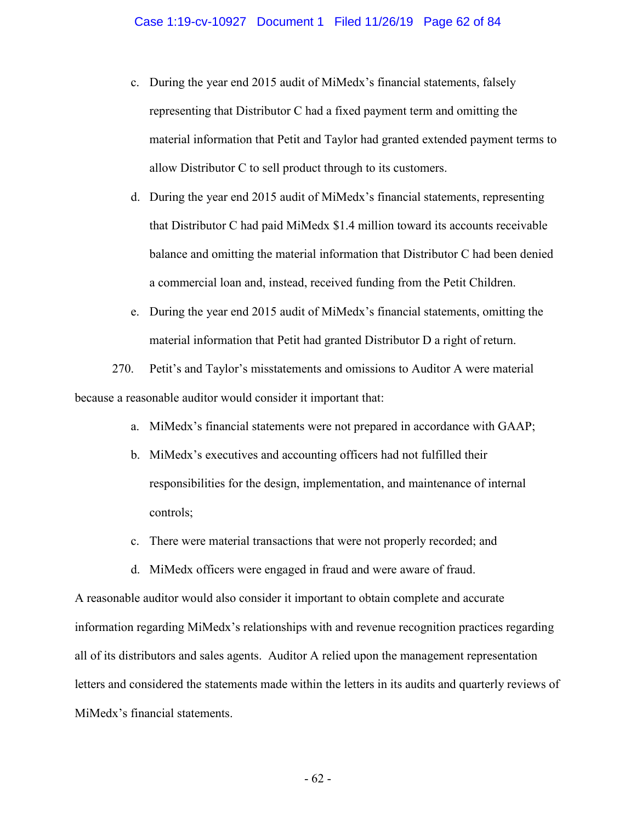- c. During the year end 2015 audit of MiMedx's financial statements, falsely representing that Distributor C had a fixed payment term and omitting the material information that Petit and Taylor had granted extended payment terms to allow Distributor C to sell product through to its customers.
- d. During the year end 2015 audit of MiMedx's financial statements, representing that Distributor C had paid MiMedx \$1.4 million toward its accounts receivable balance and omitting the material information that Distributor C had been denied a commercial loan and, instead, received funding from the Petit Children.
- e. During the year end 2015 audit of MiMedx's financial statements, omitting the material information that Petit had granted Distributor D a right of return.

270. Petit's and Taylor's misstatements and omissions to Auditor A were material because a reasonable auditor would consider it important that:

- a. MiMedx's financial statements were not prepared in accordance with GAAP;
- b. MiMedx's executives and accounting officers had not fulfilled their responsibilities for the design, implementation, and maintenance of internal controls;
- c. There were material transactions that were not properly recorded; and
- d. MiMedx officers were engaged in fraud and were aware of fraud.

A reasonable auditor would also consider it important to obtain complete and accurate information regarding MiMedx's relationships with and revenue recognition practices regarding all of its distributors and sales agents. Auditor A relied upon the management representation letters and considered the statements made within the letters in its audits and quarterly reviews of MiMedx's financial statements.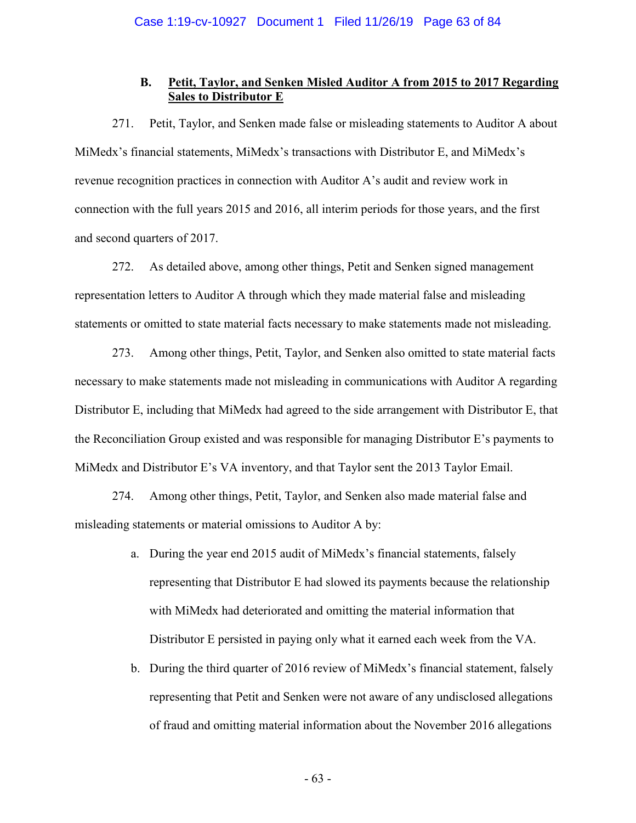## **B. Petit, Taylor, and Senken Misled Auditor A from 2015 to 2017 Regarding Sales to Distributor E**

271. Petit, Taylor, and Senken made false or misleading statements to Auditor A about MiMedx's financial statements, MiMedx's transactions with Distributor E, and MiMedx's revenue recognition practices in connection with Auditor A's audit and review work in connection with the full years 2015 and 2016, all interim periods for those years, and the first and second quarters of 2017.

272. As detailed above, among other things, Petit and Senken signed management representation letters to Auditor A through which they made material false and misleading statements or omitted to state material facts necessary to make statements made not misleading.

273. Among other things, Petit, Taylor, and Senken also omitted to state material facts necessary to make statements made not misleading in communications with Auditor A regarding Distributor E, including that MiMedx had agreed to the side arrangement with Distributor E, that the Reconciliation Group existed and was responsible for managing Distributor E's payments to MiMedx and Distributor E's VA inventory, and that Taylor sent the 2013 Taylor Email.

274. Among other things, Petit, Taylor, and Senken also made material false and misleading statements or material omissions to Auditor A by:

- a. During the year end 2015 audit of MiMedx's financial statements, falsely representing that Distributor E had slowed its payments because the relationship with MiMedx had deteriorated and omitting the material information that Distributor E persisted in paying only what it earned each week from the VA.
- b. During the third quarter of 2016 review of MiMedx's financial statement, falsely representing that Petit and Senken were not aware of any undisclosed allegations of fraud and omitting material information about the November 2016 allegations

- 63 -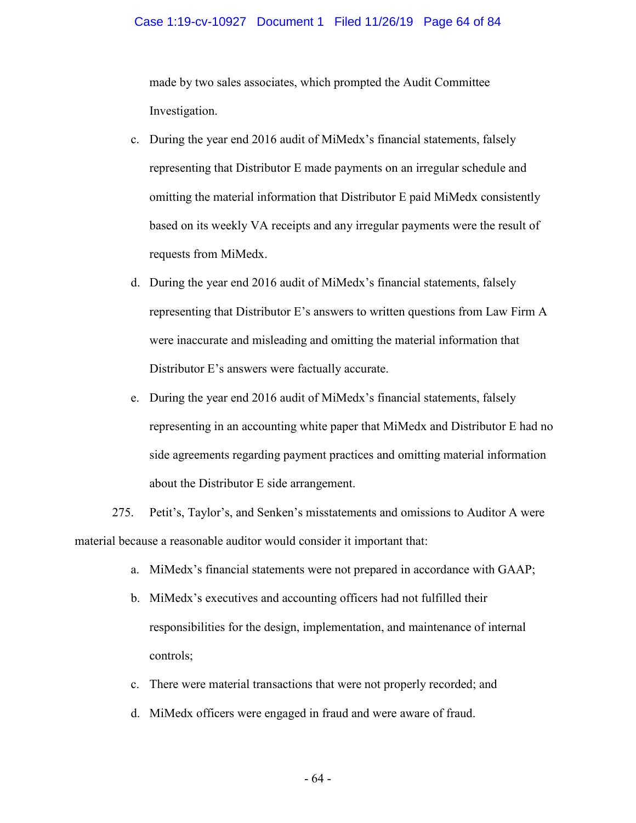## Case 1:19-cv-10927 Document 1 Filed 11/26/19 Page 64 of 84

made by two sales associates, which prompted the Audit Committee Investigation.

- c. During the year end 2016 audit of MiMedx's financial statements, falsely representing that Distributor E made payments on an irregular schedule and omitting the material information that Distributor E paid MiMedx consistently based on its weekly VA receipts and any irregular payments were the result of requests from MiMedx.
- d. During the year end 2016 audit of MiMedx's financial statements, falsely representing that Distributor E's answers to written questions from Law Firm A were inaccurate and misleading and omitting the material information that Distributor E's answers were factually accurate.
- e. During the year end 2016 audit of MiMedx's financial statements, falsely representing in an accounting white paper that MiMedx and Distributor E had no side agreements regarding payment practices and omitting material information about the Distributor E side arrangement.

275. Petit's, Taylor's, and Senken's misstatements and omissions to Auditor A were material because a reasonable auditor would consider it important that:

- a. MiMedx's financial statements were not prepared in accordance with GAAP;
- b. MiMedx's executives and accounting officers had not fulfilled their responsibilities for the design, implementation, and maintenance of internal controls;
- c. There were material transactions that were not properly recorded; and
- d. MiMedx officers were engaged in fraud and were aware of fraud.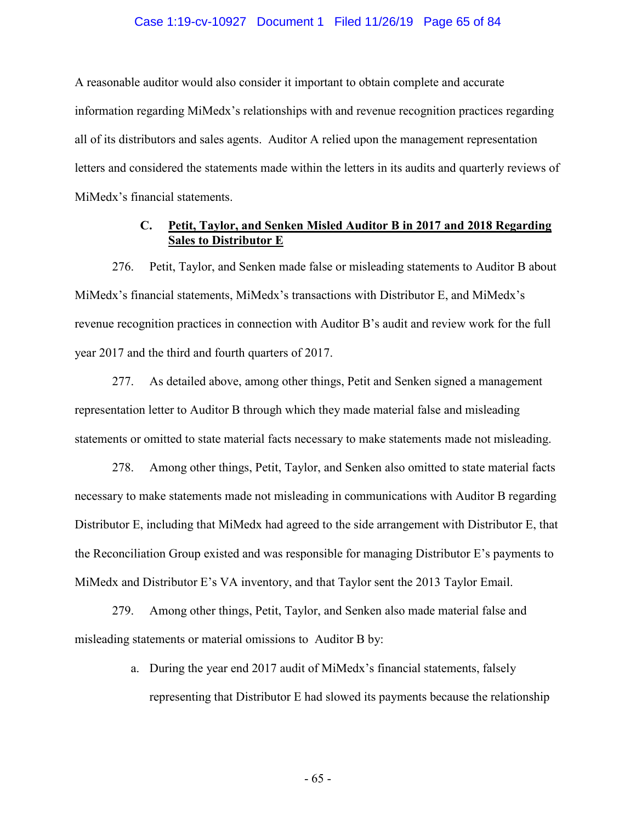## Case 1:19-cv-10927 Document 1 Filed 11/26/19 Page 65 of 84

A reasonable auditor would also consider it important to obtain complete and accurate information regarding MiMedx's relationships with and revenue recognition practices regarding all of its distributors and sales agents. Auditor A relied upon the management representation letters and considered the statements made within the letters in its audits and quarterly reviews of MiMedx's financial statements.

## **C. Petit, Taylor, and Senken Misled Auditor B in 2017 and 2018 Regarding Sales to Distributor E**

276. Petit, Taylor, and Senken made false or misleading statements to Auditor B about MiMedx's financial statements, MiMedx's transactions with Distributor E, and MiMedx's revenue recognition practices in connection with Auditor B's audit and review work for the full year 2017 and the third and fourth quarters of 2017.

277. As detailed above, among other things, Petit and Senken signed a management representation letter to Auditor B through which they made material false and misleading statements or omitted to state material facts necessary to make statements made not misleading.

278. Among other things, Petit, Taylor, and Senken also omitted to state material facts necessary to make statements made not misleading in communications with Auditor B regarding Distributor E, including that MiMedx had agreed to the side arrangement with Distributor E, that the Reconciliation Group existed and was responsible for managing Distributor E's payments to MiMedx and Distributor E's VA inventory, and that Taylor sent the 2013 Taylor Email.

279. Among other things, Petit, Taylor, and Senken also made material false and misleading statements or material omissions to Auditor B by:

> a. During the year end 2017 audit of MiMedx's financial statements, falsely representing that Distributor E had slowed its payments because the relationship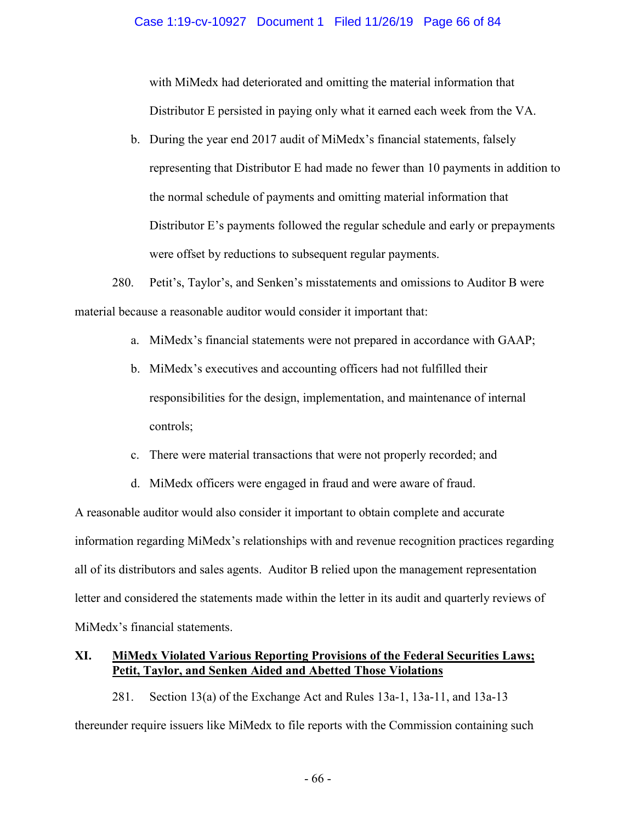## Case 1:19-cv-10927 Document 1 Filed 11/26/19 Page 66 of 84

with MiMedx had deteriorated and omitting the material information that Distributor E persisted in paying only what it earned each week from the VA.

b. During the year end 2017 audit of MiMedx's financial statements, falsely representing that Distributor E had made no fewer than 10 payments in addition to the normal schedule of payments and omitting material information that Distributor E's payments followed the regular schedule and early or prepayments were offset by reductions to subsequent regular payments.

280. Petit's, Taylor's, and Senken's misstatements and omissions to Auditor B were material because a reasonable auditor would consider it important that:

- a. MiMedx's financial statements were not prepared in accordance with GAAP;
- b. MiMedx's executives and accounting officers had not fulfilled their responsibilities for the design, implementation, and maintenance of internal controls;
- c. There were material transactions that were not properly recorded; and
- d. MiMedx officers were engaged in fraud and were aware of fraud.

A reasonable auditor would also consider it important to obtain complete and accurate information regarding MiMedx's relationships with and revenue recognition practices regarding all of its distributors and sales agents. Auditor B relied upon the management representation letter and considered the statements made within the letter in its audit and quarterly reviews of MiMedx's financial statements.

## **XI. MiMedx Violated Various Reporting Provisions of the Federal Securities Laws; Petit, Taylor, and Senken Aided and Abetted Those Violations**

281. Section 13(a) of the Exchange Act and Rules 13a-1, 13a-11, and 13a-13 thereunder require issuers like MiMedx to file reports with the Commission containing such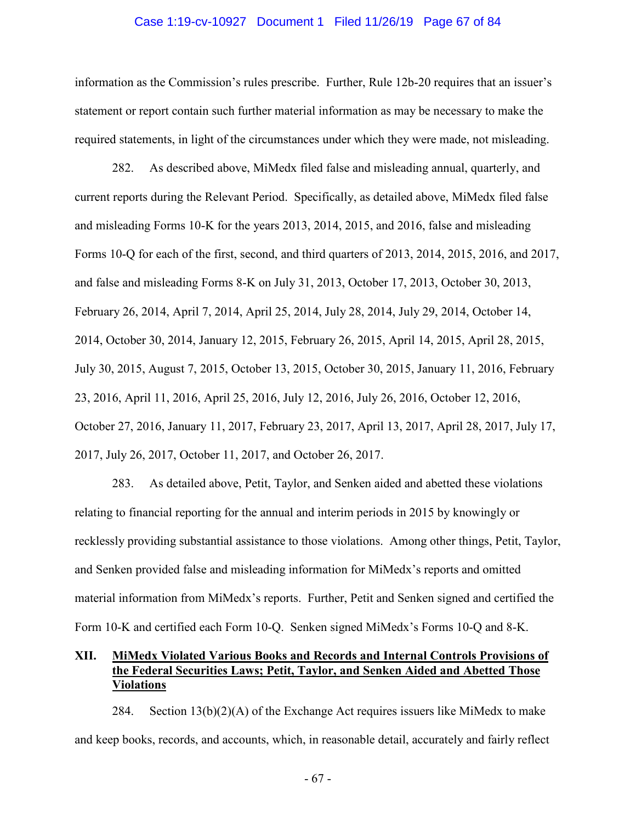#### Case 1:19-cv-10927 Document 1 Filed 11/26/19 Page 67 of 84

information as the Commission's rules prescribe. Further, Rule 12b-20 requires that an issuer's statement or report contain such further material information as may be necessary to make the required statements, in light of the circumstances under which they were made, not misleading.

282. As described above, MiMedx filed false and misleading annual, quarterly, and current reports during the Relevant Period. Specifically, as detailed above, MiMedx filed false and misleading Forms 10-K for the years 2013, 2014, 2015, and 2016, false and misleading Forms 10-Q for each of the first, second, and third quarters of 2013, 2014, 2015, 2016, and 2017, and false and misleading Forms 8-K on July 31, 2013, October 17, 2013, October 30, 2013, February 26, 2014, April 7, 2014, April 25, 2014, July 28, 2014, July 29, 2014, October 14, 2014, October 30, 2014, January 12, 2015, February 26, 2015, April 14, 2015, April 28, 2015, July 30, 2015, August 7, 2015, October 13, 2015, October 30, 2015, January 11, 2016, February 23, 2016, April 11, 2016, April 25, 2016, July 12, 2016, July 26, 2016, October 12, 2016, October 27, 2016, January 11, 2017, February 23, 2017, April 13, 2017, April 28, 2017, July 17, 2017, July 26, 2017, October 11, 2017, and October 26, 2017.

283. As detailed above, Petit, Taylor, and Senken aided and abetted these violations relating to financial reporting for the annual and interim periods in 2015 by knowingly or recklessly providing substantial assistance to those violations. Among other things, Petit, Taylor, and Senken provided false and misleading information for MiMedx's reports and omitted material information from MiMedx's reports. Further, Petit and Senken signed and certified the Form 10-K and certified each Form 10-Q. Senken signed MiMedx's Forms 10-Q and 8-K.

# **XII. MiMedx Violated Various Books and Records and Internal Controls Provisions of the Federal Securities Laws; Petit, Taylor, and Senken Aided and Abetted Those Violations**

284. Section  $13(b)(2)(A)$  of the Exchange Act requires issuers like MiMedx to make and keep books, records, and accounts, which, in reasonable detail, accurately and fairly reflect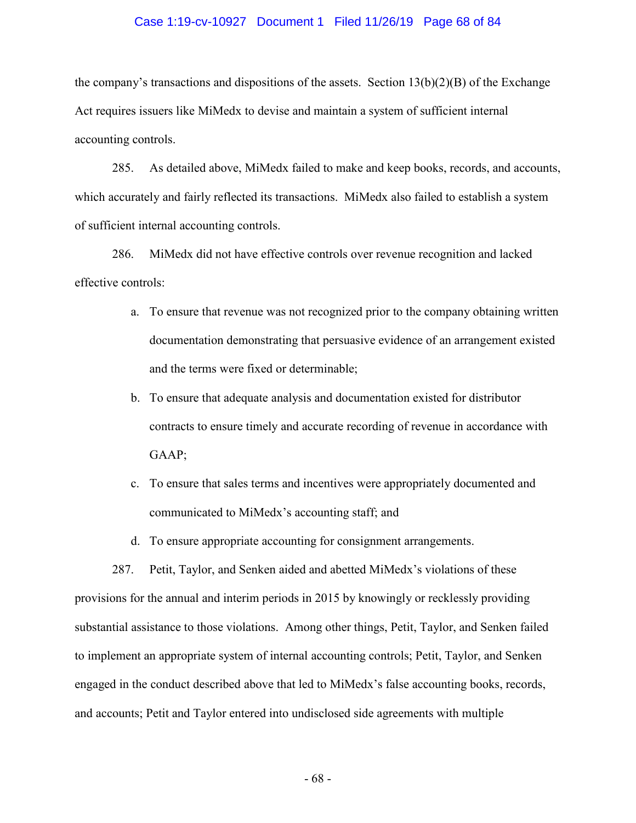## Case 1:19-cv-10927 Document 1 Filed 11/26/19 Page 68 of 84

the company's transactions and dispositions of the assets. Section  $13(b)(2)(B)$  of the Exchange Act requires issuers like MiMedx to devise and maintain a system of sufficient internal accounting controls.

285. As detailed above, MiMedx failed to make and keep books, records, and accounts, which accurately and fairly reflected its transactions. MiMedx also failed to establish a system of sufficient internal accounting controls.

286. MiMedx did not have effective controls over revenue recognition and lacked effective controls:

- a. To ensure that revenue was not recognized prior to the company obtaining written documentation demonstrating that persuasive evidence of an arrangement existed and the terms were fixed or determinable;
- b. To ensure that adequate analysis and documentation existed for distributor contracts to ensure timely and accurate recording of revenue in accordance with GAAP;
- c. To ensure that sales terms and incentives were appropriately documented and communicated to MiMedx's accounting staff; and
- d. To ensure appropriate accounting for consignment arrangements.

287. Petit, Taylor, and Senken aided and abetted MiMedx's violations of these provisions for the annual and interim periods in 2015 by knowingly or recklessly providing substantial assistance to those violations. Among other things, Petit, Taylor, and Senken failed to implement an appropriate system of internal accounting controls; Petit, Taylor, and Senken engaged in the conduct described above that led to MiMedx's false accounting books, records, and accounts; Petit and Taylor entered into undisclosed side agreements with multiple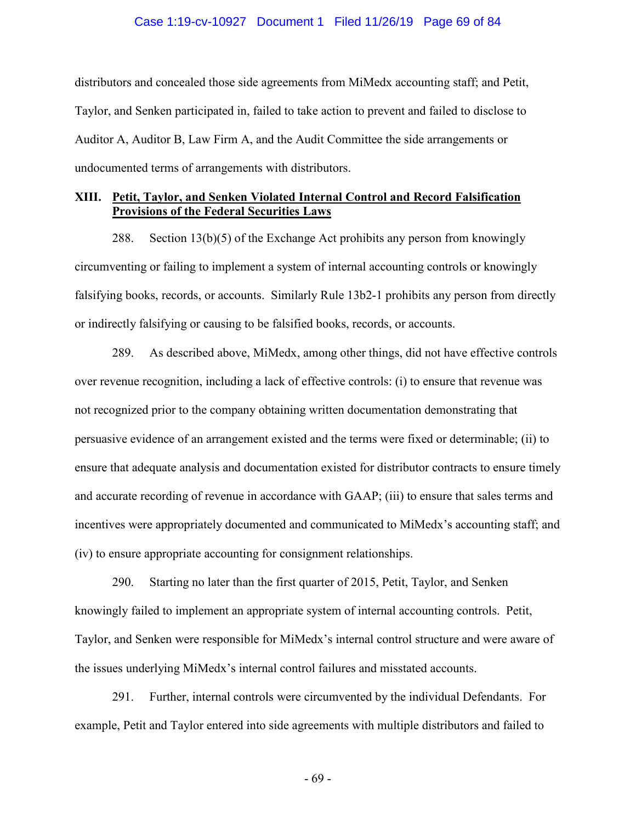## Case 1:19-cv-10927 Document 1 Filed 11/26/19 Page 69 of 84

distributors and concealed those side agreements from MiMedx accounting staff; and Petit, Taylor, and Senken participated in, failed to take action to prevent and failed to disclose to Auditor A, Auditor B, Law Firm A, and the Audit Committee the side arrangements or undocumented terms of arrangements with distributors.

## **XIII. Petit, Taylor, and Senken Violated Internal Control and Record Falsification Provisions of the Federal Securities Laws**

288. Section 13(b)(5) of the Exchange Act prohibits any person from knowingly circumventing or failing to implement a system of internal accounting controls or knowingly falsifying books, records, or accounts. Similarly Rule 13b2-1 prohibits any person from directly or indirectly falsifying or causing to be falsified books, records, or accounts.

289. As described above, MiMedx, among other things, did not have effective controls over revenue recognition, including a lack of effective controls: (i) to ensure that revenue was not recognized prior to the company obtaining written documentation demonstrating that persuasive evidence of an arrangement existed and the terms were fixed or determinable; (ii) to ensure that adequate analysis and documentation existed for distributor contracts to ensure timely and accurate recording of revenue in accordance with GAAP; (iii) to ensure that sales terms and incentives were appropriately documented and communicated to MiMedx's accounting staff; and (iv) to ensure appropriate accounting for consignment relationships.

290. Starting no later than the first quarter of 2015, Petit, Taylor, and Senken knowingly failed to implement an appropriate system of internal accounting controls. Petit, Taylor, and Senken were responsible for MiMedx's internal control structure and were aware of the issues underlying MiMedx's internal control failures and misstated accounts.

291. Further, internal controls were circumvented by the individual Defendants. For example, Petit and Taylor entered into side agreements with multiple distributors and failed to

- 69 -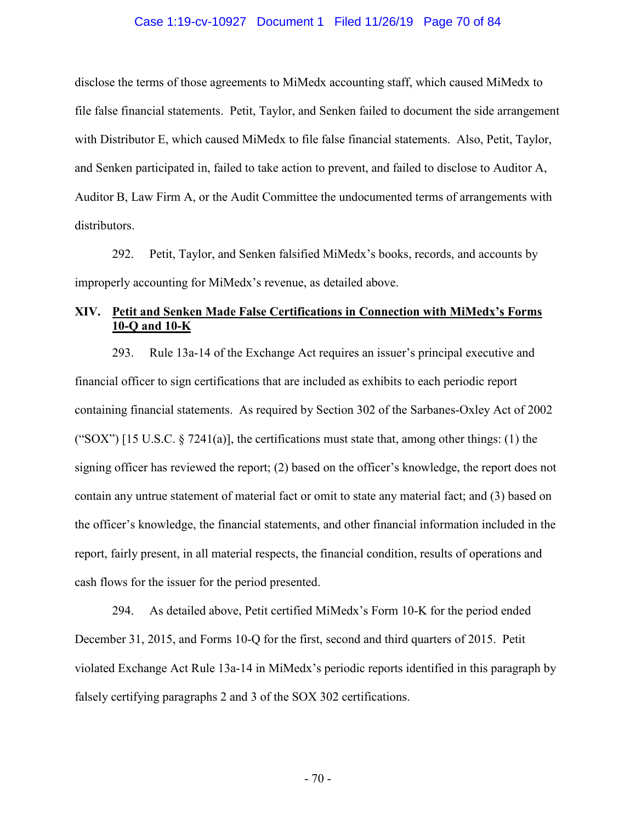## Case 1:19-cv-10927 Document 1 Filed 11/26/19 Page 70 of 84

disclose the terms of those agreements to MiMedx accounting staff, which caused MiMedx to file false financial statements. Petit, Taylor, and Senken failed to document the side arrangement with Distributor E, which caused MiMedx to file false financial statements. Also, Petit, Taylor, and Senken participated in, failed to take action to prevent, and failed to disclose to Auditor A, Auditor B, Law Firm A, or the Audit Committee the undocumented terms of arrangements with distributors.

292. Petit, Taylor, and Senken falsified MiMedx's books, records, and accounts by improperly accounting for MiMedx's revenue, as detailed above.

# **XIV. Petit and Senken Made False Certifications in Connection with MiMedx's Forms 10-Q and 10-K**

293. Rule 13a-14 of the Exchange Act requires an issuer's principal executive and financial officer to sign certifications that are included as exhibits to each periodic report containing financial statements. As required by Section 302 of the Sarbanes-Oxley Act of 2002 ("SOX") [15 U.S.C.  $\S$  7241(a)], the certifications must state that, among other things: (1) the signing officer has reviewed the report; (2) based on the officer's knowledge, the report does not contain any untrue statement of material fact or omit to state any material fact; and (3) based on the officer's knowledge, the financial statements, and other financial information included in the report, fairly present, in all material respects, the financial condition, results of operations and cash flows for the issuer for the period presented.

294. As detailed above, Petit certified MiMedx's Form 10-K for the period ended December 31, 2015, and Forms 10-Q for the first, second and third quarters of 2015. Petit violated Exchange Act Rule 13a-14 in MiMedx's periodic reports identified in this paragraph by falsely certifying paragraphs 2 and 3 of the SOX 302 certifications.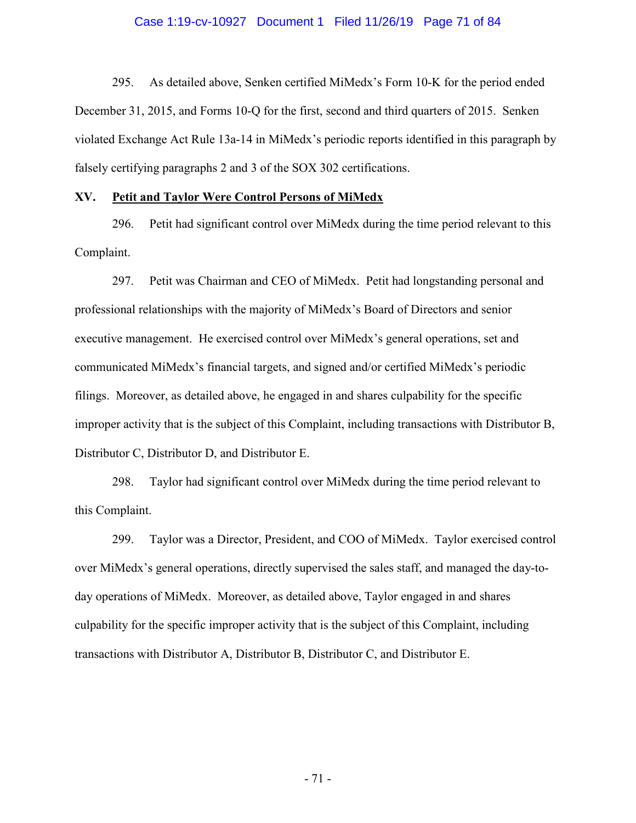## Case 1:19-cv-10927 Document 1 Filed 11/26/19 Page 71 of 84

295. As detailed above, Senken certified MiMedx's Form 10-K for the period ended December 31, 2015, and Forms 10-Q for the first, second and third quarters of 2015. Senken violated Exchange Act Rule 13a-14 in MiMedx's periodic reports identified in this paragraph by falsely certifying paragraphs 2 and 3 of the SOX 302 certifications.

#### **XV. Petit and Taylor Were Control Persons of MiMedx**

296. Petit had significant control over MiMedx during the time period relevant to this Complaint.

297. Petit was Chairman and CEO of MiMedx. Petit had longstanding personal and professional relationships with the majority of MiMedx's Board of Directors and senior executive management. He exercised control over MiMedx's general operations, set and communicated MiMedx's financial targets, and signed and/or certified MiMedx's periodic filings. Moreover, as detailed above, he engaged in and shares culpability for the specific improper activity that is the subject of this Complaint, including transactions with Distributor B, Distributor C, Distributor D, and Distributor E.

298. Taylor had significant control over MiMedx during the time period relevant to this Complaint.

299. Taylor was a Director, President, and COO of MiMedx. Taylor exercised control over MiMedx's general operations, directly supervised the sales staff, and managed the day-today operations of MiMedx. Moreover, as detailed above, Taylor engaged in and shares culpability for the specific improper activity that is the subject of this Complaint, including transactions with Distributor A, Distributor B, Distributor C, and Distributor E.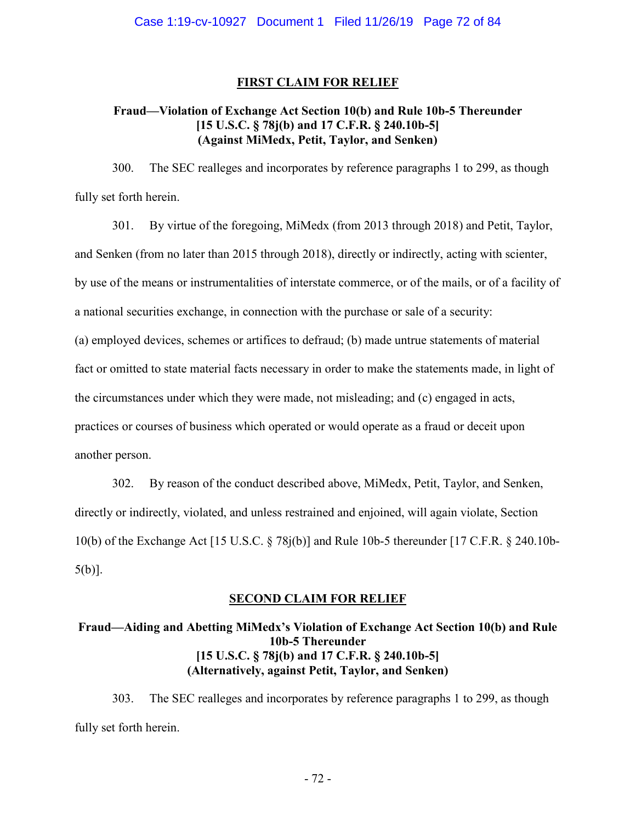## **FIRST CLAIM FOR RELIEF**

## **Fraud—Violation of Exchange Act Section 10(b) and Rule 10b-5 Thereunder [15 U.S.C. § 78j(b) and 17 C.F.R. § 240.10b-5] (Against MiMedx, Petit, Taylor, and Senken)**

300. The SEC realleges and incorporates by reference paragraphs 1 to 299, as though fully set forth herein.

301. By virtue of the foregoing, MiMedx (from 2013 through 2018) and Petit, Taylor, and Senken (from no later than 2015 through 2018), directly or indirectly, acting with scienter, by use of the means or instrumentalities of interstate commerce, or of the mails, or of a facility of a national securities exchange, in connection with the purchase or sale of a security: (a) employed devices, schemes or artifices to defraud; (b) made untrue statements of material fact or omitted to state material facts necessary in order to make the statements made, in light of the circumstances under which they were made, not misleading; and (c) engaged in acts, practices or courses of business which operated or would operate as a fraud or deceit upon

another person.

302. By reason of the conduct described above, MiMedx, Petit, Taylor, and Senken, directly or indirectly, violated, and unless restrained and enjoined, will again violate, Section 10(b) of the Exchange Act [15 U.S.C. § 78j(b)] and Rule 10b-5 thereunder [17 C.F.R. § 240.10b-5(b)].

## **SECOND CLAIM FOR RELIEF**

# **Fraud—Aiding and Abetting MiMedx's Violation of Exchange Act Section 10(b) and Rule 10b-5 Thereunder [15 U.S.C. § 78j(b) and 17 C.F.R. § 240.10b-5] (Alternatively, against Petit, Taylor, and Senken)**

303. The SEC realleges and incorporates by reference paragraphs 1 to 299, as though fully set forth herein.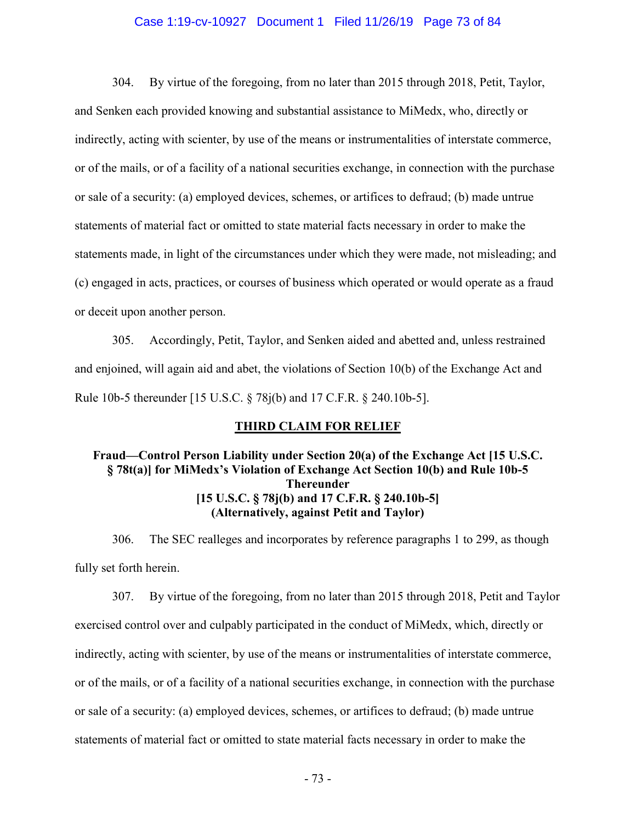#### Case 1:19-cv-10927 Document 1 Filed 11/26/19 Page 73 of 84

304. By virtue of the foregoing, from no later than 2015 through 2018, Petit, Taylor, and Senken each provided knowing and substantial assistance to MiMedx, who, directly or indirectly, acting with scienter, by use of the means or instrumentalities of interstate commerce, or of the mails, or of a facility of a national securities exchange, in connection with the purchase or sale of a security: (a) employed devices, schemes, or artifices to defraud; (b) made untrue statements of material fact or omitted to state material facts necessary in order to make the statements made, in light of the circumstances under which they were made, not misleading; and (c) engaged in acts, practices, or courses of business which operated or would operate as a fraud or deceit upon another person.

305. Accordingly, Petit, Taylor, and Senken aided and abetted and, unless restrained and enjoined, will again aid and abet, the violations of Section 10(b) of the Exchange Act and Rule 10b-5 thereunder [15 U.S.C. § 78j(b) and 17 C.F.R. § 240.10b-5].

### **THIRD CLAIM FOR RELIEF**

# **Fraud—Control Person Liability under Section 20(a) of the Exchange Act [15 U.S.C. § 78t(a)] for MiMedx's Violation of Exchange Act Section 10(b) and Rule 10b-5 Thereunder [15 U.S.C. § 78j(b) and 17 C.F.R. § 240.10b-5] (Alternatively, against Petit and Taylor)**

306. The SEC realleges and incorporates by reference paragraphs 1 to 299, as though fully set forth herein.

307. By virtue of the foregoing, from no later than 2015 through 2018, Petit and Taylor exercised control over and culpably participated in the conduct of MiMedx, which, directly or indirectly, acting with scienter, by use of the means or instrumentalities of interstate commerce, or of the mails, or of a facility of a national securities exchange, in connection with the purchase or sale of a security: (a) employed devices, schemes, or artifices to defraud; (b) made untrue statements of material fact or omitted to state material facts necessary in order to make the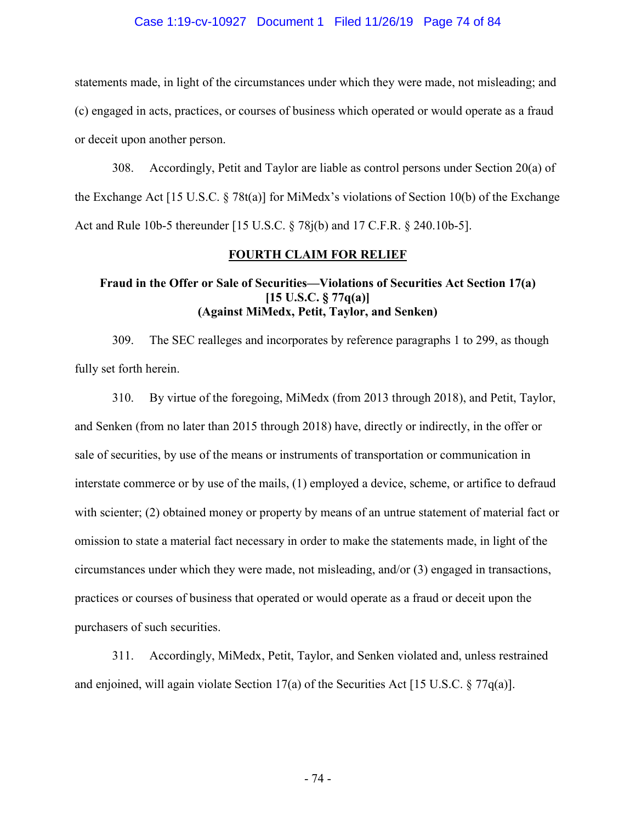### Case 1:19-cv-10927 Document 1 Filed 11/26/19 Page 74 of 84

statements made, in light of the circumstances under which they were made, not misleading; and (c) engaged in acts, practices, or courses of business which operated or would operate as a fraud or deceit upon another person.

308. Accordingly, Petit and Taylor are liable as control persons under Section 20(a) of the Exchange Act [15 U.S.C.  $\S 78t(a)$ ] for MiMedx's violations of Section 10(b) of the Exchange Act and Rule 10b-5 thereunder [15 U.S.C. § 78j(b) and 17 C.F.R. § 240.10b-5].

### **FOURTH CLAIM FOR RELIEF**

### **Fraud in the Offer or Sale of Securities—Violations of Securities Act Section 17(a) [15 U.S.C. § 77q(a)] (Against MiMedx, Petit, Taylor, and Senken)**

309. The SEC realleges and incorporates by reference paragraphs 1 to 299, as though fully set forth herein.

310. By virtue of the foregoing, MiMedx (from 2013 through 2018), and Petit, Taylor, and Senken (from no later than 2015 through 2018) have, directly or indirectly, in the offer or sale of securities, by use of the means or instruments of transportation or communication in interstate commerce or by use of the mails, (1) employed a device, scheme, or artifice to defraud with scienter; (2) obtained money or property by means of an untrue statement of material fact or omission to state a material fact necessary in order to make the statements made, in light of the circumstances under which they were made, not misleading, and/or (3) engaged in transactions, practices or courses of business that operated or would operate as a fraud or deceit upon the purchasers of such securities.

311. Accordingly, MiMedx, Petit, Taylor, and Senken violated and, unless restrained and enjoined, will again violate Section 17(a) of the Securities Act [15 U.S.C. § 77q(a)].

- 74 -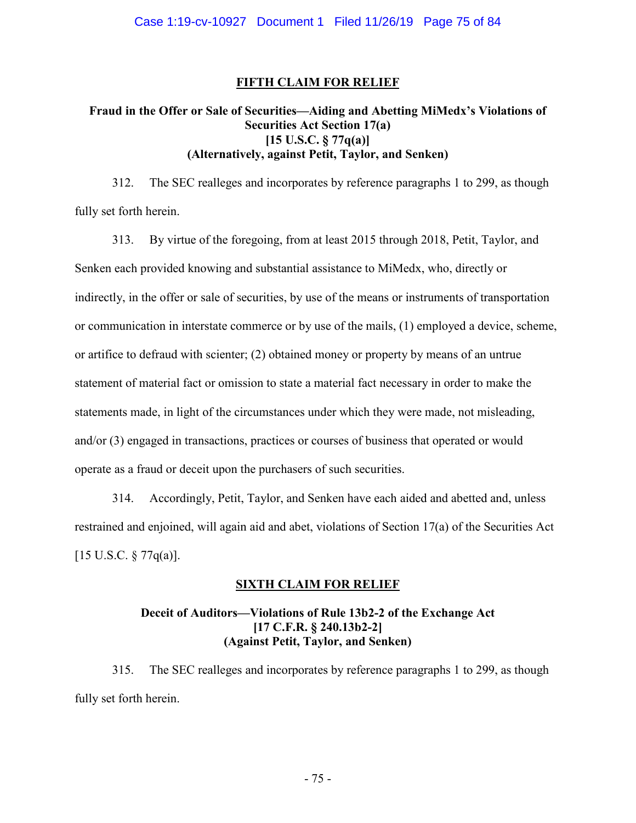## **FIFTH CLAIM FOR RELIEF**

# **Fraud in the Offer or Sale of Securities—Aiding and Abetting MiMedx's Violations of Securities Act Section 17(a) [15 U.S.C. § 77q(a)] (Alternatively, against Petit, Taylor, and Senken)**

312. The SEC realleges and incorporates by reference paragraphs 1 to 299, as though fully set forth herein.

313. By virtue of the foregoing, from at least 2015 through 2018, Petit, Taylor, and Senken each provided knowing and substantial assistance to MiMedx, who, directly or indirectly, in the offer or sale of securities, by use of the means or instruments of transportation or communication in interstate commerce or by use of the mails, (1) employed a device, scheme, or artifice to defraud with scienter; (2) obtained money or property by means of an untrue statement of material fact or omission to state a material fact necessary in order to make the statements made, in light of the circumstances under which they were made, not misleading, and/or (3) engaged in transactions, practices or courses of business that operated or would operate as a fraud or deceit upon the purchasers of such securities.

314. Accordingly, Petit, Taylor, and Senken have each aided and abetted and, unless restrained and enjoined, will again aid and abet, violations of Section 17(a) of the Securities Act [15 U.S.C. § 77q(a)].

### **SIXTH CLAIM FOR RELIEF**

## **Deceit of Auditors—Violations of Rule 13b2-2 of the Exchange Act [17 C.F.R. § 240.13b2-2] (Against Petit, Taylor, and Senken)**

315. The SEC realleges and incorporates by reference paragraphs 1 to 299, as though fully set forth herein.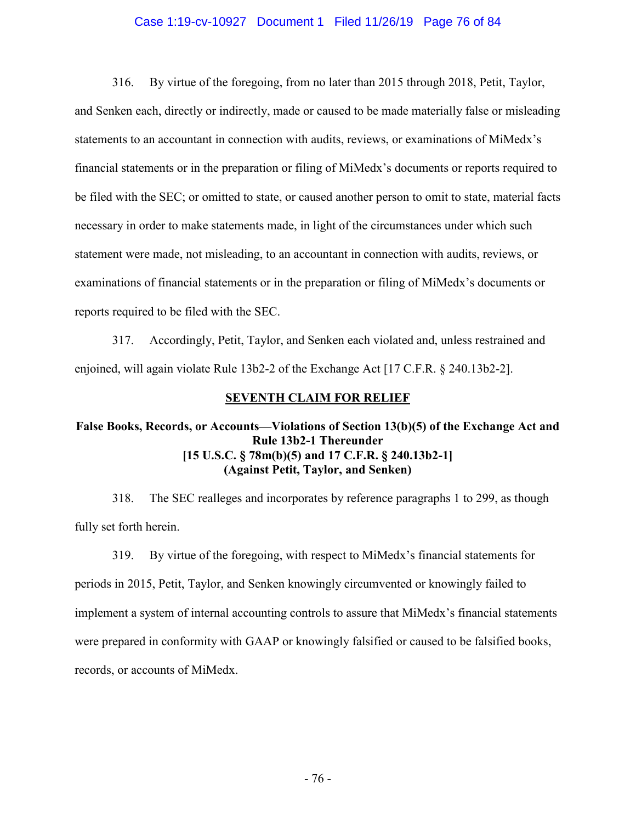### Case 1:19-cv-10927 Document 1 Filed 11/26/19 Page 76 of 84

316. By virtue of the foregoing, from no later than 2015 through 2018, Petit, Taylor, and Senken each, directly or indirectly, made or caused to be made materially false or misleading statements to an accountant in connection with audits, reviews, or examinations of MiMedx's financial statements or in the preparation or filing of MiMedx's documents or reports required to be filed with the SEC; or omitted to state, or caused another person to omit to state, material facts necessary in order to make statements made, in light of the circumstances under which such statement were made, not misleading, to an accountant in connection with audits, reviews, or examinations of financial statements or in the preparation or filing of MiMedx's documents or reports required to be filed with the SEC.

317. Accordingly, Petit, Taylor, and Senken each violated and, unless restrained and enjoined, will again violate Rule 13b2-2 of the Exchange Act [17 C.F.R. § 240.13b2-2].

### **SEVENTH CLAIM FOR RELIEF**

## **False Books, Records, or Accounts—Violations of Section 13(b)(5) of the Exchange Act and Rule 13b2-1 Thereunder [15 U.S.C. § 78m(b)(5) and 17 C.F.R. § 240.13b2-1] (Against Petit, Taylor, and Senken)**

318. The SEC realleges and incorporates by reference paragraphs 1 to 299, as though fully set forth herein.

319. By virtue of the foregoing, with respect to MiMedx's financial statements for periods in 2015, Petit, Taylor, and Senken knowingly circumvented or knowingly failed to implement a system of internal accounting controls to assure that MiMedx's financial statements were prepared in conformity with GAAP or knowingly falsified or caused to be falsified books, records, or accounts of MiMedx.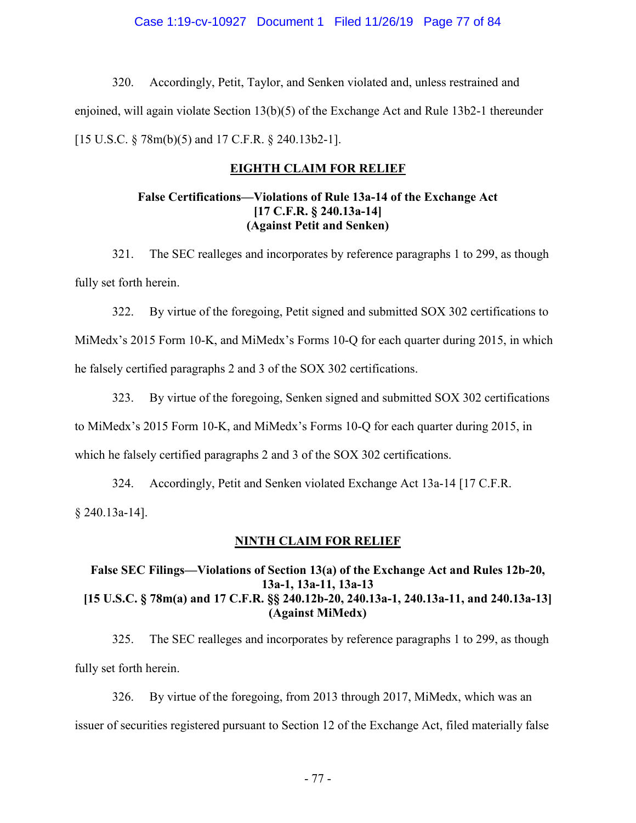### Case 1:19-cv-10927 Document 1 Filed 11/26/19 Page 77 of 84

320. Accordingly, Petit, Taylor, and Senken violated and, unless restrained and enjoined, will again violate Section 13(b)(5) of the Exchange Act and Rule 13b2-1 thereunder [15 U.S.C. § 78m(b)(5) and 17 C.F.R. § 240.13b2-1].

## **EIGHTH CLAIM FOR RELIEF**

## **False Certifications—Violations of Rule 13a-14 of the Exchange Act [17 C.F.R. § 240.13a-14] (Against Petit and Senken)**

321. The SEC realleges and incorporates by reference paragraphs 1 to 299, as though fully set forth herein.

322. By virtue of the foregoing, Petit signed and submitted SOX 302 certifications to MiMedx's 2015 Form 10-K, and MiMedx's Forms 10-Q for each quarter during 2015, in which he falsely certified paragraphs 2 and 3 of the SOX 302 certifications.

323. By virtue of the foregoing, Senken signed and submitted SOX 302 certifications to MiMedx's 2015 Form 10-K, and MiMedx's Forms 10-Q for each quarter during 2015, in which he falsely certified paragraphs 2 and 3 of the SOX 302 certifications.

324. Accordingly, Petit and Senken violated Exchange Act 13a-14 [17 C.F.R. § 240.13a-14].

# **NINTH CLAIM FOR RELIEF**

# **False SEC Filings—Violations of Section 13(a) of the Exchange Act and Rules 12b-20, 13a-1, 13a-11, 13a-13 [15 U.S.C. § 78m(a) and 17 C.F.R. §§ 240.12b-20, 240.13a-1, 240.13a-11, and 240.13a-13] (Against MiMedx)**

325. The SEC realleges and incorporates by reference paragraphs 1 to 299, as though fully set forth herein.

326. By virtue of the foregoing, from 2013 through 2017, MiMedx, which was an issuer of securities registered pursuant to Section 12 of the Exchange Act, filed materially false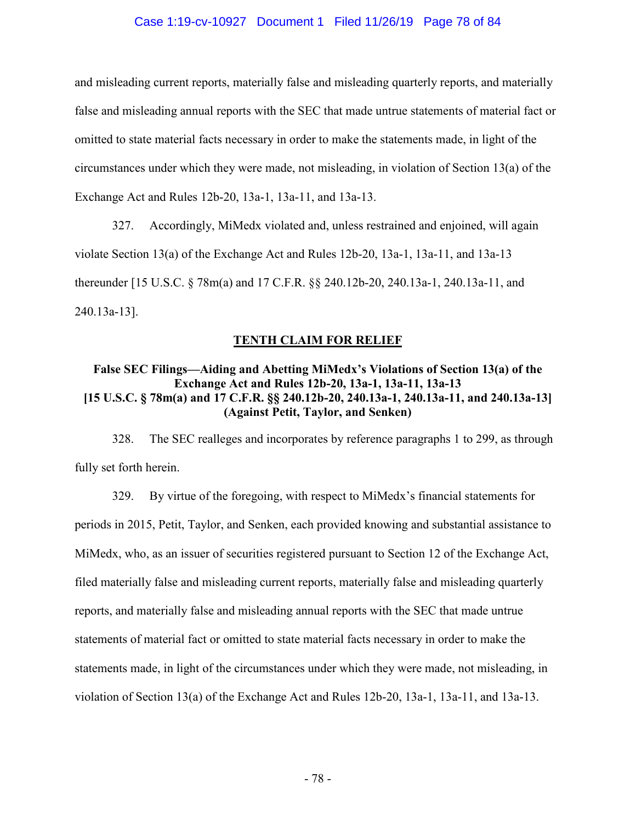### Case 1:19-cv-10927 Document 1 Filed 11/26/19 Page 78 of 84

and misleading current reports, materially false and misleading quarterly reports, and materially false and misleading annual reports with the SEC that made untrue statements of material fact or omitted to state material facts necessary in order to make the statements made, in light of the circumstances under which they were made, not misleading, in violation of Section 13(a) of the Exchange Act and Rules 12b-20, 13a-1, 13a-11, and 13a-13.

327. Accordingly, MiMedx violated and, unless restrained and enjoined, will again violate Section 13(a) of the Exchange Act and Rules 12b-20, 13a-1, 13a-11, and 13a-13 thereunder [15 U.S.C. § 78m(a) and 17 C.F.R. §§ 240.12b-20, 240.13a-1, 240.13a-11, and 240.13a-13].

### **TENTH CLAIM FOR RELIEF**

## **False SEC Filings—Aiding and Abetting MiMedx's Violations of Section 13(a) of the Exchange Act and Rules 12b-20, 13a-1, 13a-11, 13a-13 [15 U.S.C. § 78m(a) and 17 C.F.R. §§ 240.12b-20, 240.13a-1, 240.13a-11, and 240.13a-13] (Against Petit, Taylor, and Senken)**

328. The SEC realleges and incorporates by reference paragraphs 1 to 299, as through fully set forth herein.

329. By virtue of the foregoing, with respect to MiMedx's financial statements for periods in 2015, Petit, Taylor, and Senken, each provided knowing and substantial assistance to MiMedx, who, as an issuer of securities registered pursuant to Section 12 of the Exchange Act, filed materially false and misleading current reports, materially false and misleading quarterly reports, and materially false and misleading annual reports with the SEC that made untrue statements of material fact or omitted to state material facts necessary in order to make the statements made, in light of the circumstances under which they were made, not misleading, in violation of Section 13(a) of the Exchange Act and Rules 12b-20, 13a-1, 13a-11, and 13a-13.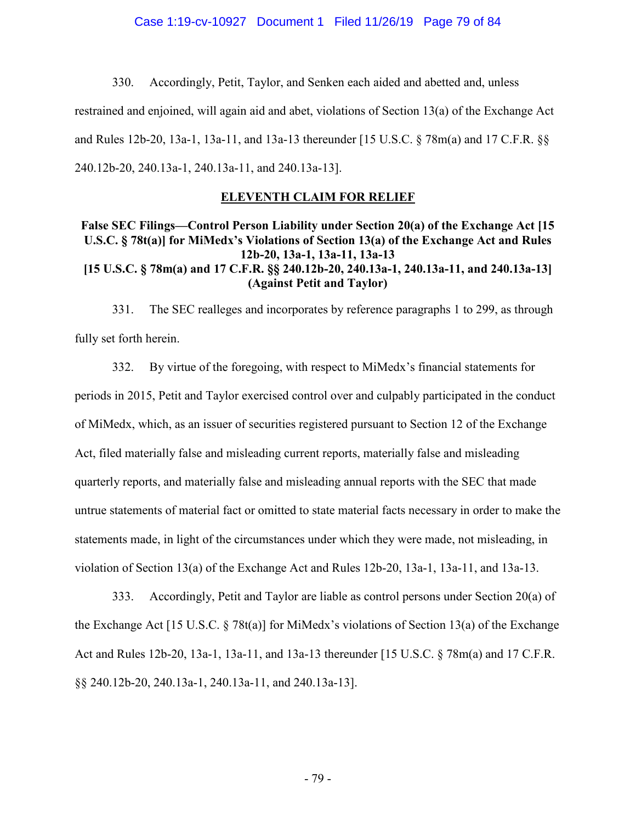#### Case 1:19-cv-10927 Document 1 Filed 11/26/19 Page 79 of 84

330. Accordingly, Petit, Taylor, and Senken each aided and abetted and, unless restrained and enjoined, will again aid and abet, violations of Section 13(a) of the Exchange Act and Rules 12b-20, 13a-1, 13a-11, and 13a-13 thereunder [15 U.S.C. § 78m(a) and 17 C.F.R. §§ 240.12b-20, 240.13a-1, 240.13a-11, and 240.13a-13].

### **ELEVENTH CLAIM FOR RELIEF**

## **False SEC Filings—Control Person Liability under Section 20(a) of the Exchange Act [15 U.S.C. § 78t(a)] for MiMedx's Violations of Section 13(a) of the Exchange Act and Rules 12b-20, 13a-1, 13a-11, 13a-13 [15 U.S.C. § 78m(a) and 17 C.F.R. §§ 240.12b-20, 240.13a-1, 240.13a-11, and 240.13a-13] (Against Petit and Taylor)**

331. The SEC realleges and incorporates by reference paragraphs 1 to 299, as through fully set forth herein.

332. By virtue of the foregoing, with respect to MiMedx's financial statements for periods in 2015, Petit and Taylor exercised control over and culpably participated in the conduct of MiMedx, which, as an issuer of securities registered pursuant to Section 12 of the Exchange Act, filed materially false and misleading current reports, materially false and misleading quarterly reports, and materially false and misleading annual reports with the SEC that made untrue statements of material fact or omitted to state material facts necessary in order to make the statements made, in light of the circumstances under which they were made, not misleading, in violation of Section 13(a) of the Exchange Act and Rules 12b-20, 13a-1, 13a-11, and 13a-13.

333. Accordingly, Petit and Taylor are liable as control persons under Section 20(a) of the Exchange Act [15 U.S.C. § 78t(a)] for MiMedx's violations of Section 13(a) of the Exchange Act and Rules 12b-20, 13a-1, 13a-11, and 13a-13 thereunder [15 U.S.C. § 78m(a) and 17 C.F.R. §§ 240.12b-20, 240.13a-1, 240.13a-11, and 240.13a-13].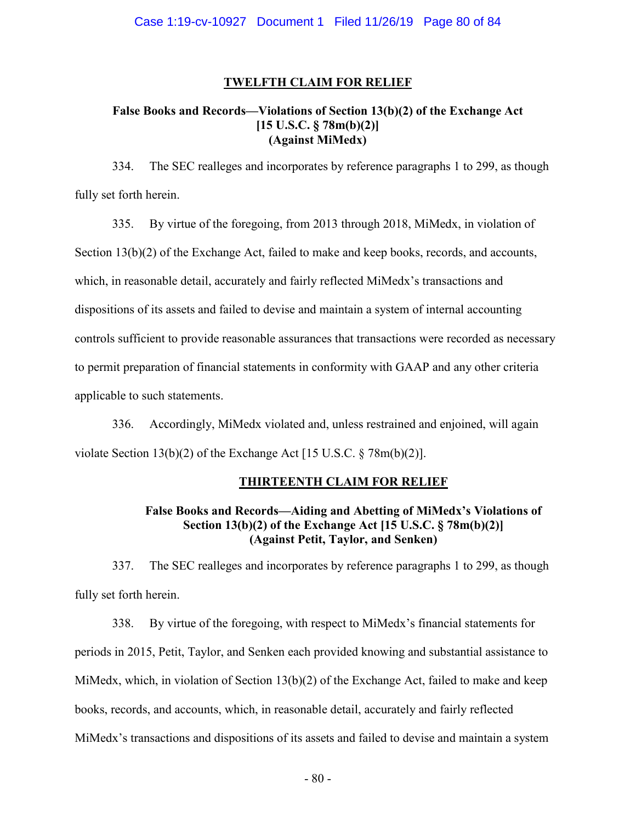### **TWELFTH CLAIM FOR RELIEF**

### **False Books and Records—Violations of Section 13(b)(2) of the Exchange Act [15 U.S.C. § 78m(b)(2)] (Against MiMedx)**

334. The SEC realleges and incorporates by reference paragraphs 1 to 299, as though fully set forth herein.

335. By virtue of the foregoing, from 2013 through 2018, MiMedx, in violation of Section 13(b)(2) of the Exchange Act, failed to make and keep books, records, and accounts, which, in reasonable detail, accurately and fairly reflected MiMedx's transactions and dispositions of its assets and failed to devise and maintain a system of internal accounting controls sufficient to provide reasonable assurances that transactions were recorded as necessary to permit preparation of financial statements in conformity with GAAP and any other criteria applicable to such statements.

336. Accordingly, MiMedx violated and, unless restrained and enjoined, will again violate Section 13(b)(2) of the Exchange Act [15 U.S.C. § 78m(b)(2)].

# **THIRTEENTH CLAIM FOR RELIEF**

## **False Books and Records—Aiding and Abetting of MiMedx's Violations of Section 13(b)(2) of the Exchange Act [15 U.S.C. § 78m(b)(2)] (Against Petit, Taylor, and Senken)**

337. The SEC realleges and incorporates by reference paragraphs 1 to 299, as though fully set forth herein.

338. By virtue of the foregoing, with respect to MiMedx's financial statements for periods in 2015, Petit, Taylor, and Senken each provided knowing and substantial assistance to MiMedx, which, in violation of Section  $13(b)(2)$  of the Exchange Act, failed to make and keep books, records, and accounts, which, in reasonable detail, accurately and fairly reflected MiMedx's transactions and dispositions of its assets and failed to devise and maintain a system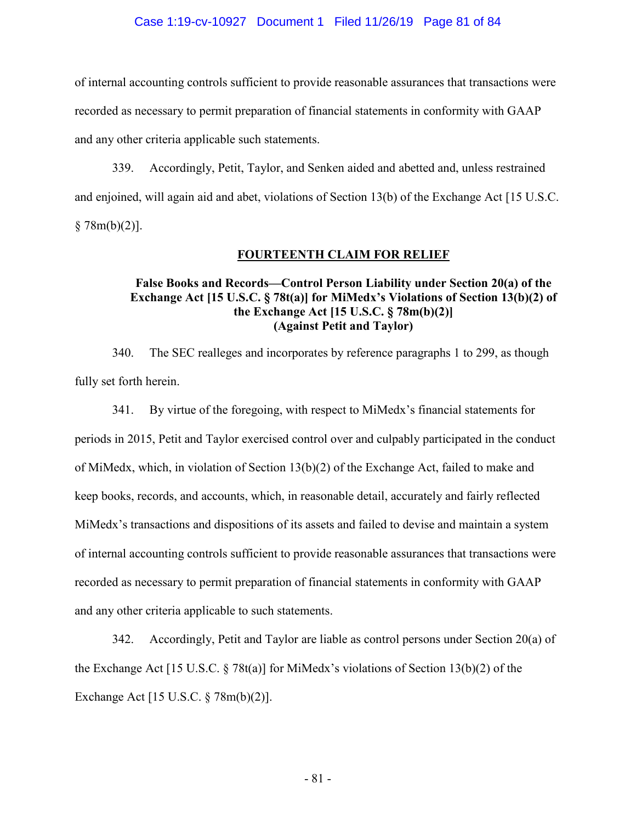#### Case 1:19-cv-10927 Document 1 Filed 11/26/19 Page 81 of 84

of internal accounting controls sufficient to provide reasonable assurances that transactions were recorded as necessary to permit preparation of financial statements in conformity with GAAP and any other criteria applicable such statements.

339. Accordingly, Petit, Taylor, and Senken aided and abetted and, unless restrained and enjoined, will again aid and abet, violations of Section 13(b) of the Exchange Act [15 U.S.C.  $§ 78m(b)(2)].$ 

#### **FOURTEENTH CLAIM FOR RELIEF**

### **False Books and Records—Control Person Liability under Section 20(a) of the Exchange Act [15 U.S.C. § 78t(a)] for MiMedx's Violations of Section 13(b)(2) of the Exchange Act [15 U.S.C. § 78m(b)(2)] (Against Petit and Taylor)**

340. The SEC realleges and incorporates by reference paragraphs 1 to 299, as though fully set forth herein.

341. By virtue of the foregoing, with respect to MiMedx's financial statements for periods in 2015, Petit and Taylor exercised control over and culpably participated in the conduct of MiMedx, which, in violation of Section 13(b)(2) of the Exchange Act, failed to make and keep books, records, and accounts, which, in reasonable detail, accurately and fairly reflected MiMedx's transactions and dispositions of its assets and failed to devise and maintain a system of internal accounting controls sufficient to provide reasonable assurances that transactions were recorded as necessary to permit preparation of financial statements in conformity with GAAP and any other criteria applicable to such statements.

342. Accordingly, Petit and Taylor are liable as control persons under Section 20(a) of the Exchange Act [15 U.S.C. § 78t(a)] for MiMedx's violations of Section 13(b)(2) of the Exchange Act [15 U.S.C. § 78m(b)(2)].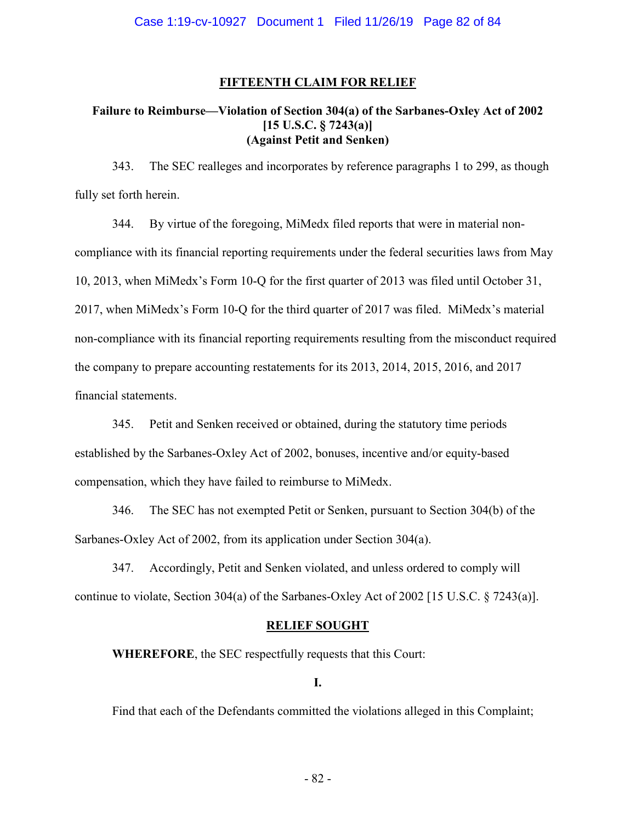### **FIFTEENTH CLAIM FOR RELIEF**

### **Failure to Reimburse—Violation of Section 304(a) of the Sarbanes-Oxley Act of 2002 [15 U.S.C. § 7243(a)] (Against Petit and Senken)**

343. The SEC realleges and incorporates by reference paragraphs 1 to 299, as though fully set forth herein.

344. By virtue of the foregoing, MiMedx filed reports that were in material noncompliance with its financial reporting requirements under the federal securities laws from May 10, 2013, when MiMedx's Form 10-Q for the first quarter of 2013 was filed until October 31, 2017, when MiMedx's Form 10-Q for the third quarter of 2017 was filed. MiMedx's material non-compliance with its financial reporting requirements resulting from the misconduct required the company to prepare accounting restatements for its 2013, 2014, 2015, 2016, and 2017 financial statements.

345. Petit and Senken received or obtained, during the statutory time periods established by the Sarbanes-Oxley Act of 2002, bonuses, incentive and/or equity-based compensation, which they have failed to reimburse to MiMedx.

346. The SEC has not exempted Petit or Senken, pursuant to Section 304(b) of the Sarbanes-Oxley Act of 2002, from its application under Section 304(a).

347. Accordingly, Petit and Senken violated, and unless ordered to comply will continue to violate, Section 304(a) of the Sarbanes-Oxley Act of 2002 [15 U.S.C. § 7243(a)].

### **RELIEF SOUGHT**

**WHEREFORE**, the SEC respectfully requests that this Court:

**I.**

Find that each of the Defendants committed the violations alleged in this Complaint;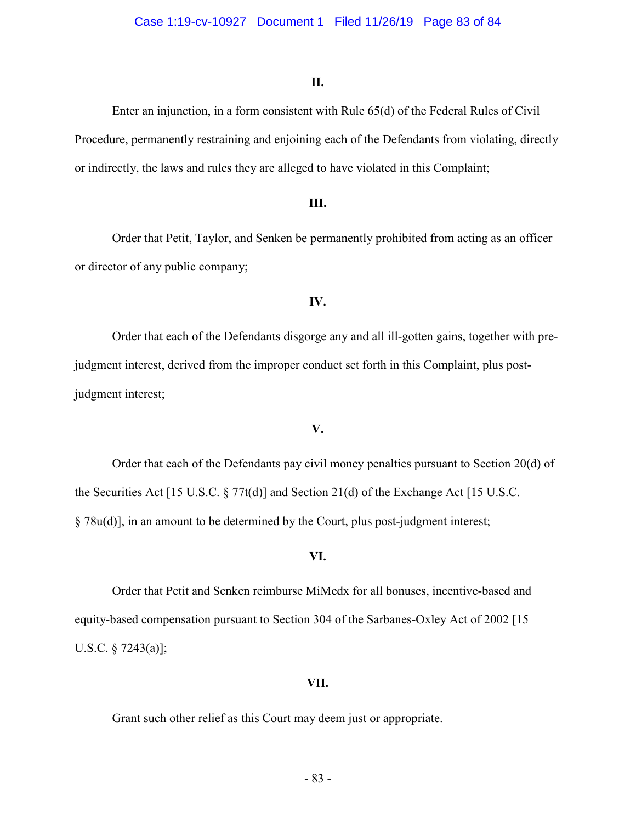### **II.**

Enter an injunction, in a form consistent with Rule 65(d) of the Federal Rules of Civil Procedure, permanently restraining and enjoining each of the Defendants from violating, directly or indirectly, the laws and rules they are alleged to have violated in this Complaint;

### **III.**

Order that Petit, Taylor, and Senken be permanently prohibited from acting as an officer or director of any public company;

#### **IV.**

Order that each of the Defendants disgorge any and all ill-gotten gains, together with prejudgment interest, derived from the improper conduct set forth in this Complaint, plus postjudgment interest;

#### **V.**

Order that each of the Defendants pay civil money penalties pursuant to Section 20(d) of the Securities Act [15 U.S.C. § 77t(d)] and Section 21(d) of the Exchange Act [15 U.S.C. § 78u(d)], in an amount to be determined by the Court, plus post-judgment interest;

### **VI.**

Order that Petit and Senken reimburse MiMedx for all bonuses, incentive-based and equity-based compensation pursuant to Section 304 of the Sarbanes-Oxley Act of 2002 [15 U.S.C. § 7243(a)];

#### **VII.**

Grant such other relief as this Court may deem just or appropriate.